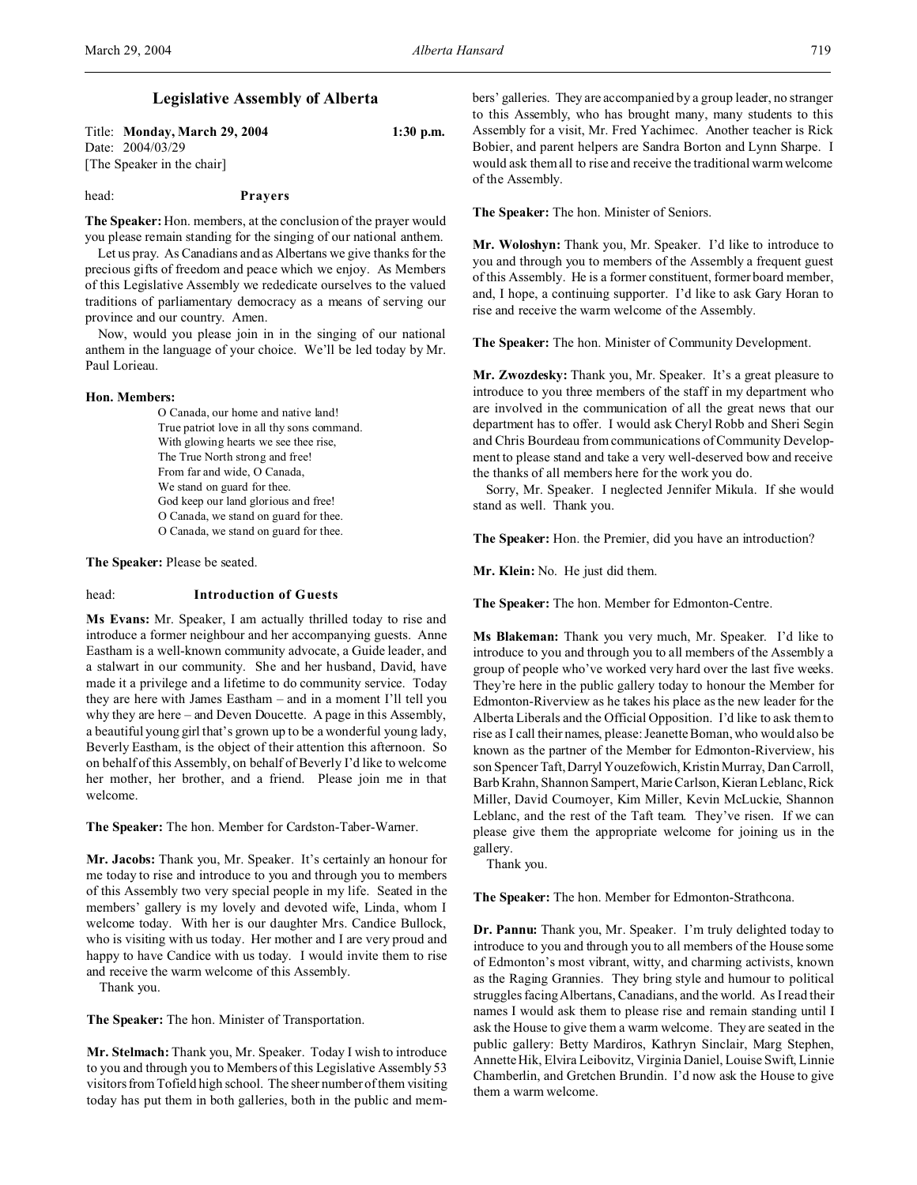Title: **Monday, March 29, 2004 1:30 p.m.** Date: 2004/03/29 [The Speaker in the chair]

### head: **Prayers**

**The Speaker:** Hon. members, at the conclusion of the prayer would you please remain standing for the singing of our national anthem.

Let us pray. As Canadians and as Albertans we give thanks for the precious gifts of freedom and peace which we enjoy. As Members of this Legislative Assembly we rededicate ourselves to the valued traditions of parliamentary democracy as a means of serving our province and our country. Amen.

Now, would you please join in in the singing of our national anthem in the language of your choice. We'll be led today by Mr. Paul Lorieau.

#### **Hon. Members:**

O Canada, our home and native land! True patriot love in all thy sons command. With glowing hearts we see thee rise, The True North strong and free! From far and wide, O Canada, We stand on guard for thee. God keep our land glorious and free! O Canada, we stand on guard for thee. O Canada, we stand on guard for thee.

**The Speaker:** Please be seated.

### head: **Introduction of Guests**

**Ms Evans:** Mr. Speaker, I am actually thrilled today to rise and introduce a former neighbour and her accompanying guests. Anne Eastham is a well-known community advocate, a Guide leader, and a stalwart in our community. She and her husband, David, have made it a privilege and a lifetime to do community service. Today they are here with James Eastham – and in a moment I'll tell you why they are here – and Deven Doucette. A page in this Assembly, a beautiful young girl that's grown up to be a wonderful young lady, Beverly Eastham, is the object of their attention this afternoon. So on behalf of this Assembly, on behalf of Beverly I'd like to welcome her mother, her brother, and a friend. Please join me in that welcome.

**The Speaker:** The hon. Member for Cardston-Taber-Warner.

**Mr. Jacobs:** Thank you, Mr. Speaker. It's certainly an honour for me today to rise and introduce to you and through you to members of this Assembly two very special people in my life. Seated in the members' gallery is my lovely and devoted wife, Linda, whom I welcome today. With her is our daughter Mrs. Candice Bullock, who is visiting with us today. Her mother and I are very proud and happy to have Candice with us today. I would invite them to rise and receive the warm welcome of this Assembly.

Thank you.

**The Speaker:** The hon. Minister of Transportation.

**Mr. Stelmach:** Thank you, Mr. Speaker. Today I wish to introduce to you and through you to Members of this Legislative Assembly 53 visitors from Tofield high school. The sheer number of them visiting today has put them in both galleries, both in the public and members' galleries. They are accompanied by a group leader, no stranger to this Assembly, who has brought many, many students to this Assembly for a visit, Mr. Fred Yachimec. Another teacher is Rick Bobier, and parent helpers are Sandra Borton and Lynn Sharpe. I would ask them all to rise and receive the traditional warm welcome of the Assembly.

**The Speaker:** The hon. Minister of Seniors.

**Mr. Woloshyn:** Thank you, Mr. Speaker. I'd like to introduce to you and through you to members of the Assembly a frequent guest of this Assembly. He is a former constituent, former board member, and, I hope, a continuing supporter. I'd like to ask Gary Horan to rise and receive the warm welcome of the Assembly.

**The Speaker:** The hon. Minister of Community Development.

**Mr. Zwozdesky:** Thank you, Mr. Speaker. It's a great pleasure to introduce to you three members of the staff in my department who are involved in the communication of all the great news that our department has to offer. I would ask Cheryl Robb and Sheri Segin and Chris Bourdeau from communications of Community Development to please stand and take a very well-deserved bow and receive the thanks of all members here for the work you do.

Sorry, Mr. Speaker. I neglected Jennifer Mikula. If she would stand as well. Thank you.

**The Speaker:** Hon. the Premier, did you have an introduction?

**Mr. Klein:** No. He just did them.

**The Speaker:** The hon. Member for Edmonton-Centre.

**Ms Blakeman:** Thank you very much, Mr. Speaker. I'd like to introduce to you and through you to all members of the Assembly a group of people who've worked very hard over the last five weeks. They're here in the public gallery today to honour the Member for Edmonton-Riverview as he takes his place as the new leader for the Alberta Liberals and the Official Opposition. I'd like to ask them to rise as I call their names, please: Jeanette Boman, who would also be known as the partner of the Member for Edmonton-Riverview, his son Spencer Taft, Darryl Youzefowich, Kristin Murray, Dan Carroll, Barb Krahn, Shannon Sampert, Marie Carlson, Kieran Leblanc, Rick Miller, David Cournoyer, Kim Miller, Kevin McLuckie, Shannon Leblanc, and the rest of the Taft team. They've risen. If we can please give them the appropriate welcome for joining us in the gallery.

Thank you.

**The Speaker:** The hon. Member for Edmonton-Strathcona.

**Dr. Pannu:** Thank you, Mr. Speaker. I'm truly delighted today to introduce to you and through you to all members of the House some of Edmonton's most vibrant, witty, and charming activists, known as the Raging Grannies. They bring style and humour to political struggles facing Albertans, Canadians, and the world. As I read their names I would ask them to please rise and remain standing until I ask the House to give them a warm welcome. They are seated in the public gallery: Betty Mardiros, Kathryn Sinclair, Marg Stephen, Annette Hik, Elvira Leibovitz, Virginia Daniel, Louise Swift, Linnie Chamberlin, and Gretchen Brundin. I'd now ask the House to give them a warm welcome.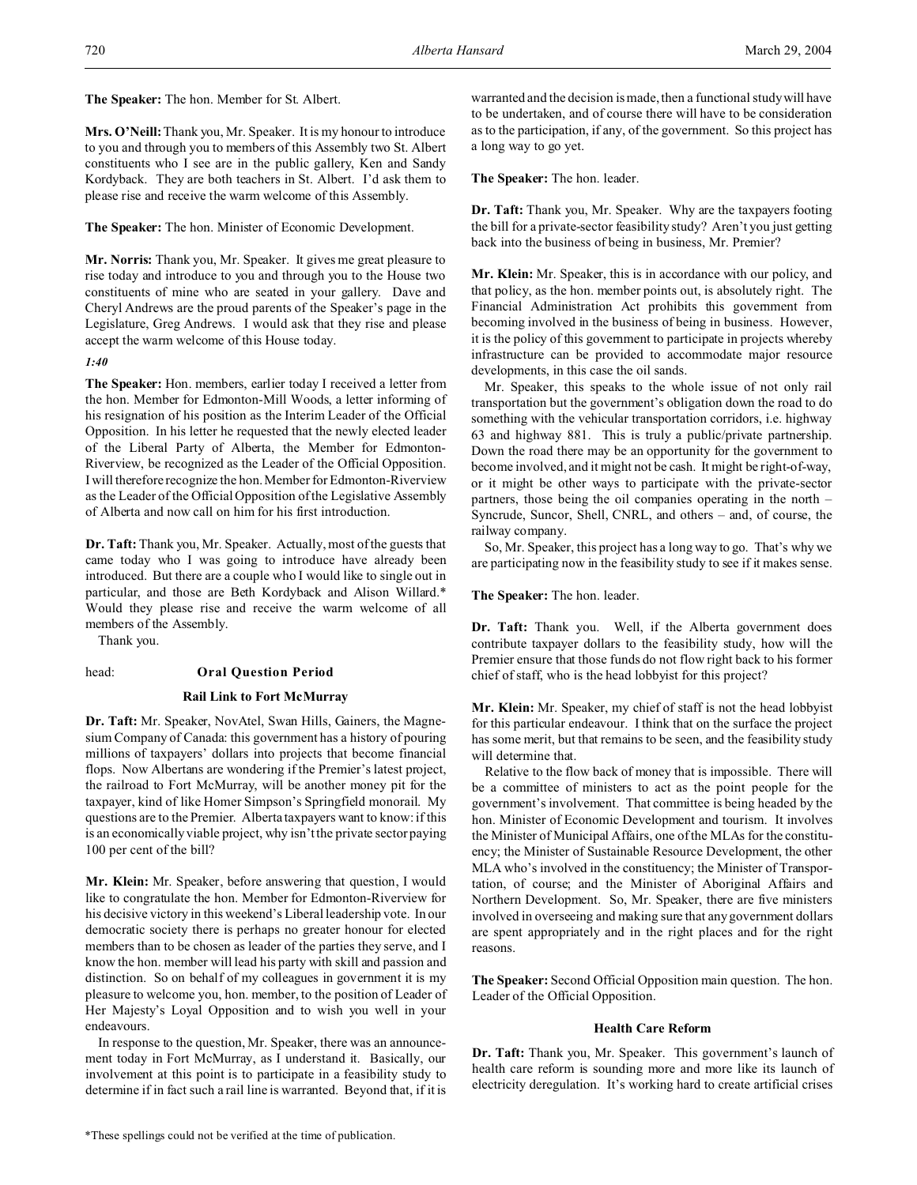**The Speaker:** The hon. Member for St. Albert.

**Mrs. O'Neill:**Thank you, Mr. Speaker. It is my honour to introduce to you and through you to members of this Assembly two St. Albert constituents who I see are in the public gallery, Ken and Sandy Kordyback. They are both teachers in St. Albert. I'd ask them to please rise and receive the warm welcome of this Assembly.

**The Speaker:** The hon. Minister of Economic Development.

**Mr. Norris:** Thank you, Mr. Speaker. It gives me great pleasure to rise today and introduce to you and through you to the House two constituents of mine who are seated in your gallery. Dave and Cheryl Andrews are the proud parents of the Speaker's page in the Legislature, Greg Andrews. I would ask that they rise and please accept the warm welcome of this House today.

## *1:40*

**The Speaker:** Hon. members, earlier today I received a letter from the hon. Member for Edmonton-Mill Woods, a letter informing of his resignation of his position as the Interim Leader of the Official Opposition. In his letter he requested that the newly elected leader of the Liberal Party of Alberta, the Member for Edmonton-Riverview, be recognized as the Leader of the Official Opposition. I will therefore recognize the hon. Member for Edmonton-Riverview as the Leader of the Official Opposition of the Legislative Assembly of Alberta and now call on him for his first introduction.

**Dr. Taft:** Thank you, Mr. Speaker. Actually, most of the guests that came today who I was going to introduce have already been introduced. But there are a couple who I would like to single out in particular, and those are Beth Kordyback and Alison Willard.\* Would they please rise and receive the warm welcome of all members of the Assembly.

Thank you.

## head: **Oral Question Period**

### **Rail Link to Fort McMurray**

**Dr. Taft:** Mr. Speaker, NovAtel, Swan Hills, Gainers, the Magnesium Company of Canada: this government has a history of pouring millions of taxpayers' dollars into projects that become financial flops. Now Albertans are wondering if the Premier's latest project, the railroad to Fort McMurray, will be another money pit for the taxpayer, kind of like Homer Simpson's Springfield monorail. My questions are to the Premier. Alberta taxpayers want to know: if this is an economically viable project, why isn't the private sector paying 100 per cent of the bill?

**Mr. Klein:** Mr. Speaker, before answering that question, I would like to congratulate the hon. Member for Edmonton-Riverview for his decisive victory in this weekend's Liberal leadership vote. In our democratic society there is perhaps no greater honour for elected members than to be chosen as leader of the parties they serve, and I know the hon. member will lead his party with skill and passion and distinction. So on behalf of my colleagues in government it is my pleasure to welcome you, hon. member, to the position of Leader of Her Majesty's Loyal Opposition and to wish you well in your endeavours.

In response to the question, Mr. Speaker, there was an announcement today in Fort McMurray, as I understand it. Basically, our involvement at this point is to participate in a feasibility study to determine if in fact such a rail line is warranted. Beyond that, if it is

warranted and the decision is made, then a functional study will have to be undertaken, and of course there will have to be consideration as to the participation, if any, of the government. So this project has a long way to go yet.

**The Speaker:** The hon. leader.

**Dr. Taft:** Thank you, Mr. Speaker. Why are the taxpayers footing the bill for a private-sector feasibility study? Aren't you just getting back into the business of being in business, Mr. Premier?

**Mr. Klein:** Mr. Speaker, this is in accordance with our policy, and that policy, as the hon. member points out, is absolutely right. The Financial Administration Act prohibits this government from becoming involved in the business of being in business. However, it is the policy of this government to participate in projects whereby infrastructure can be provided to accommodate major resource developments, in this case the oil sands.

Mr. Speaker, this speaks to the whole issue of not only rail transportation but the government's obligation down the road to do something with the vehicular transportation corridors, i.e. highway 63 and highway 881. This is truly a public/private partnership. Down the road there may be an opportunity for the government to become involved, and it might not be cash. It might be right-of-way, or it might be other ways to participate with the private-sector partners, those being the oil companies operating in the north – Syncrude, Suncor, Shell, CNRL, and others – and, of course, the railway company.

So, Mr. Speaker, this project has a long way to go. That's why we are participating now in the feasibility study to see if it makes sense.

**The Speaker:** The hon. leader.

**Dr. Taft:** Thank you. Well, if the Alberta government does contribute taxpayer dollars to the feasibility study, how will the Premier ensure that those funds do not flow right back to his former chief of staff, who is the head lobbyist for this project?

**Mr. Klein:** Mr. Speaker, my chief of staff is not the head lobbyist for this particular endeavour. I think that on the surface the project has some merit, but that remains to be seen, and the feasibility study will determine that.

Relative to the flow back of money that is impossible. There will be a committee of ministers to act as the point people for the government's involvement. That committee is being headed by the hon. Minister of Economic Development and tourism. It involves the Minister of Municipal Affairs, one of the MLAs for the constituency; the Minister of Sustainable Resource Development, the other MLA who's involved in the constituency; the Minister of Transportation, of course; and the Minister of Aboriginal Affairs and Northern Development. So, Mr. Speaker, there are five ministers involved in overseeing and making sure that any government dollars are spent appropriately and in the right places and for the right reasons.

**The Speaker:** Second Official Opposition main question. The hon. Leader of the Official Opposition.

## **Health Care Reform**

**Dr. Taft:** Thank you, Mr. Speaker. This government's launch of health care reform is sounding more and more like its launch of electricity deregulation. It's working hard to create artificial crises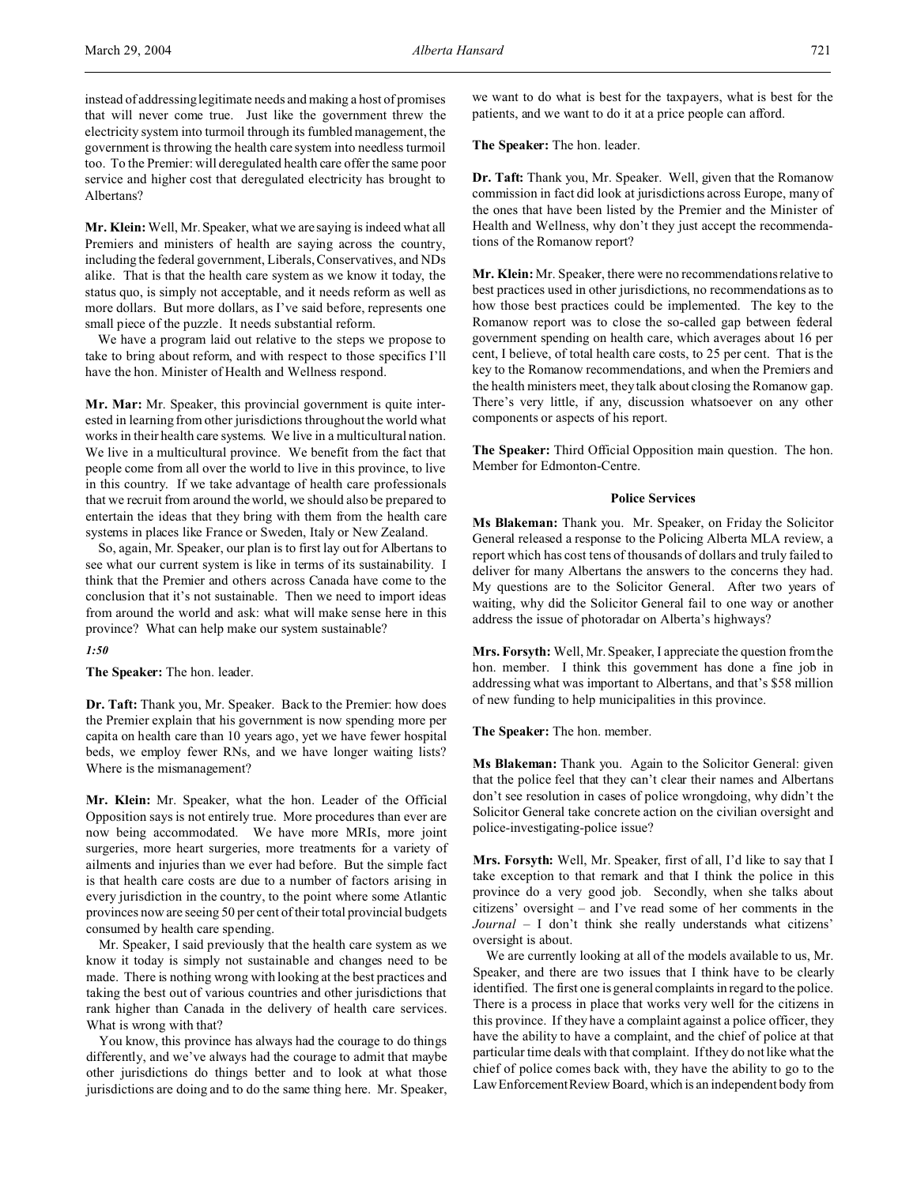**Mr. Klein:** Well, Mr. Speaker, what we are saying is indeed what all Premiers and ministers of health are saying across the country, including the federal government, Liberals, Conservatives, and NDs alike. That is that the health care system as we know it today, the status quo, is simply not acceptable, and it needs reform as well as more dollars. But more dollars, as I've said before, represents one small piece of the puzzle. It needs substantial reform.

We have a program laid out relative to the steps we propose to take to bring about reform, and with respect to those specifics I'll have the hon. Minister of Health and Wellness respond.

**Mr. Mar:** Mr. Speaker, this provincial government is quite interested in learning from other jurisdictions throughout the world what works in their health care systems. We live in a multicultural nation. We live in a multicultural province. We benefit from the fact that people come from all over the world to live in this province, to live in this country. If we take advantage of health care professionals that we recruit from around the world, we should also be prepared to entertain the ideas that they bring with them from the health care systems in places like France or Sweden, Italy or New Zealand.

So, again, Mr. Speaker, our plan is to first lay out for Albertans to see what our current system is like in terms of its sustainability. I think that the Premier and others across Canada have come to the conclusion that it's not sustainable. Then we need to import ideas from around the world and ask: what will make sense here in this province? What can help make our system sustainable?

*1:50*

**The Speaker:** The hon. leader.

**Dr. Taft:** Thank you, Mr. Speaker. Back to the Premier: how does the Premier explain that his government is now spending more per capita on health care than 10 years ago, yet we have fewer hospital beds, we employ fewer RNs, and we have longer waiting lists? Where is the mismanagement?

**Mr. Klein:** Mr. Speaker, what the hon. Leader of the Official Opposition says is not entirely true. More procedures than ever are now being accommodated. We have more MRIs, more joint surgeries, more heart surgeries, more treatments for a variety of ailments and injuries than we ever had before. But the simple fact is that health care costs are due to a number of factors arising in every jurisdiction in the country, to the point where some Atlantic provinces now are seeing 50 per cent of their total provincial budgets consumed by health care spending.

Mr. Speaker, I said previously that the health care system as we know it today is simply not sustainable and changes need to be made. There is nothing wrong with looking at the best practices and taking the best out of various countries and other jurisdictions that rank higher than Canada in the delivery of health care services. What is wrong with that?

You know, this province has always had the courage to do things differently, and we've always had the courage to admit that maybe other jurisdictions do things better and to look at what those jurisdictions are doing and to do the same thing here. Mr. Speaker,

we want to do what is best for the taxpayers, what is best for the patients, and we want to do it at a price people can afford.

**The Speaker:** The hon. leader.

**Dr. Taft:** Thank you, Mr. Speaker. Well, given that the Romanow commission in fact did look at jurisdictions across Europe, many of the ones that have been listed by the Premier and the Minister of Health and Wellness, why don't they just accept the recommendations of the Romanow report?

**Mr. Klein:** Mr. Speaker, there were no recommendations relative to best practices used in other jurisdictions, no recommendations as to how those best practices could be implemented. The key to the Romanow report was to close the so-called gap between federal government spending on health care, which averages about 16 per cent, I believe, of total health care costs, to 25 per cent. That is the key to the Romanow recommendations, and when the Premiers and the health ministers meet, they talk about closing the Romanow gap. There's very little, if any, discussion whatsoever on any other components or aspects of his report.

**The Speaker:** Third Official Opposition main question. The hon. Member for Edmonton-Centre.

### **Police Services**

**Ms Blakeman:** Thank you. Mr. Speaker, on Friday the Solicitor General released a response to the Policing Alberta MLA review, a report which has cost tens of thousands of dollars and truly failed to deliver for many Albertans the answers to the concerns they had. My questions are to the Solicitor General. After two years of waiting, why did the Solicitor General fail to one way or another address the issue of photoradar on Alberta's highways?

**Mrs. Forsyth:** Well, Mr. Speaker, I appreciate the question from the hon. member. I think this government has done a fine job in addressing what was important to Albertans, and that's \$58 million of new funding to help municipalities in this province.

**The Speaker:** The hon. member.

**Ms Blakeman:** Thank you. Again to the Solicitor General: given that the police feel that they can't clear their names and Albertans don't see resolution in cases of police wrongdoing, why didn't the Solicitor General take concrete action on the civilian oversight and police-investigating-police issue?

**Mrs. Forsyth:** Well, Mr. Speaker, first of all, I'd like to say that I take exception to that remark and that I think the police in this province do a very good job. Secondly, when she talks about citizens' oversight – and I've read some of her comments in the *Journal* – I don't think she really understands what citizens' oversight is about.

We are currently looking at all of the models available to us, Mr. Speaker, and there are two issues that I think have to be clearly identified. The first one is general complaints in regard to the police. There is a process in place that works very well for the citizens in this province. If they have a complaint against a police officer, they have the ability to have a complaint, and the chief of police at that particular time deals with that complaint. If they do not like what the chief of police comes back with, they have the ability to go to the Law EnforcementReview Board, which is an independent body from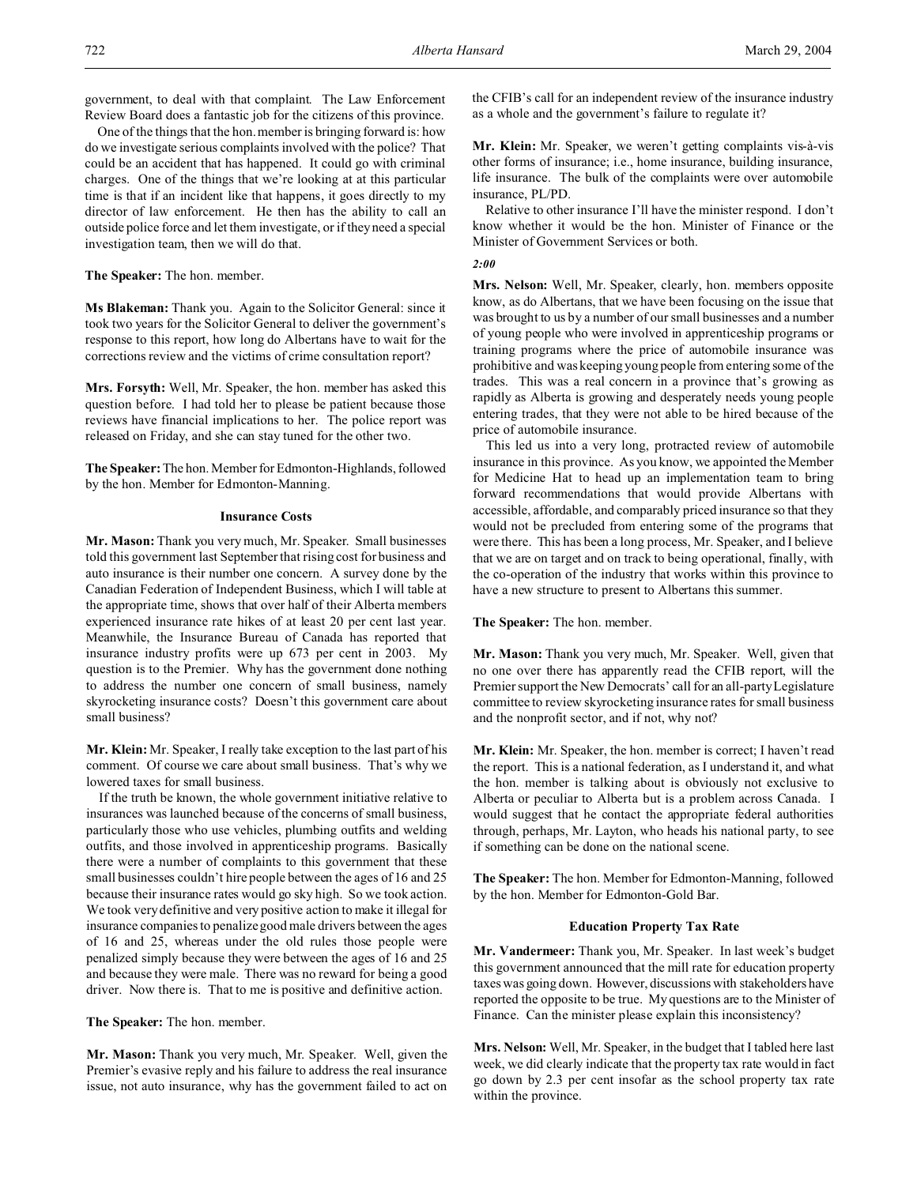government, to deal with that complaint. The Law Enforcement Review Board does a fantastic job for the citizens of this province.

One of the things that the hon. member is bringing forward is: how do we investigate serious complaints involved with the police? That could be an accident that has happened. It could go with criminal charges. One of the things that we're looking at at this particular time is that if an incident like that happens, it goes directly to my director of law enforcement. He then has the ability to call an outside police force and let them investigate, or if they need a special investigation team, then we will do that.

**The Speaker:** The hon. member.

**Ms Blakeman:** Thank you. Again to the Solicitor General: since it took two years for the Solicitor General to deliver the government's response to this report, how long do Albertans have to wait for the corrections review and the victims of crime consultation report?

**Mrs. Forsyth:** Well, Mr. Speaker, the hon. member has asked this question before. I had told her to please be patient because those reviews have financial implications to her. The police report was released on Friday, and she can stay tuned for the other two.

**The Speaker:** The hon. Member for Edmonton-Highlands, followed by the hon. Member for Edmonton-Manning.

### **Insurance Costs**

**Mr. Mason:** Thank you very much, Mr. Speaker. Small businesses told this government last September that rising cost for business and auto insurance is their number one concern. A survey done by the Canadian Federation of Independent Business, which I will table at the appropriate time, shows that over half of their Alberta members experienced insurance rate hikes of at least 20 per cent last year. Meanwhile, the Insurance Bureau of Canada has reported that insurance industry profits were up 673 per cent in 2003. My question is to the Premier. Why has the government done nothing to address the number one concern of small business, namely skyrocketing insurance costs? Doesn't this government care about small business?

**Mr. Klein:** Mr. Speaker, I really take exception to the last part of his comment. Of course we care about small business. That's why we lowered taxes for small business.

If the truth be known, the whole government initiative relative to insurances was launched because of the concerns of small business, particularly those who use vehicles, plumbing outfits and welding outfits, and those involved in apprenticeship programs. Basically there were a number of complaints to this government that these small businesses couldn't hire people between the ages of 16 and 25 because their insurance rates would go sky high. So we took action. We took very definitive and very positive action to make it illegal for insurance companies to penalize good male drivers between the ages of 16 and 25, whereas under the old rules those people were penalized simply because they were between the ages of 16 and 25 and because they were male. There was no reward for being a good driver. Now there is. That to me is positive and definitive action.

**The Speaker:** The hon. member.

**Mr. Mason:** Thank you very much, Mr. Speaker. Well, given the Premier's evasive reply and his failure to address the real insurance issue, not auto insurance, why has the government failed to act on the CFIB's call for an independent review of the insurance industry as a whole and the government's failure to regulate it?

**Mr. Klein:** Mr. Speaker, we weren't getting complaints vis-à-vis other forms of insurance; i.e., home insurance, building insurance, life insurance. The bulk of the complaints were over automobile insurance, PL/PD.

Relative to other insurance I'll have the minister respond. I don't know whether it would be the hon. Minister of Finance or the Minister of Government Services or both.

# *2:00*

**Mrs. Nelson:** Well, Mr. Speaker, clearly, hon. members opposite know, as do Albertans, that we have been focusing on the issue that was brought to us by a number of our small businesses and a number of young people who were involved in apprenticeship programs or training programs where the price of automobile insurance was prohibitive and was keeping young people from entering some of the trades. This was a real concern in a province that's growing as rapidly as Alberta is growing and desperately needs young people entering trades, that they were not able to be hired because of the price of automobile insurance.

This led us into a very long, protracted review of automobile insurance in this province. As you know, we appointed the Member for Medicine Hat to head up an implementation team to bring forward recommendations that would provide Albertans with accessible, affordable, and comparably priced insurance so that they would not be precluded from entering some of the programs that were there. This has been a long process, Mr. Speaker, and I believe that we are on target and on track to being operational, finally, with the co-operation of the industry that works within this province to have a new structure to present to Albertans this summer.

**The Speaker:** The hon. member.

**Mr. Mason:** Thank you very much, Mr. Speaker. Well, given that no one over there has apparently read the CFIB report, will the Premier support the New Democrats' call for an all-party Legislature committee to review skyrocketing insurance rates for small business and the nonprofit sector, and if not, why not?

**Mr. Klein:** Mr. Speaker, the hon. member is correct; I haven't read the report. This is a national federation, as I understand it, and what the hon. member is talking about is obviously not exclusive to Alberta or peculiar to Alberta but is a problem across Canada. I would suggest that he contact the appropriate federal authorities through, perhaps, Mr. Layton, who heads his national party, to see if something can be done on the national scene.

**The Speaker:** The hon. Member for Edmonton-Manning, followed by the hon. Member for Edmonton-Gold Bar.

## **Education Property Tax Rate**

**Mr. Vandermeer:** Thank you, Mr. Speaker. In last week's budget this government announced that the mill rate for education property taxes was going down. However, discussions with stakeholders have reported the opposite to be true. My questions are to the Minister of Finance. Can the minister please explain this inconsistency?

**Mrs. Nelson:** Well, Mr. Speaker, in the budget that I tabled here last week, we did clearly indicate that the property tax rate would in fact go down by 2.3 per cent insofar as the school property tax rate within the province.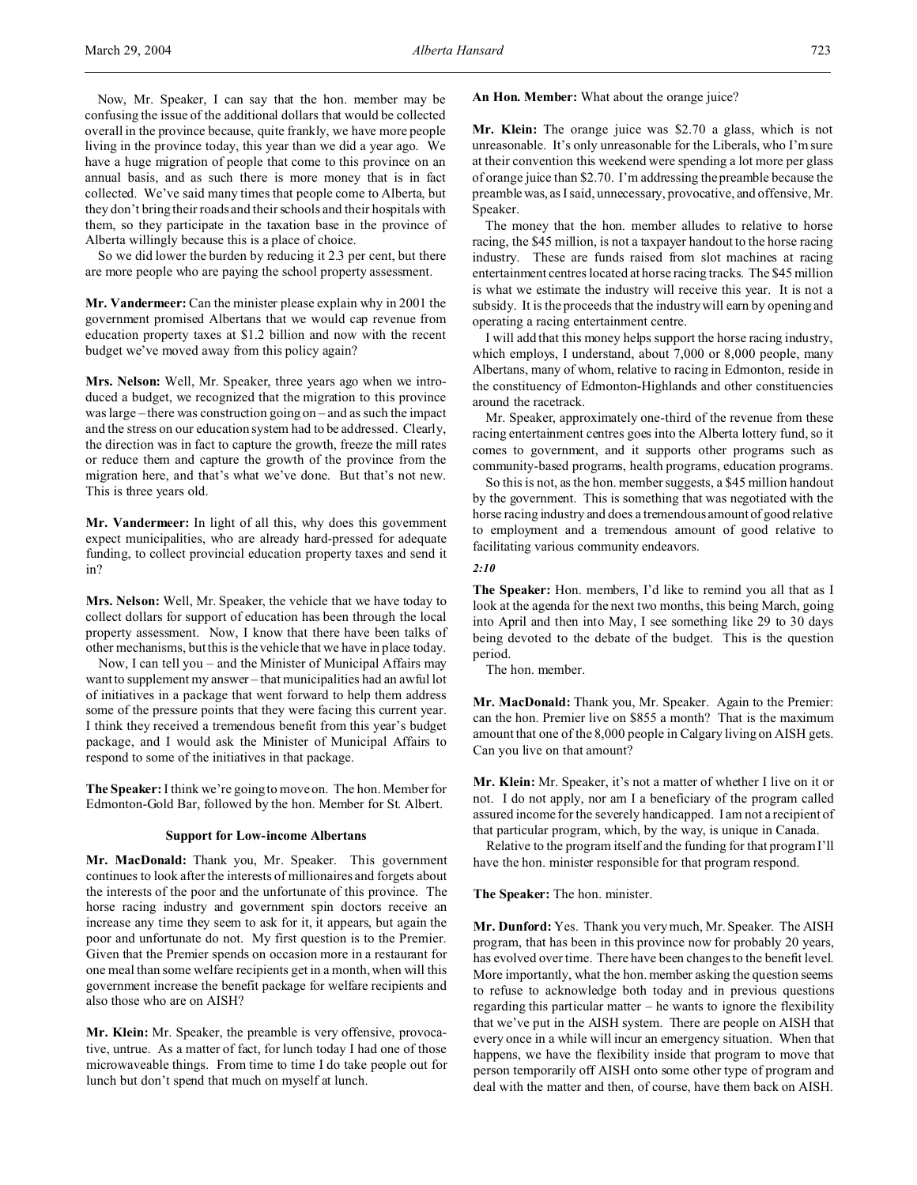Now, Mr. Speaker, I can say that the hon. member may be confusing the issue of the additional dollars that would be collected overall in the province because, quite frankly, we have more people living in the province today, this year than we did a year ago. We have a huge migration of people that come to this province on an annual basis, and as such there is more money that is in fact collected. We've said many times that people come to Alberta, but they don't bring their roads and their schools and their hospitals with them, so they participate in the taxation base in the province of Alberta willingly because this is a place of choice.

So we did lower the burden by reducing it 2.3 per cent, but there are more people who are paying the school property assessment.

**Mr. Vandermeer:** Can the minister please explain why in 2001 the government promised Albertans that we would cap revenue from education property taxes at \$1.2 billion and now with the recent budget we've moved away from this policy again?

**Mrs. Nelson:** Well, Mr. Speaker, three years ago when we introduced a budget, we recognized that the migration to this province was large – there was construction going on – and as such the impact and the stress on our education system had to be addressed. Clearly, the direction was in fact to capture the growth, freeze the mill rates or reduce them and capture the growth of the province from the migration here, and that's what we've done. But that's not new. This is three years old.

**Mr. Vandermeer:** In light of all this, why does this government expect municipalities, who are already hard-pressed for adequate funding, to collect provincial education property taxes and send it in?

**Mrs. Nelson:** Well, Mr. Speaker, the vehicle that we have today to collect dollars for support of education has been through the local property assessment. Now, I know that there have been talks of other mechanisms, but this is the vehicle that we have in place today.

Now, I can tell you – and the Minister of Municipal Affairs may want to supplement my answer – that municipalities had an awful lot of initiatives in a package that went forward to help them address some of the pressure points that they were facing this current year. I think they received a tremendous benefit from this year's budget package, and I would ask the Minister of Municipal Affairs to respond to some of the initiatives in that package.

**The Speaker:** I think we're going to move on. The hon. Member for Edmonton-Gold Bar, followed by the hon. Member for St. Albert.

### **Support for Low-income Albertans**

**Mr. MacDonald:** Thank you, Mr. Speaker. This government continues to look after the interests of millionaires and forgets about the interests of the poor and the unfortunate of this province. The horse racing industry and government spin doctors receive an increase any time they seem to ask for it, it appears, but again the poor and unfortunate do not. My first question is to the Premier. Given that the Premier spends on occasion more in a restaurant for one meal than some welfare recipients get in a month, when will this government increase the benefit package for welfare recipients and also those who are on AISH?

**Mr. Klein:** Mr. Speaker, the preamble is very offensive, provocative, untrue. As a matter of fact, for lunch today I had one of those microwaveable things. From time to time I do take people out for lunch but don't spend that much on myself at lunch.

**An Hon. Member:** What about the orange juice?

**Mr. Klein:** The orange juice was \$2.70 a glass, which is not unreasonable. It's only unreasonable for the Liberals, who I'm sure at their convention this weekend were spending a lot more per glass of orange juice than \$2.70. I'm addressing the preamble because the preamble was, as I said, unnecessary, provocative, and offensive, Mr. Speaker.

The money that the hon. member alludes to relative to horse racing, the \$45 million, is not a taxpayer handout to the horse racing industry. These are funds raised from slot machines at racing entertainment centres located at horse racing tracks. The \$45 million is what we estimate the industry will receive this year. It is not a subsidy. It is the proceeds that the industry will earn by opening and operating a racing entertainment centre.

I will add that this money helps support the horse racing industry, which employs, I understand, about 7,000 or 8,000 people, many Albertans, many of whom, relative to racing in Edmonton, reside in the constituency of Edmonton-Highlands and other constituencies around the racetrack.

Mr. Speaker, approximately one-third of the revenue from these racing entertainment centres goes into the Alberta lottery fund, so it comes to government, and it supports other programs such as community-based programs, health programs, education programs.

So this is not, as the hon. member suggests, a \$45 million handout by the government. This is something that was negotiated with the horse racing industry and does a tremendous amount of good relative to employment and a tremendous amount of good relative to facilitating various community endeavors.

### *2:10*

**The Speaker:** Hon. members, I'd like to remind you all that as I look at the agenda for the next two months, this being March, going into April and then into May, I see something like 29 to 30 days being devoted to the debate of the budget. This is the question period.

The hon. member.

**Mr. MacDonald:** Thank you, Mr. Speaker. Again to the Premier: can the hon. Premier live on \$855 a month? That is the maximum amount that one of the 8,000 people in Calgary living on AISH gets. Can you live on that amount?

**Mr. Klein:** Mr. Speaker, it's not a matter of whether I live on it or not. I do not apply, nor am I a beneficiary of the program called assured income for the severely handicapped. I am not a recipient of that particular program, which, by the way, is unique in Canada.

Relative to the program itself and the funding for that program I'll have the hon. minister responsible for that program respond.

**The Speaker:** The hon. minister.

**Mr. Dunford:** Yes. Thank you very much, Mr. Speaker. The AISH program, that has been in this province now for probably 20 years, has evolved over time. There have been changes to the benefit level. More importantly, what the hon. member asking the question seems to refuse to acknowledge both today and in previous questions regarding this particular matter – he wants to ignore the flexibility that we've put in the AISH system. There are people on AISH that every once in a while will incur an emergency situation. When that happens, we have the flexibility inside that program to move that person temporarily off AISH onto some other type of program and deal with the matter and then, of course, have them back on AISH.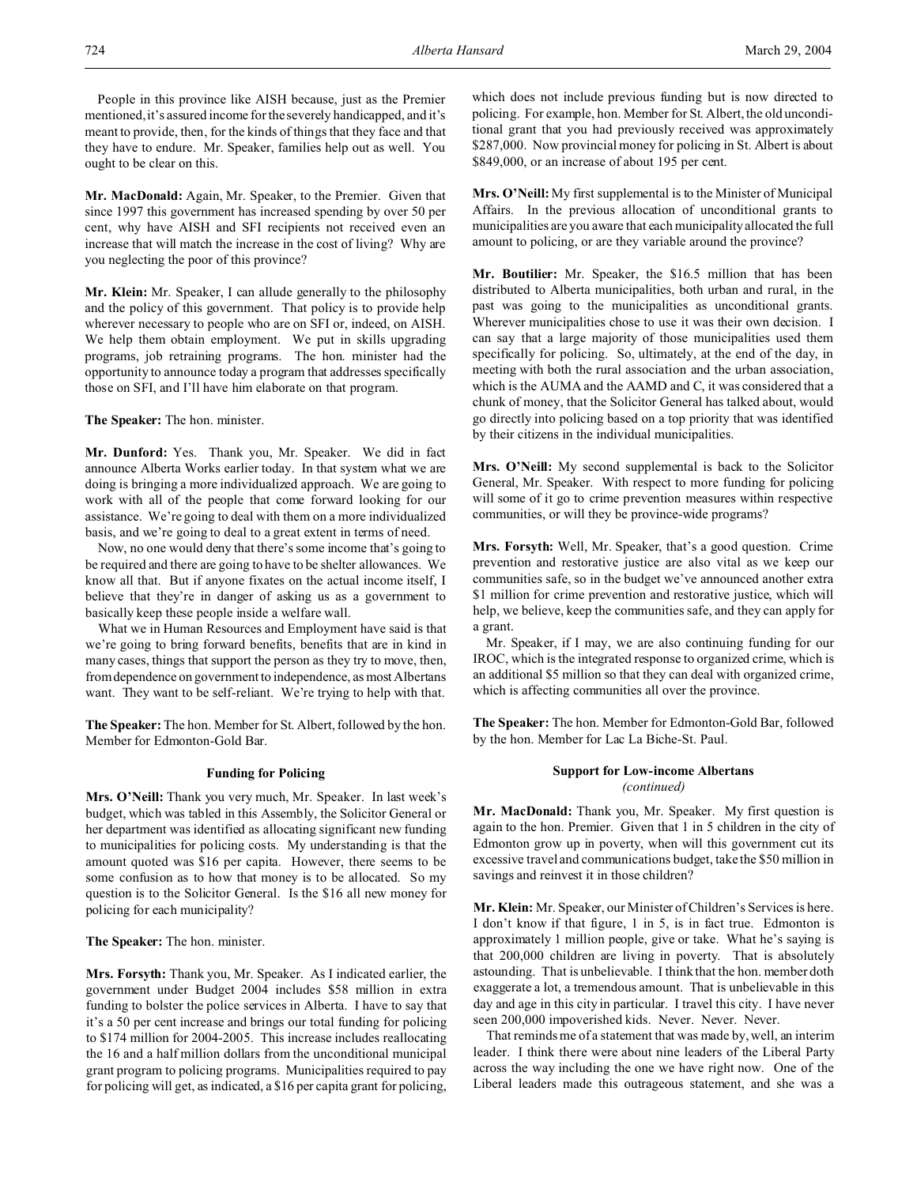People in this province like AISH because, just as the Premier mentioned, it's assured income for the severely handicapped, and it's meant to provide, then, for the kinds of things that they face and that they have to endure. Mr. Speaker, families help out as well. You ought to be clear on this.

**Mr. MacDonald:** Again, Mr. Speaker, to the Premier. Given that since 1997 this government has increased spending by over 50 per cent, why have AISH and SFI recipients not received even an increase that will match the increase in the cost of living? Why are you neglecting the poor of this province?

**Mr. Klein:** Mr. Speaker, I can allude generally to the philosophy and the policy of this government. That policy is to provide help wherever necessary to people who are on SFI or, indeed, on AISH. We help them obtain employment. We put in skills upgrading programs, job retraining programs. The hon. minister had the opportunity to announce today a program that addresses specifically those on SFI, and I'll have him elaborate on that program.

**The Speaker:** The hon. minister.

**Mr. Dunford:** Yes. Thank you, Mr. Speaker. We did in fact announce Alberta Works earlier today. In that system what we are doing is bringing a more individualized approach. We are going to work with all of the people that come forward looking for our assistance. We're going to deal with them on a more individualized basis, and we're going to deal to a great extent in terms of need.

Now, no one would deny that there's some income that's going to be required and there are going to have to be shelter allowances. We know all that. But if anyone fixates on the actual income itself, I believe that they're in danger of asking us as a government to basically keep these people inside a welfare wall.

What we in Human Resources and Employment have said is that we're going to bring forward benefits, benefits that are in kind in many cases, things that support the person as they try to move, then, from dependence on government to independence, as most Albertans want. They want to be self-reliant. We're trying to help with that.

**The Speaker:** The hon. Member for St. Albert, followed by the hon. Member for Edmonton-Gold Bar.

### **Funding for Policing**

**Mrs. O'Neill:** Thank you very much, Mr. Speaker. In last week's budget, which was tabled in this Assembly, the Solicitor General or her department was identified as allocating significant new funding to municipalities for policing costs. My understanding is that the amount quoted was \$16 per capita. However, there seems to be some confusion as to how that money is to be allocated. So my question is to the Solicitor General. Is the \$16 all new money for policing for each municipality?

**The Speaker:** The hon. minister.

**Mrs. Forsyth:** Thank you, Mr. Speaker. As I indicated earlier, the government under Budget 2004 includes \$58 million in extra funding to bolster the police services in Alberta. I have to say that it's a 50 per cent increase and brings our total funding for policing to \$174 million for 2004-2005. This increase includes reallocating the 16 and a half million dollars from the unconditional municipal grant program to policing programs. Municipalities required to pay for policing will get, as indicated, a \$16 per capita grant for policing,

which does not include previous funding but is now directed to policing. For example, hon. Member for St. Albert, the old unconditional grant that you had previously received was approximately \$287,000. Now provincial money for policing in St. Albert is about \$849,000, or an increase of about 195 per cent.

**Mrs. O'Neill:**My first supplemental is to the Minister of Municipal Affairs. In the previous allocation of unconditional grants to municipalities are you aware that each municipality allocated the full amount to policing, or are they variable around the province?

**Mr. Boutilier:** Mr. Speaker, the \$16.5 million that has been distributed to Alberta municipalities, both urban and rural, in the past was going to the municipalities as unconditional grants. Wherever municipalities chose to use it was their own decision. I can say that a large majority of those municipalities used them specifically for policing. So, ultimately, at the end of the day, in meeting with both the rural association and the urban association, which is the AUMA and the AAMD and C, it was considered that a chunk of money, that the Solicitor General has talked about, would go directly into policing based on a top priority that was identified by their citizens in the individual municipalities.

**Mrs. O'Neill:** My second supplemental is back to the Solicitor General, Mr. Speaker. With respect to more funding for policing will some of it go to crime prevention measures within respective communities, or will they be province-wide programs?

**Mrs. Forsyth:** Well, Mr. Speaker, that's a good question. Crime prevention and restorative justice are also vital as we keep our communities safe, so in the budget we've announced another extra \$1 million for crime prevention and restorative justice, which will help, we believe, keep the communities safe, and they can apply for a grant.

Mr. Speaker, if I may, we are also continuing funding for our IROC, which is the integrated response to organized crime, which is an additional \$5 million so that they can deal with organized crime, which is affecting communities all over the province.

**The Speaker:** The hon. Member for Edmonton-Gold Bar, followed by the hon. Member for Lac La Biche-St. Paul.

## **Support for Low-income Albertans** *(continued)*

**Mr. MacDonald:** Thank you, Mr. Speaker. My first question is again to the hon. Premier. Given that 1 in 5 children in the city of Edmonton grow up in poverty, when will this government cut its excessive travel and communications budget, take the \$50 million in savings and reinvest it in those children?

**Mr. Klein:** Mr. Speaker, our Minister of Children's Services is here. I don't know if that figure, 1 in 5, is in fact true. Edmonton is approximately 1 million people, give or take. What he's saying is that 200,000 children are living in poverty. That is absolutely astounding. That is unbelievable. I think that the hon. member doth exaggerate a lot, a tremendous amount. That is unbelievable in this day and age in this city in particular. I travel this city. I have never seen 200,000 impoverished kids. Never. Never. Never.

That reminds me of a statement that was made by, well, an interim leader. I think there were about nine leaders of the Liberal Party across the way including the one we have right now. One of the Liberal leaders made this outrageous statement, and she was a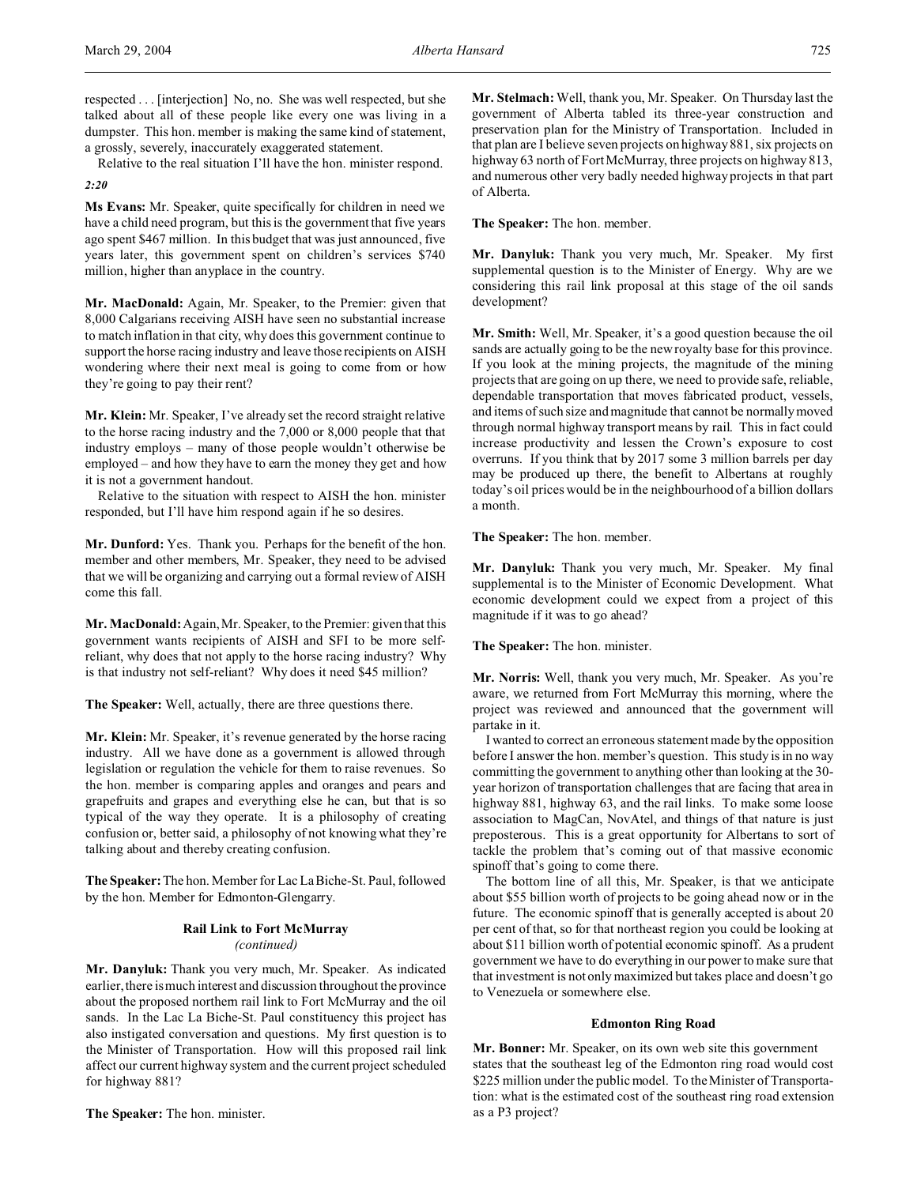respected . . . [interjection] No, no. She was well respected, but she talked about all of these people like every one was living in a dumpster. This hon. member is making the same kind of statement, a grossly, severely, inaccurately exaggerated statement.

Relative to the real situation I'll have the hon. minister respond. *2:20*

**Ms Evans:** Mr. Speaker, quite specifically for children in need we have a child need program, but this is the government that five years ago spent \$467 million. In this budget that was just announced, five years later, this government spent on children's services \$740 million, higher than anyplace in the country.

**Mr. MacDonald:** Again, Mr. Speaker, to the Premier: given that 8,000 Calgarians receiving AISH have seen no substantial increase to match inflation in that city, why does this government continue to support the horse racing industry and leave those recipients on AISH wondering where their next meal is going to come from or how they're going to pay their rent?

**Mr. Klein:** Mr. Speaker, I've already set the record straight relative to the horse racing industry and the 7,000 or 8,000 people that that industry employs – many of those people wouldn't otherwise be employed – and how they have to earn the money they get and how it is not a government handout.

Relative to the situation with respect to AISH the hon. minister responded, but I'll have him respond again if he so desires.

**Mr. Dunford:** Yes. Thank you. Perhaps for the benefit of the hon. member and other members, Mr. Speaker, they need to be advised that we will be organizing and carrying out a formal review of AISH come this fall.

**Mr. MacDonald:** Again, Mr. Speaker, to the Premier: given that this government wants recipients of AISH and SFI to be more selfreliant, why does that not apply to the horse racing industry? Why is that industry not self-reliant? Why does it need \$45 million?

**The Speaker:** Well, actually, there are three questions there.

**Mr. Klein:** Mr. Speaker, it's revenue generated by the horse racing industry. All we have done as a government is allowed through legislation or regulation the vehicle for them to raise revenues. So the hon. member is comparing apples and oranges and pears and grapefruits and grapes and everything else he can, but that is so typical of the way they operate. It is a philosophy of creating confusion or, better said, a philosophy of not knowing what they're talking about and thereby creating confusion.

**The Speaker:**The hon. Member for Lac La Biche-St. Paul, followed by the hon. Member for Edmonton-Glengarry.

# **Rail Link to Fort McMurray** *(continued)*

**Mr. Danyluk:** Thank you very much, Mr. Speaker. As indicated earlier, there is much interest and discussion throughout the province about the proposed northern rail link to Fort McMurray and the oil sands. In the Lac La Biche-St. Paul constituency this project has also instigated conversation and questions. My first question is to the Minister of Transportation. How will this proposed rail link affect our current highway system and the current project scheduled for highway 881?

**The Speaker:** The hon. minister.

**Mr. Stelmach:** Well, thank you, Mr. Speaker. On Thursday last the government of Alberta tabled its three-year construction and preservation plan for the Ministry of Transportation. Included in that plan are I believe seven projects on highway 881, six projects on highway 63 north of Fort McMurray, three projects on highway 813, and numerous other very badly needed highway projects in that part of Alberta.

**The Speaker:** The hon. member.

**Mr. Danyluk:** Thank you very much, Mr. Speaker. My first supplemental question is to the Minister of Energy. Why are we considering this rail link proposal at this stage of the oil sands development?

**Mr. Smith:** Well, Mr. Speaker, it's a good question because the oil sands are actually going to be the new royalty base for this province. If you look at the mining projects, the magnitude of the mining projects that are going on up there, we need to provide safe, reliable, dependable transportation that moves fabricated product, vessels, and items of such size and magnitude that cannot be normally moved through normal highway transport means by rail. This in fact could increase productivity and lessen the Crown's exposure to cost overruns. If you think that by 2017 some 3 million barrels per day may be produced up there, the benefit to Albertans at roughly today's oil prices would be in the neighbourhood of a billion dollars a month.

**The Speaker:** The hon. member.

**Mr. Danyluk:** Thank you very much, Mr. Speaker. My final supplemental is to the Minister of Economic Development. What economic development could we expect from a project of this magnitude if it was to go ahead?

**The Speaker:** The hon. minister.

**Mr. Norris:** Well, thank you very much, Mr. Speaker. As you're aware, we returned from Fort McMurray this morning, where the project was reviewed and announced that the government will partake in it.

I wanted to correct an erroneous statement made by the opposition before I answer the hon. member's question. This study is in no way committing the government to anything other than looking at the 30 year horizon of transportation challenges that are facing that area in highway 881, highway 63, and the rail links. To make some loose association to MagCan, NovAtel, and things of that nature is just preposterous. This is a great opportunity for Albertans to sort of tackle the problem that's coming out of that massive economic spinoff that's going to come there.

The bottom line of all this, Mr. Speaker, is that we anticipate about \$55 billion worth of projects to be going ahead now or in the future. The economic spinoff that is generally accepted is about 20 per cent of that, so for that northeast region you could be looking at about \$11 billion worth of potential economic spinoff. As a prudent government we have to do everything in our power to make sure that that investment is not only maximized but takes place and doesn't go to Venezuela or somewhere else.

### **Edmonton Ring Road**

**Mr. Bonner:** Mr. Speaker, on its own web site this government states that the southeast leg of the Edmonton ring road would cost \$225 million under the public model. To the Minister of Transportation: what is the estimated cost of the southeast ring road extension as a P3 project?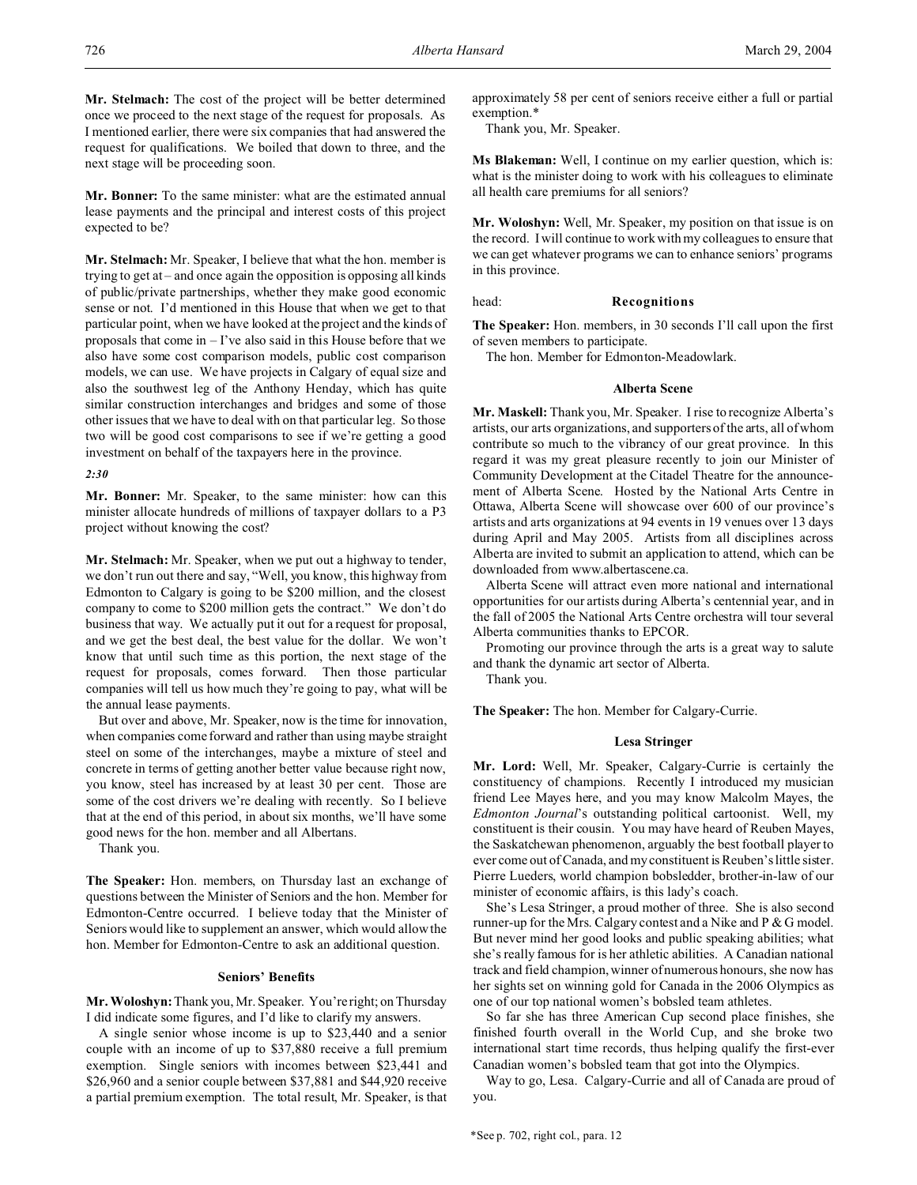**Mr. Stelmach:** The cost of the project will be better determined once we proceed to the next stage of the request for proposals. As I mentioned earlier, there were six companies that had answered the request for qualifications. We boiled that down to three, and the next stage will be proceeding soon.

**Mr. Bonner:** To the same minister: what are the estimated annual lease payments and the principal and interest costs of this project expected to be?

**Mr. Stelmach:** Mr. Speaker, I believe that what the hon. member is trying to get at – and once again the opposition is opposing all kinds of public/private partnerships, whether they make good economic sense or not. I'd mentioned in this House that when we get to that particular point, when we have looked at the project and the kinds of proposals that come in – I've also said in this House before that we also have some cost comparison models, public cost comparison models, we can use. We have projects in Calgary of equal size and also the southwest leg of the Anthony Henday, which has quite similar construction interchanges and bridges and some of those other issues that we have to deal with on that particular leg. So those two will be good cost comparisons to see if we're getting a good investment on behalf of the taxpayers here in the province.

#### *2:30*

**Mr. Bonner:** Mr. Speaker, to the same minister: how can this minister allocate hundreds of millions of taxpayer dollars to a P3 project without knowing the cost?

**Mr. Stelmach:** Mr. Speaker, when we put out a highway to tender, we don't run out there and say, "Well, you know, this highway from Edmonton to Calgary is going to be \$200 million, and the closest company to come to \$200 million gets the contract." We don't do business that way. We actually put it out for a request for proposal, and we get the best deal, the best value for the dollar. We won't know that until such time as this portion, the next stage of the request for proposals, comes forward. Then those particular companies will tell us how much they're going to pay, what will be the annual lease payments.

But over and above, Mr. Speaker, now is the time for innovation, when companies come forward and rather than using maybe straight steel on some of the interchanges, maybe a mixture of steel and concrete in terms of getting another better value because right now, you know, steel has increased by at least 30 per cent. Those are some of the cost drivers we're dealing with recently. So I believe that at the end of this period, in about six months, we'll have some good news for the hon. member and all Albertans.

Thank you.

**The Speaker:** Hon. members, on Thursday last an exchange of questions between the Minister of Seniors and the hon. Member for Edmonton-Centre occurred. I believe today that the Minister of Seniors would like to supplement an answer, which would allow the hon. Member for Edmonton-Centre to ask an additional question.

#### **Seniors' Benefits**

**Mr. Woloshyn:** Thank you, Mr. Speaker. You're right; on Thursday I did indicate some figures, and I'd like to clarify my answers.

A single senior whose income is up to \$23,440 and a senior couple with an income of up to \$37,880 receive a full premium exemption. Single seniors with incomes between \$23,441 and \$26,960 and a senior couple between \$37,881 and \$44,920 receive a partial premium exemption. The total result, Mr. Speaker, is that

approximately 58 per cent of seniors receive either a full or partial exemption.\*

Thank you, Mr. Speaker.

**Ms Blakeman:** Well, I continue on my earlier question, which is: what is the minister doing to work with his colleagues to eliminate all health care premiums for all seniors?

**Mr. Woloshyn:** Well, Mr. Speaker, my position on that issue is on the record. I will continue to work with my colleagues to ensure that we can get whatever programs we can to enhance seniors' programs in this province.

#### head: **Recognitions**

**The Speaker:** Hon. members, in 30 seconds I'll call upon the first of seven members to participate.

The hon. Member for Edmonton-Meadowlark.

## **Alberta Scene**

**Mr. Maskell:** Thank you, Mr. Speaker. I rise to recognize Alberta's artists, our arts organizations, and supporters of the arts, all of whom contribute so much to the vibrancy of our great province. In this regard it was my great pleasure recently to join our Minister of Community Development at the Citadel Theatre for the announcement of Alberta Scene. Hosted by the National Arts Centre in Ottawa, Alberta Scene will showcase over 600 of our province's artists and arts organizations at 94 events in 19 venues over 13 days during April and May 2005. Artists from all disciplines across Alberta are invited to submit an application to attend, which can be downloaded from www.albertascene.ca.

Alberta Scene will attract even more national and international opportunities for our artists during Alberta's centennial year, and in the fall of 2005 the National Arts Centre orchestra will tour several Alberta communities thanks to EPCOR.

Promoting our province through the arts is a great way to salute and thank the dynamic art sector of Alberta.

Thank you.

**The Speaker:** The hon. Member for Calgary-Currie.

## **Lesa Stringer**

**Mr. Lord:** Well, Mr. Speaker, Calgary-Currie is certainly the constituency of champions. Recently I introduced my musician friend Lee Mayes here, and you may know Malcolm Mayes, the *Edmonton Journal*'s outstanding political cartoonist. Well, my constituent is their cousin. You may have heard of Reuben Mayes, the Saskatchewan phenomenon, arguably the best football player to ever come out of Canada, and my constituent is Reuben's little sister. Pierre Lueders, world champion bobsledder, brother-in-law of our minister of economic affairs, is this lady's coach.

She's Lesa Stringer, a proud mother of three. She is also second runner-up for the Mrs. Calgary contest and a Nike and P & G model. But never mind her good looks and public speaking abilities; what she's really famous for is her athletic abilities. A Canadian national track and field champion, winner of numerous honours, she now has her sights set on winning gold for Canada in the 2006 Olympics as one of our top national women's bobsled team athletes.

So far she has three American Cup second place finishes, she finished fourth overall in the World Cup, and she broke two international start time records, thus helping qualify the first-ever Canadian women's bobsled team that got into the Olympics.

Way to go, Lesa. Calgary-Currie and all of Canada are proud of you.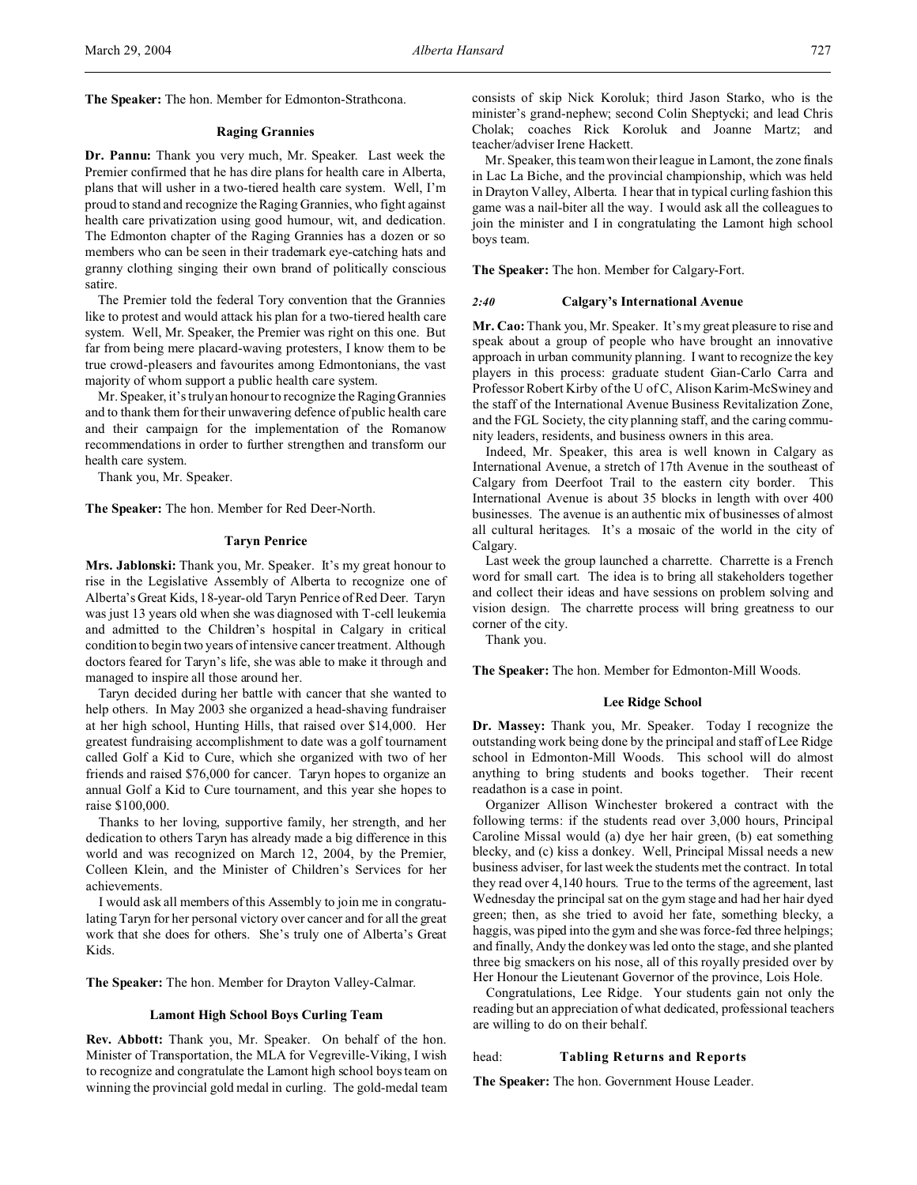#### **Raging Grannies**

**Dr. Pannu:** Thank you very much, Mr. Speaker. Last week the Premier confirmed that he has dire plans for health care in Alberta, plans that will usher in a two-tiered health care system. Well, I'm proud to stand and recognize the Raging Grannies, who fight against health care privatization using good humour, wit, and dedication. The Edmonton chapter of the Raging Grannies has a dozen or so members who can be seen in their trademark eye-catching hats and granny clothing singing their own brand of politically conscious satire.

The Premier told the federal Tory convention that the Grannies like to protest and would attack his plan for a two-tiered health care system. Well, Mr. Speaker, the Premier was right on this one. But far from being mere placard-waving protesters, I know them to be true crowd-pleasers and favourites among Edmontonians, the vast majority of whom support a public health care system.

Mr. Speaker, it's truly an honour to recognize the Raging Grannies and to thank them for their unwavering defence of public health care and their campaign for the implementation of the Romanow recommendations in order to further strengthen and transform our health care system.

Thank you, Mr. Speaker.

**The Speaker:** The hon. Member for Red Deer-North.

### **Taryn Penrice**

**Mrs. Jablonski:** Thank you, Mr. Speaker. It's my great honour to rise in the Legislative Assembly of Alberta to recognize one of Alberta's Great Kids, 18-year-old Taryn Penrice of Red Deer. Taryn was just 13 years old when she was diagnosed with T-cell leukemia and admitted to the Children's hospital in Calgary in critical condition to begin two years of intensive cancer treatment. Although doctors feared for Taryn's life, she was able to make it through and managed to inspire all those around her.

Taryn decided during her battle with cancer that she wanted to help others. In May 2003 she organized a head-shaving fundraiser at her high school, Hunting Hills, that raised over \$14,000. Her greatest fundraising accomplishment to date was a golf tournament called Golf a Kid to Cure, which she organized with two of her friends and raised \$76,000 for cancer. Taryn hopes to organize an annual Golf a Kid to Cure tournament, and this year she hopes to raise \$100,000.

Thanks to her loving, supportive family, her strength, and her dedication to others Taryn has already made a big difference in this world and was recognized on March 12, 2004, by the Premier, Colleen Klein, and the Minister of Children's Services for her achievements.

I would ask all members of this Assembly to join me in congratulating Taryn for her personal victory over cancer and for all the great work that she does for others. She's truly one of Alberta's Great Kids.

**The Speaker:** The hon. Member for Drayton Valley-Calmar.

### **Lamont High School Boys Curling Team**

**Rev. Abbott:** Thank you, Mr. Speaker. On behalf of the hon. Minister of Transportation, the MLA for Vegreville-Viking, I wish to recognize and congratulate the Lamont high school boys team on winning the provincial gold medal in curling. The gold-medal team consists of skip Nick Koroluk; third Jason Starko, who is the minister's grand-nephew; second Colin Sheptycki; and lead Chris Cholak; coaches Rick Koroluk and Joanne Martz; and teacher/adviser Irene Hackett.

Mr. Speaker, this team won their league in Lamont, the zone finals in Lac La Biche, and the provincial championship, which was held in Drayton Valley, Alberta. I hear that in typical curling fashion this game was a nail-biter all the way. I would ask all the colleagues to join the minister and I in congratulating the Lamont high school boys team.

**The Speaker:** The hon. Member for Calgary-Fort.

#### *2:40* **Calgary's International Avenue**

**Mr. Cao:** Thank you, Mr. Speaker. It's my great pleasure to rise and speak about a group of people who have brought an innovative approach in urban community planning. I want to recognize the key players in this process: graduate student Gian-Carlo Carra and Professor Robert Kirby of the U of C, Alison Karim-McSwiney and the staff of the International Avenue Business Revitalization Zone, and the FGL Society, the city planning staff, and the caring community leaders, residents, and business owners in this area.

Indeed, Mr. Speaker, this area is well known in Calgary as International Avenue, a stretch of 17th Avenue in the southeast of Calgary from Deerfoot Trail to the eastern city border. This International Avenue is about 35 blocks in length with over 400 businesses. The avenue is an authentic mix of businesses of almost all cultural heritages. It's a mosaic of the world in the city of Calgary.

Last week the group launched a charrette. Charrette is a French word for small cart. The idea is to bring all stakeholders together and collect their ideas and have sessions on problem solving and vision design. The charrette process will bring greatness to our corner of the city.

Thank you.

**The Speaker:** The hon. Member for Edmonton-Mill Woods.

#### **Lee Ridge School**

**Dr. Massey:** Thank you, Mr. Speaker. Today I recognize the outstanding work being done by the principal and staff of Lee Ridge school in Edmonton-Mill Woods. This school will do almost anything to bring students and books together. Their recent readathon is a case in point.

Organizer Allison Winchester brokered a contract with the following terms: if the students read over 3,000 hours, Principal Caroline Missal would (a) dye her hair green, (b) eat something blecky, and (c) kiss a donkey. Well, Principal Missal needs a new business adviser, for last week the students met the contract. In total they read over 4,140 hours. True to the terms of the agreement, last Wednesday the principal sat on the gym stage and had her hair dyed green; then, as she tried to avoid her fate, something blecky, a haggis, was piped into the gym and she was force-fed three helpings; and finally, Andy the donkey was led onto the stage, and she planted three big smackers on his nose, all of this royally presided over by Her Honour the Lieutenant Governor of the province, Lois Hole.

Congratulations, Lee Ridge. Your students gain not only the reading but an appreciation of what dedicated, professional teachers are willing to do on their behalf.

#### head: **Tabling Returns and Reports**

**The Speaker:** The hon. Government House Leader.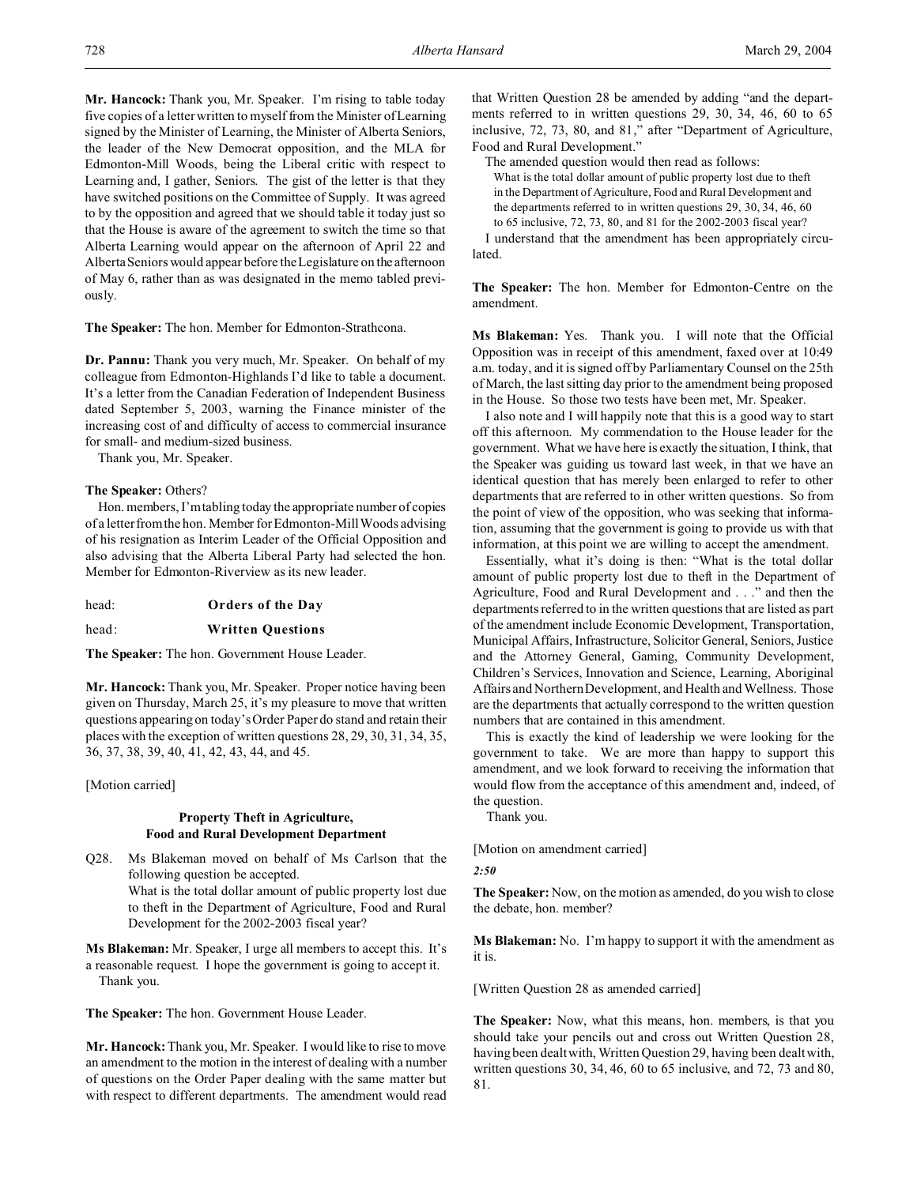**Mr. Hancock:** Thank you, Mr. Speaker. I'm rising to table today five copies of a letter written to myself from the Minister of Learning signed by the Minister of Learning, the Minister of Alberta Seniors, the leader of the New Democrat opposition, and the MLA for Edmonton-Mill Woods, being the Liberal critic with respect to Learning and, I gather, Seniors. The gist of the letter is that they have switched positions on the Committee of Supply. It was agreed to by the opposition and agreed that we should table it today just so that the House is aware of the agreement to switch the time so that Alberta Learning would appear on the afternoon of April 22 and Alberta Seniors would appear before the Legislature on the afternoon of May 6, rather than as was designated in the memo tabled previously.

**The Speaker:** The hon. Member for Edmonton-Strathcona.

**Dr. Pannu:** Thank you very much, Mr. Speaker. On behalf of my colleague from Edmonton-Highlands I'd like to table a document. It's a letter from the Canadian Federation of Independent Business dated September 5, 2003, warning the Finance minister of the increasing cost of and difficulty of access to commercial insurance for small- and medium-sized business.

Thank you, Mr. Speaker.

### **The Speaker:** Others?

Hon. members, I'm tabling today the appropriate number of copies of a letter from the hon. Member for Edmonton-Mill Woods advising of his resignation as Interim Leader of the Official Opposition and also advising that the Alberta Liberal Party had selected the hon. Member for Edmonton-Riverview as its new leader.

head: **Orders of the Day**

head: **Written Questions**

**The Speaker:** The hon. Government House Leader.

**Mr. Hancock:** Thank you, Mr. Speaker. Proper notice having been given on Thursday, March 25, it's my pleasure to move that written questions appearing on today's Order Paper do stand and retain their places with the exception of written questions 28, 29, 30, 31, 34, 35, 36, 37, 38, 39, 40, 41, 42, 43, 44, and 45.

[Motion carried]

# **Property Theft in Agriculture, Food and Rural Development Department**

Q28. Ms Blakeman moved on behalf of Ms Carlson that the following question be accepted. What is the total dollar amount of public property lost due to theft in the Department of Agriculture, Food and Rural Development for the 2002-2003 fiscal year?

**Ms Blakeman:** Mr. Speaker, I urge all members to accept this. It's a reasonable request. I hope the government is going to accept it. Thank you.

**The Speaker:** The hon. Government House Leader.

**Mr. Hancock:** Thank you, Mr. Speaker. I would like to rise to move an amendment to the motion in the interest of dealing with a number of questions on the Order Paper dealing with the same matter but with respect to different departments. The amendment would read that Written Question 28 be amended by adding "and the departments referred to in written questions 29, 30, 34, 46, 60 to 65 inclusive, 72, 73, 80, and 81," after "Department of Agriculture, Food and Rural Development."

The amended question would then read as follows:

What is the total dollar amount of public property lost due to theft in the Department of Agriculture, Food and Rural Development and the departments referred to in written questions 29, 30, 34, 46, 60 to 65 inclusive, 72, 73, 80, and 81 for the 2002-2003 fiscal year?

I understand that the amendment has been appropriately circulated.

**The Speaker:** The hon. Member for Edmonton-Centre on the amendment.

**Ms Blakeman:** Yes. Thank you. I will note that the Official Opposition was in receipt of this amendment, faxed over at 10:49 a.m. today, and it is signed off by Parliamentary Counsel on the 25th of March, the last sitting day prior to the amendment being proposed in the House. So those two tests have been met, Mr. Speaker.

I also note and I will happily note that this is a good way to start off this afternoon. My commendation to the House leader for the government. What we have here is exactly the situation, I think, that the Speaker was guiding us toward last week, in that we have an identical question that has merely been enlarged to refer to other departments that are referred to in other written questions. So from the point of view of the opposition, who was seeking that information, assuming that the government is going to provide us with that information, at this point we are willing to accept the amendment.

Essentially, what it's doing is then: "What is the total dollar amount of public property lost due to theft in the Department of Agriculture, Food and Rural Development and . . ." and then the departments referred to in the written questions that are listed as part of the amendment include Economic Development, Transportation, Municipal Affairs, Infrastructure, Solicitor General, Seniors, Justice and the Attorney General, Gaming, Community Development, Children's Services, Innovation and Science, Learning, Aboriginal Affairs and Northern Development, and Health and Wellness. Those are the departments that actually correspond to the written question numbers that are contained in this amendment.

This is exactly the kind of leadership we were looking for the government to take. We are more than happy to support this amendment, and we look forward to receiving the information that would flow from the acceptance of this amendment and, indeed, of the question.

Thank you.

[Motion on amendment carried]

$$
2:50
$$

**The Speaker:** Now, on the motion as amended, do you wish to close the debate, hon. member?

**Ms Blakeman:** No. I'm happy to support it with the amendment as it is.

[Written Question 28 as amended carried]

**The Speaker:** Now, what this means, hon. members, is that you should take your pencils out and cross out Written Question 28, having been dealt with, Written Question 29, having been dealt with, written questions 30, 34, 46, 60 to 65 inclusive, and 72, 73 and 80, 81.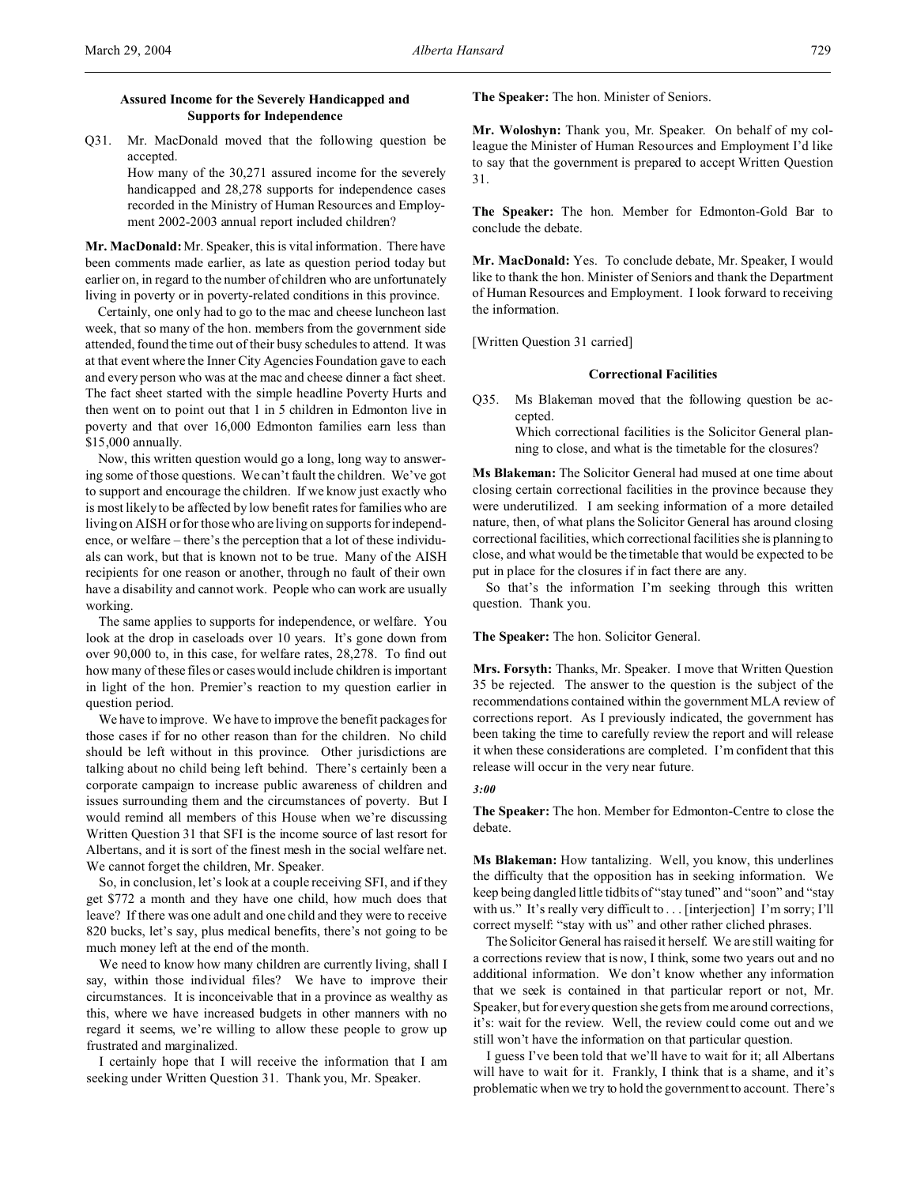Q31. Mr. MacDonald moved that the following question be accepted.

How many of the 30,271 assured income for the severely handicapped and 28,278 supports for independence cases recorded in the Ministry of Human Resources and Employment 2002-2003 annual report included children?

**Mr. MacDonald:** Mr. Speaker, this is vital information. There have been comments made earlier, as late as question period today but earlier on, in regard to the number of children who are unfortunately living in poverty or in poverty-related conditions in this province.

Certainly, one only had to go to the mac and cheese luncheon last week, that so many of the hon. members from the government side attended, found the time out of their busy schedules to attend. It was at that event where the Inner City Agencies Foundation gave to each and every person who was at the mac and cheese dinner a fact sheet. The fact sheet started with the simple headline Poverty Hurts and then went on to point out that 1 in 5 children in Edmonton live in poverty and that over 16,000 Edmonton families earn less than \$15,000 annually.

Now, this written question would go a long, long way to answering some of those questions. We can't fault the children. We've got to support and encourage the children. If we know just exactly who is most likely to be affected by low benefit rates for families who are living on AISH or for those who are living on supports for independence, or welfare – there's the perception that a lot of these individuals can work, but that is known not to be true. Many of the AISH recipients for one reason or another, through no fault of their own have a disability and cannot work. People who can work are usually working.

The same applies to supports for independence, or welfare. You look at the drop in caseloads over 10 years. It's gone down from over 90,000 to, in this case, for welfare rates, 28,278. To find out how many of these files or cases would include children is important in light of the hon. Premier's reaction to my question earlier in question period.

We have to improve. We have to improve the benefit packages for those cases if for no other reason than for the children. No child should be left without in this province. Other jurisdictions are talking about no child being left behind. There's certainly been a corporate campaign to increase public awareness of children and issues surrounding them and the circumstances of poverty. But I would remind all members of this House when we're discussing Written Question 31 that SFI is the income source of last resort for Albertans, and it is sort of the finest mesh in the social welfare net. We cannot forget the children, Mr. Speaker.

So, in conclusion, let's look at a couple receiving SFI, and if they get \$772 a month and they have one child, how much does that leave? If there was one adult and one child and they were to receive 820 bucks, let's say, plus medical benefits, there's not going to be much money left at the end of the month.

We need to know how many children are currently living, shall I say, within those individual files? We have to improve their circumstances. It is inconceivable that in a province as wealthy as this, where we have increased budgets in other manners with no regard it seems, we're willing to allow these people to grow up frustrated and marginalized.

I certainly hope that I will receive the information that I am seeking under Written Question 31. Thank you, Mr. Speaker.

**The Speaker:** The hon. Minister of Seniors.

**Mr. Woloshyn:** Thank you, Mr. Speaker. On behalf of my colleague the Minister of Human Resources and Employment I'd like to say that the government is prepared to accept Written Question 31.

**The Speaker:** The hon. Member for Edmonton-Gold Bar to conclude the debate.

**Mr. MacDonald:** Yes. To conclude debate, Mr. Speaker, I would like to thank the hon. Minister of Seniors and thank the Department of Human Resources and Employment. I look forward to receiving the information.

[Written Question 31 carried]

## **Correctional Facilities**

Q35. Ms Blakeman moved that the following question be accepted.

> Which correctional facilities is the Solicitor General planning to close, and what is the timetable for the closures?

**Ms Blakeman:** The Solicitor General had mused at one time about closing certain correctional facilities in the province because they were underutilized. I am seeking information of a more detailed nature, then, of what plans the Solicitor General has around closing correctional facilities, which correctional facilities she is planning to close, and what would be the timetable that would be expected to be put in place for the closures if in fact there are any.

So that's the information I'm seeking through this written question. Thank you.

**The Speaker:** The hon. Solicitor General.

**Mrs. Forsyth:** Thanks, Mr. Speaker. I move that Written Question 35 be rejected. The answer to the question is the subject of the recommendations contained within the government MLA review of corrections report. As I previously indicated, the government has been taking the time to carefully review the report and will release it when these considerations are completed. I'm confident that this release will occur in the very near future.

#### *3:00*

**The Speaker:** The hon. Member for Edmonton-Centre to close the debate.

**Ms Blakeman:** How tantalizing. Well, you know, this underlines the difficulty that the opposition has in seeking information. We keep being dangled little tidbits of "stay tuned" and "soon" and "stay with us." It's really very difficult to . . . [interjection] I'm sorry; I'll correct myself: "stay with us" and other rather cliched phrases.

The Solicitor General has raised it herself. We are still waiting for a corrections review that is now, I think, some two years out and no additional information. We don't know whether any information that we seek is contained in that particular report or not, Mr. Speaker, but for every question she gets from me around corrections, it's: wait for the review. Well, the review could come out and we still won't have the information on that particular question.

I guess I've been told that we'll have to wait for it; all Albertans will have to wait for it. Frankly, I think that is a shame, and it's problematic when we try to hold the government to account. There's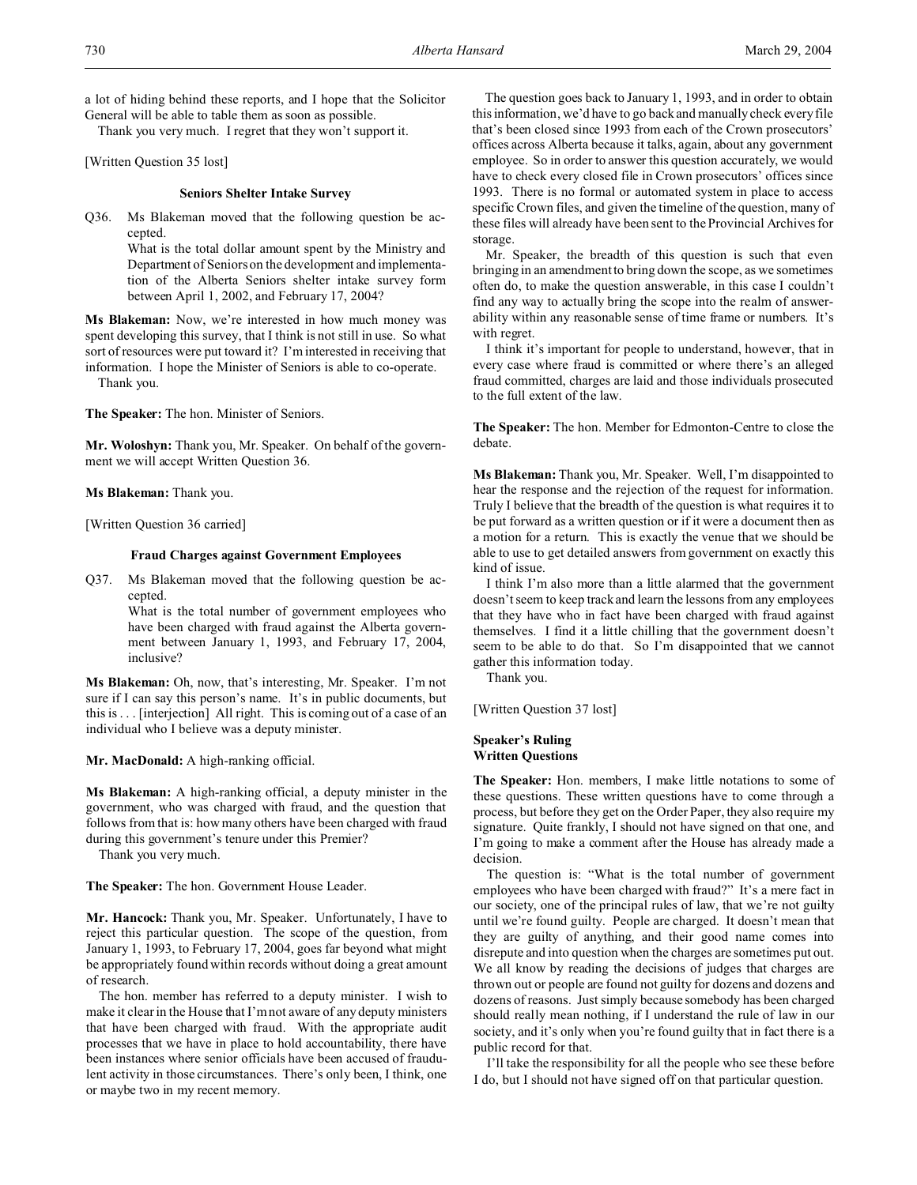a lot of hiding behind these reports, and I hope that the Solicitor General will be able to table them as soon as possible.

Thank you very much. I regret that they won't support it.

[Written Question 35 lost]

# **Seniors Shelter Intake Survey**

Q36. Ms Blakeman moved that the following question be accepted.

> What is the total dollar amount spent by the Ministry and Department of Seniors on the development and implementation of the Alberta Seniors shelter intake survey form between April 1, 2002, and February 17, 2004?

**Ms Blakeman:** Now, we're interested in how much money was spent developing this survey, that I think is not still in use. So what sort of resources were put toward it? I'm interested in receiving that information. I hope the Minister of Seniors is able to co-operate. Thank you.

**The Speaker:** The hon. Minister of Seniors.

**Mr. Woloshyn:** Thank you, Mr. Speaker. On behalf of the government we will accept Written Question 36.

**Ms Blakeman:** Thank you.

[Written Question 36 carried]

### **Fraud Charges against Government Employees**

Q37. Ms Blakeman moved that the following question be accepted.

> What is the total number of government employees who have been charged with fraud against the Alberta government between January 1, 1993, and February 17, 2004, inclusive?

**Ms Blakeman:** Oh, now, that's interesting, Mr. Speaker. I'm not sure if I can say this person's name. It's in public documents, but this is . . . [interjection] All right. This is coming out of a case of an individual who I believe was a deputy minister.

**Mr. MacDonald:** A high-ranking official.

**Ms Blakeman:** A high-ranking official, a deputy minister in the government, who was charged with fraud, and the question that follows from that is: how many others have been charged with fraud during this government's tenure under this Premier?

Thank you very much.

**The Speaker:** The hon. Government House Leader.

**Mr. Hancock:** Thank you, Mr. Speaker. Unfortunately, I have to reject this particular question. The scope of the question, from January 1, 1993, to February 17, 2004, goes far beyond what might be appropriately found within records without doing a great amount of research.

The hon. member has referred to a deputy minister. I wish to make it clear in the House that I'm not aware of any deputy ministers that have been charged with fraud. With the appropriate audit processes that we have in place to hold accountability, there have been instances where senior officials have been accused of fraudulent activity in those circumstances. There's only been, I think, one or maybe two in my recent memory.

The question goes back to January 1, 1993, and in order to obtain this information, we'd have to go back and manually check every file that's been closed since 1993 from each of the Crown prosecutors' offices across Alberta because it talks, again, about any government employee. So in order to answer this question accurately, we would have to check every closed file in Crown prosecutors' offices since 1993. There is no formal or automated system in place to access specific Crown files, and given the timeline of the question, many of these files will already have been sent to the Provincial Archives for storage.

Mr. Speaker, the breadth of this question is such that even bringing in an amendment to bring down the scope, as we sometimes often do, to make the question answerable, in this case I couldn't find any way to actually bring the scope into the realm of answerability within any reasonable sense of time frame or numbers. It's with regret.

I think it's important for people to understand, however, that in every case where fraud is committed or where there's an alleged fraud committed, charges are laid and those individuals prosecuted to the full extent of the law.

**The Speaker:** The hon. Member for Edmonton-Centre to close the debate.

**Ms Blakeman:** Thank you, Mr. Speaker. Well, I'm disappointed to hear the response and the rejection of the request for information. Truly I believe that the breadth of the question is what requires it to be put forward as a written question or if it were a document then as a motion for a return. This is exactly the venue that we should be able to use to get detailed answers from government on exactly this kind of issue.

I think I'm also more than a little alarmed that the government doesn't seem to keep track and learn the lessons from any employees that they have who in fact have been charged with fraud against themselves. I find it a little chilling that the government doesn't seem to be able to do that. So I'm disappointed that we cannot gather this information today.

Thank you.

[Written Question 37 lost]

# **Speaker's Ruling Written Questions**

**The Speaker:** Hon. members, I make little notations to some of these questions. These written questions have to come through a process, but before they get on the Order Paper, they also require my signature. Quite frankly, I should not have signed on that one, and I'm going to make a comment after the House has already made a decision.

The question is: "What is the total number of government employees who have been charged with fraud?" It's a mere fact in our society, one of the principal rules of law, that we're not guilty until we're found guilty. People are charged. It doesn't mean that they are guilty of anything, and their good name comes into disrepute and into question when the charges are sometimes put out. We all know by reading the decisions of judges that charges are thrown out or people are found not guilty for dozens and dozens and dozens of reasons. Just simply because somebody has been charged should really mean nothing, if I understand the rule of law in our society, and it's only when you're found guilty that in fact there is a public record for that.

I'll take the responsibility for all the people who see these before I do, but I should not have signed off on that particular question.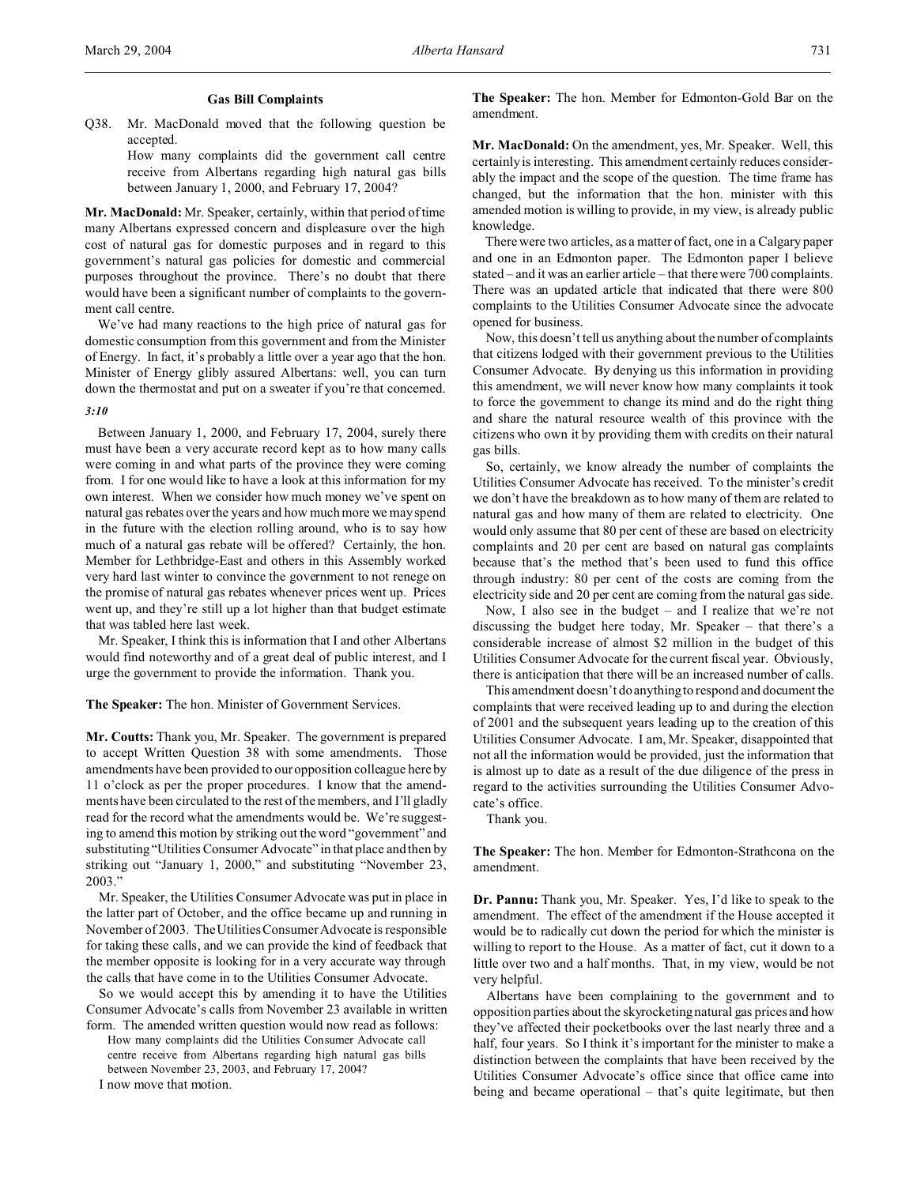Q38. Mr. MacDonald moved that the following question be accepted.

> How many complaints did the government call centre receive from Albertans regarding high natural gas bills between January 1, 2000, and February 17, 2004?

**Mr. MacDonald:** Mr. Speaker, certainly, within that period of time many Albertans expressed concern and displeasure over the high cost of natural gas for domestic purposes and in regard to this government's natural gas policies for domestic and commercial purposes throughout the province. There's no doubt that there would have been a significant number of complaints to the government call centre.

We've had many reactions to the high price of natural gas for domestic consumption from this government and from the Minister of Energy. In fact, it's probably a little over a year ago that the hon. Minister of Energy glibly assured Albertans: well, you can turn down the thermostat and put on a sweater if you're that concerned.

#### *3:10*

Between January 1, 2000, and February 17, 2004, surely there must have been a very accurate record kept as to how many calls were coming in and what parts of the province they were coming from. I for one would like to have a look at this information for my own interest. When we consider how much money we've spent on natural gas rebates over the years and how much more we may spend in the future with the election rolling around, who is to say how much of a natural gas rebate will be offered? Certainly, the hon. Member for Lethbridge-East and others in this Assembly worked very hard last winter to convince the government to not renege on the promise of natural gas rebates whenever prices went up. Prices went up, and they're still up a lot higher than that budget estimate that was tabled here last week.

Mr. Speaker, I think this is information that I and other Albertans would find noteworthy and of a great deal of public interest, and I urge the government to provide the information. Thank you.

**The Speaker:** The hon. Minister of Government Services.

**Mr. Coutts:** Thank you, Mr. Speaker. The government is prepared to accept Written Question 38 with some amendments. Those amendments have been provided to our opposition colleague here by 11 o'clock as per the proper procedures. I know that the amendments have been circulated to the rest of the members, and I'll gladly read for the record what the amendments would be. We're suggesting to amend this motion by striking out the word "government" and substituting "Utilities Consumer Advocate" in that place and then by striking out "January 1, 2000," and substituting "November 23, 2003."

Mr. Speaker, the Utilities Consumer Advocate was put in place in the latter part of October, and the office became up and running in November of 2003. The Utilities Consumer Advocate is responsible for taking these calls, and we can provide the kind of feedback that the member opposite is looking for in a very accurate way through the calls that have come in to the Utilities Consumer Advocate.

So we would accept this by amending it to have the Utilities Consumer Advocate's calls from November 23 available in written form. The amended written question would now read as follows:

How many complaints did the Utilities Consumer Advocate call centre receive from Albertans regarding high natural gas bills between November 23, 2003, and February 17, 2004?

I now move that motion.

**The Speaker:** The hon. Member for Edmonton-Gold Bar on the amendment.

**Mr. MacDonald:** On the amendment, yes, Mr. Speaker. Well, this certainly is interesting. This amendment certainly reduces considerably the impact and the scope of the question. The time frame has changed, but the information that the hon. minister with this amended motion is willing to provide, in my view, is already public knowledge.

There were two articles, as a matter of fact, one in a Calgary paper and one in an Edmonton paper. The Edmonton paper I believe stated – and it was an earlier article – that there were 700 complaints. There was an updated article that indicated that there were 800 complaints to the Utilities Consumer Advocate since the advocate opened for business.

Now, this doesn't tell us anything about the number of complaints that citizens lodged with their government previous to the Utilities Consumer Advocate. By denying us this information in providing this amendment, we will never know how many complaints it took to force the government to change its mind and do the right thing and share the natural resource wealth of this province with the citizens who own it by providing them with credits on their natural gas bills.

So, certainly, we know already the number of complaints the Utilities Consumer Advocate has received. To the minister's credit we don't have the breakdown as to how many of them are related to natural gas and how many of them are related to electricity. One would only assume that 80 per cent of these are based on electricity complaints and 20 per cent are based on natural gas complaints because that's the method that's been used to fund this office through industry: 80 per cent of the costs are coming from the electricity side and 20 per cent are coming from the natural gas side.

Now, I also see in the budget – and I realize that we're not discussing the budget here today, Mr. Speaker – that there's a considerable increase of almost \$2 million in the budget of this Utilities Consumer Advocate for the current fiscal year. Obviously, there is anticipation that there will be an increased number of calls.

This amendment doesn't do anything to respond and document the complaints that were received leading up to and during the election of 2001 and the subsequent years leading up to the creation of this Utilities Consumer Advocate. I am, Mr. Speaker, disappointed that not all the information would be provided, just the information that is almost up to date as a result of the due diligence of the press in regard to the activities surrounding the Utilities Consumer Advocate's office.

Thank you.

**The Speaker:** The hon. Member for Edmonton-Strathcona on the amendment.

**Dr. Pannu:** Thank you, Mr. Speaker. Yes, I'd like to speak to the amendment. The effect of the amendment if the House accepted it would be to radically cut down the period for which the minister is willing to report to the House. As a matter of fact, cut it down to a little over two and a half months. That, in my view, would be not very helpful.

Albertans have been complaining to the government and to opposition parties about the skyrocketing natural gas prices and how they've affected their pocketbooks over the last nearly three and a half, four years. So I think it's important for the minister to make a distinction between the complaints that have been received by the Utilities Consumer Advocate's office since that office came into being and became operational – that's quite legitimate, but then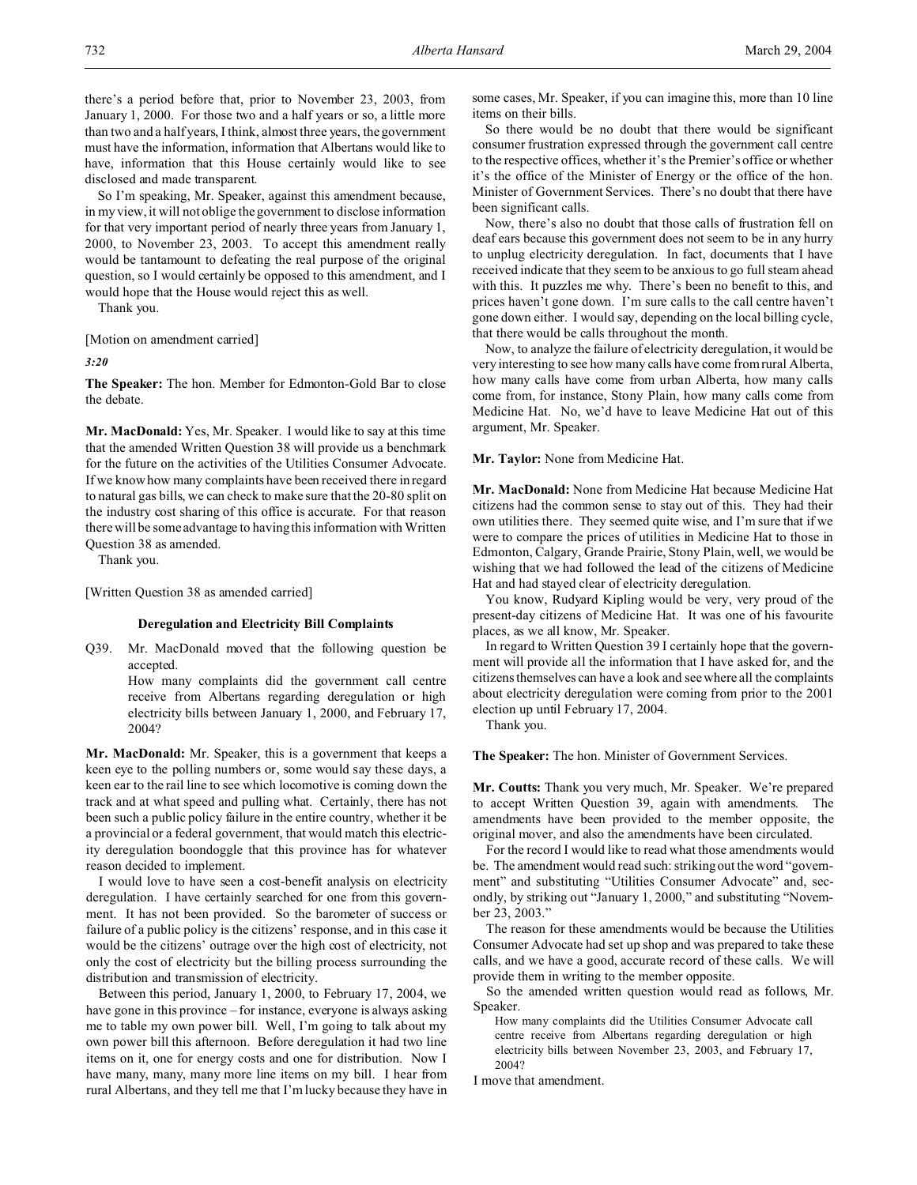So I'm speaking, Mr. Speaker, against this amendment because, in my view, it will not oblige the government to disclose information for that very important period of nearly three years from January 1, 2000, to November 23, 2003. To accept this amendment really would be tantamount to defeating the real purpose of the original question, so I would certainly be opposed to this amendment, and I would hope that the House would reject this as well.

Thank you.

[Motion on amendment carried]

*3:20*

**The Speaker:** The hon. Member for Edmonton-Gold Bar to close the debate.

**Mr. MacDonald:** Yes, Mr. Speaker. I would like to say at this time that the amended Written Question 38 will provide us a benchmark for the future on the activities of the Utilities Consumer Advocate. If we know how many complaints have been received there in regard to natural gas bills, we can check to make sure that the 20-80 split on the industry cost sharing of this office is accurate. For that reason there will be some advantage to having this information with Written Question 38 as amended.

Thank you.

[Written Question 38 as amended carried]

#### **Deregulation and Electricity Bill Complaints**

Q39. Mr. MacDonald moved that the following question be accepted.

> How many complaints did the government call centre receive from Albertans regarding deregulation or high electricity bills between January 1, 2000, and February 17, 2004?

**Mr. MacDonald:** Mr. Speaker, this is a government that keeps a keen eye to the polling numbers or, some would say these days, a keen ear to the rail line to see which locomotive is coming down the track and at what speed and pulling what. Certainly, there has not been such a public policy failure in the entire country, whether it be a provincial or a federal government, that would match this electricity deregulation boondoggle that this province has for whatever reason decided to implement.

I would love to have seen a cost-benefit analysis on electricity deregulation. I have certainly searched for one from this government. It has not been provided. So the barometer of success or failure of a public policy is the citizens' response, and in this case it would be the citizens' outrage over the high cost of electricity, not only the cost of electricity but the billing process surrounding the distribution and transmission of electricity.

Between this period, January 1, 2000, to February 17, 2004, we have gone in this province – for instance, everyone is always asking me to table my own power bill. Well, I'm going to talk about my own power bill this afternoon. Before deregulation it had two line items on it, one for energy costs and one for distribution. Now I have many, many, many more line items on my bill. I hear from rural Albertans, and they tell me that I'm lucky because they have in

some cases, Mr. Speaker, if you can imagine this, more than 10 line items on their bills.

So there would be no doubt that there would be significant consumer frustration expressed through the government call centre to the respective offices, whether it's the Premier's office or whether it's the office of the Minister of Energy or the office of the hon. Minister of Government Services. There's no doubt that there have been significant calls.

Now, there's also no doubt that those calls of frustration fell on deaf ears because this government does not seem to be in any hurry to unplug electricity deregulation. In fact, documents that I have received indicate that they seem to be anxious to go full steam ahead with this. It puzzles me why. There's been no benefit to this, and prices haven't gone down. I'm sure calls to the call centre haven't gone down either. I would say, depending on the local billing cycle, that there would be calls throughout the month.

Now, to analyze the failure of electricity deregulation, it would be very interesting to see how many calls have come from rural Alberta, how many calls have come from urban Alberta, how many calls come from, for instance, Stony Plain, how many calls come from Medicine Hat. No, we'd have to leave Medicine Hat out of this argument, Mr. Speaker.

**Mr. Taylor:** None from Medicine Hat.

**Mr. MacDonald:** None from Medicine Hat because Medicine Hat citizens had the common sense to stay out of this. They had their own utilities there. They seemed quite wise, and I'm sure that if we were to compare the prices of utilities in Medicine Hat to those in Edmonton, Calgary, Grande Prairie, Stony Plain, well, we would be wishing that we had followed the lead of the citizens of Medicine Hat and had stayed clear of electricity deregulation.

You know, Rudyard Kipling would be very, very proud of the present-day citizens of Medicine Hat. It was one of his favourite places, as we all know, Mr. Speaker.

In regard to Written Question 39 I certainly hope that the government will provide all the information that I have asked for, and the citizens themselves can have a look and see where all the complaints about electricity deregulation were coming from prior to the 2001 election up until February 17, 2004.

Thank you.

**The Speaker:** The hon. Minister of Government Services.

**Mr. Coutts:** Thank you very much, Mr. Speaker. We're prepared to accept Written Question 39, again with amendments. The amendments have been provided to the member opposite, the original mover, and also the amendments have been circulated.

For the record I would like to read what those amendments would be. The amendment would read such: striking out the word "government" and substituting "Utilities Consumer Advocate" and, secondly, by striking out "January 1, 2000," and substituting "November 23, 2003."

The reason for these amendments would be because the Utilities Consumer Advocate had set up shop and was prepared to take these calls, and we have a good, accurate record of these calls. We will provide them in writing to the member opposite.

So the amended written question would read as follows, Mr. Speaker.

How many complaints did the Utilities Consumer Advocate call centre receive from Albertans regarding deregulation or high electricity bills between November 23, 2003, and February 17, 2004?

I move that amendment.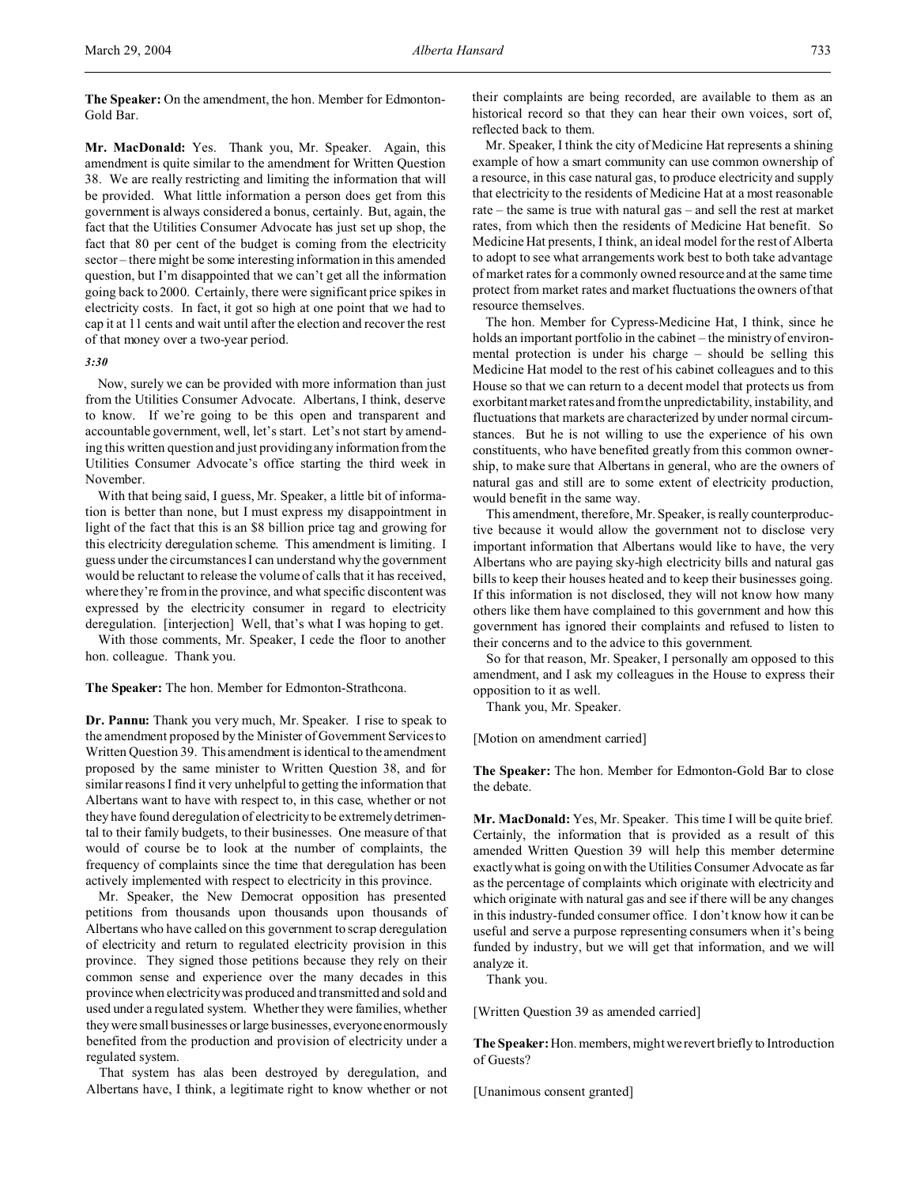**The Speaker:** On the amendment, the hon. Member for Edmonton-Gold Bar.

**Mr. MacDonald:** Yes. Thank you, Mr. Speaker. Again, this amendment is quite similar to the amendment for Written Question 38. We are really restricting and limiting the information that will be provided. What little information a person does get from this government is always considered a bonus, certainly. But, again, the fact that the Utilities Consumer Advocate has just set up shop, the fact that 80 per cent of the budget is coming from the electricity sector – there might be some interesting information in this amended question, but I'm disappointed that we can't get all the information going back to 2000. Certainly, there were significant price spikes in electricity costs. In fact, it got so high at one point that we had to cap it at 11 cents and wait until after the election and recover the rest of that money over a two-year period.

#### *3:30*

Now, surely we can be provided with more information than just from the Utilities Consumer Advocate. Albertans, I think, deserve to know. If we're going to be this open and transparent and accountable government, well, let's start. Let's not start by amending this written question and just providing any information from the Utilities Consumer Advocate's office starting the third week in November.

With that being said, I guess, Mr. Speaker, a little bit of information is better than none, but I must express my disappointment in light of the fact that this is an \$8 billion price tag and growing for this electricity deregulation scheme. This amendment is limiting. I guess under the circumstances I can understand why the government would be reluctant to release the volume of calls that it has received, where they're from in the province, and what specific discontent was expressed by the electricity consumer in regard to electricity deregulation. [interjection] Well, that's what I was hoping to get. With those comments, Mr. Speaker, I cede the floor to another

hon. colleague. Thank you.

**The Speaker:** The hon. Member for Edmonton-Strathcona.

**Dr. Pannu:** Thank you very much, Mr. Speaker. I rise to speak to the amendment proposed by the Minister of Government Services to Written Question 39. This amendment is identical to the amendment proposed by the same minister to Written Question 38, and for similar reasons I find it very unhelpful to getting the information that Albertans want to have with respect to, in this case, whether or not they have found deregulation of electricity to be extremely detrimental to their family budgets, to their businesses. One measure of that would of course be to look at the number of complaints, the frequency of complaints since the time that deregulation has been actively implemented with respect to electricity in this province.

Mr. Speaker, the New Democrat opposition has presented petitions from thousands upon thousands upon thousands of Albertans who have called on this government to scrap deregulation of electricity and return to regulated electricity provision in this province. They signed those petitions because they rely on their common sense and experience over the many decades in this province when electricity was produced and transmitted and sold and used under a regulated system. Whether they were families, whether they were small businesses or large businesses, everyone enormously benefited from the production and provision of electricity under a regulated system.

That system has alas been destroyed by deregulation, and Albertans have, I think, a legitimate right to know whether or not their complaints are being recorded, are available to them as an historical record so that they can hear their own voices, sort of, reflected back to them.

Mr. Speaker, I think the city of Medicine Hat represents a shining example of how a smart community can use common ownership of a resource, in this case natural gas, to produce electricity and supply that electricity to the residents of Medicine Hat at a most reasonable rate – the same is true with natural gas – and sell the rest at market rates, from which then the residents of Medicine Hat benefit. So Medicine Hat presents, I think, an ideal model for the rest of Alberta to adopt to see what arrangements work best to both take advantage of market rates for a commonly owned resource and at the same time protect from market rates and market fluctuations the owners of that resource themselves.

The hon. Member for Cypress-Medicine Hat, I think, since he holds an important portfolio in the cabinet – the ministry of environmental protection is under his charge – should be selling this Medicine Hat model to the rest of his cabinet colleagues and to this House so that we can return to a decent model that protects us from exorbitant market rates and from the unpredictability, instability, and fluctuations that markets are characterized by under normal circumstances. But he is not willing to use the experience of his own constituents, who have benefited greatly from this common ownership, to make sure that Albertans in general, who are the owners of natural gas and still are to some extent of electricity production, would benefit in the same way.

This amendment, therefore, Mr. Speaker, is really counterproductive because it would allow the government not to disclose very important information that Albertans would like to have, the very Albertans who are paying sky-high electricity bills and natural gas bills to keep their houses heated and to keep their businesses going. If this information is not disclosed, they will not know how many others like them have complained to this government and how this government has ignored their complaints and refused to listen to their concerns and to the advice to this government.

So for that reason, Mr. Speaker, I personally am opposed to this amendment, and I ask my colleagues in the House to express their opposition to it as well.

Thank you, Mr. Speaker.

[Motion on amendment carried]

**The Speaker:** The hon. Member for Edmonton-Gold Bar to close the debate.

**Mr. MacDonald:** Yes, Mr. Speaker. This time I will be quite brief. Certainly, the information that is provided as a result of this amended Written Question 39 will help this member determine exactly what is going on with the Utilities Consumer Advocate as far as the percentage of complaints which originate with electricity and which originate with natural gas and see if there will be any changes in this industry-funded consumer office. I don't know how it can be useful and serve a purpose representing consumers when it's being funded by industry, but we will get that information, and we will analyze it.

Thank you.

[Written Question 39 as amended carried]

**The Speaker:** Hon. members, mightwe revert briefly to Introduction of Guests?

[Unanimous consent granted]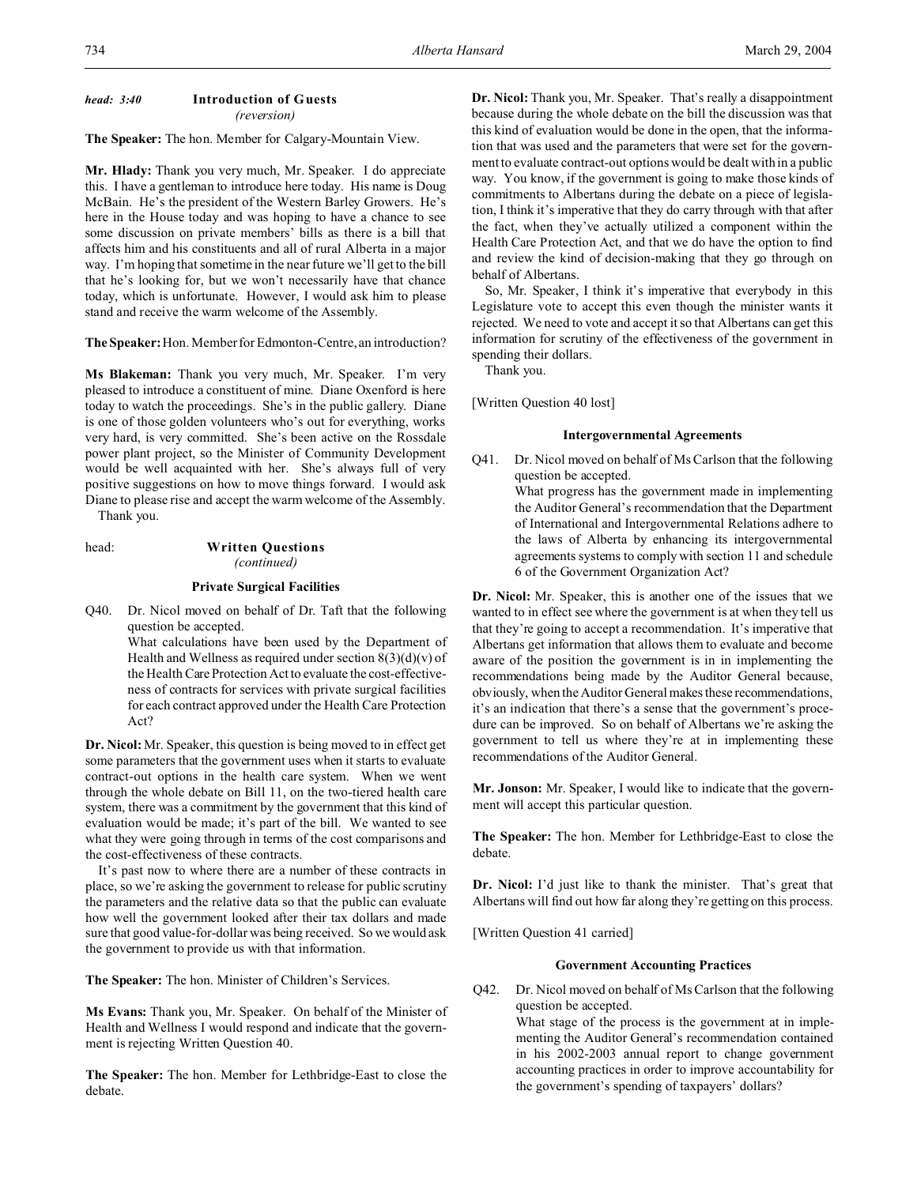## *head: 3:40* **Introduction of Guests** *(reversion)*

**The Speaker:** The hon. Member for Calgary-Mountain View.

**Mr. Hlady:** Thank you very much, Mr. Speaker. I do appreciate this. I have a gentleman to introduce here today. His name is Doug McBain. He's the president of the Western Barley Growers. He's here in the House today and was hoping to have a chance to see some discussion on private members' bills as there is a bill that affects him and his constituents and all of rural Alberta in a major way. I'm hoping that sometime in the near future we'll get to the bill that he's looking for, but we won't necessarily have that chance today, which is unfortunate. However, I would ask him to please stand and receive the warm welcome of the Assembly.

**The Speaker:**Hon. Member for Edmonton-Centre, an introduction?

**Ms Blakeman:** Thank you very much, Mr. Speaker. I'm very pleased to introduce a constituent of mine. Diane Oxenford is here today to watch the proceedings. She's in the public gallery. Diane is one of those golden volunteers who's out for everything, works very hard, is very committed. She's been active on the Rossdale power plant project, so the Minister of Community Development would be well acquainted with her. She's always full of very positive suggestions on how to move things forward. I would ask Diane to please rise and accept the warm welcome of the Assembly. Thank you.

#### head: **Written Questions** *(continued)*

#### **Private Surgical Facilities**

Q40. Dr. Nicol moved on behalf of Dr. Taft that the following question be accepted.

> What calculations have been used by the Department of Health and Wellness as required under section  $8(3)(d)(v)$  of the Health Care Protection Act to evaluate the cost-effectiveness of contracts for services with private surgical facilities for each contract approved under the Health Care Protection Act?

**Dr. Nicol:** Mr. Speaker, this question is being moved to in effect get some parameters that the government uses when it starts to evaluate contract-out options in the health care system. When we went through the whole debate on Bill 11, on the two-tiered health care system, there was a commitment by the government that this kind of evaluation would be made; it's part of the bill. We wanted to see what they were going through in terms of the cost comparisons and the cost-effectiveness of these contracts.

It's past now to where there are a number of these contracts in place, so we're asking the government to release for public scrutiny the parameters and the relative data so that the public can evaluate how well the government looked after their tax dollars and made sure that good value-for-dollar was being received. So we would ask the government to provide us with that information.

**The Speaker:** The hon. Minister of Children's Services.

**Ms Evans:** Thank you, Mr. Speaker. On behalf of the Minister of Health and Wellness I would respond and indicate that the government is rejecting Written Question 40.

**The Speaker:** The hon. Member for Lethbridge-East to close the debate.

**Dr. Nicol:** Thank you, Mr. Speaker. That's really a disappointment because during the whole debate on the bill the discussion was that this kind of evaluation would be done in the open, that the information that was used and the parameters that were set for the government to evaluate contract-out options would be dealt with in a public way. You know, if the government is going to make those kinds of commitments to Albertans during the debate on a piece of legislation, I think it's imperative that they do carry through with that after the fact, when they've actually utilized a component within the Health Care Protection Act, and that we do have the option to find and review the kind of decision-making that they go through on behalf of Albertans.

So, Mr. Speaker, I think it's imperative that everybody in this Legislature vote to accept this even though the minister wants it rejected. We need to vote and accept it so that Albertans can get this information for scrutiny of the effectiveness of the government in spending their dollars.

Thank you.

[Written Question 40 lost]

### **Intergovernmental Agreements**

Q41. Dr. Nicol moved on behalf of Ms Carlson that the following question be accepted. What progress has the government made in implementing the Auditor General's recommendation that the Department of International and Intergovernmental Relations adhere to the laws of Alberta by enhancing its intergovernmental agreements systems to comply with section 11 and schedule 6 of the Government Organization Act?

**Dr. Nicol:** Mr. Speaker, this is another one of the issues that we wanted to in effect see where the government is at when they tell us that they're going to accept a recommendation. It's imperative that Albertans get information that allows them to evaluate and become aware of the position the government is in in implementing the recommendations being made by the Auditor General because, obviously, when the Auditor General makes these recommendations, it's an indication that there's a sense that the government's procedure can be improved. So on behalf of Albertans we're asking the government to tell us where they're at in implementing these recommendations of the Auditor General.

**Mr. Jonson:** Mr. Speaker, I would like to indicate that the government will accept this particular question.

**The Speaker:** The hon. Member for Lethbridge-East to close the debate.

**Dr. Nicol:** I'd just like to thank the minister. That's great that Albertans will find out how far along they're getting on this process.

[Written Question 41 carried]

## **Government Accounting Practices**

Q42. Dr. Nicol moved on behalf of Ms Carlson that the following question be accepted.

> What stage of the process is the government at in implementing the Auditor General's recommendation contained in his 2002-2003 annual report to change government accounting practices in order to improve accountability for the government's spending of taxpayers' dollars?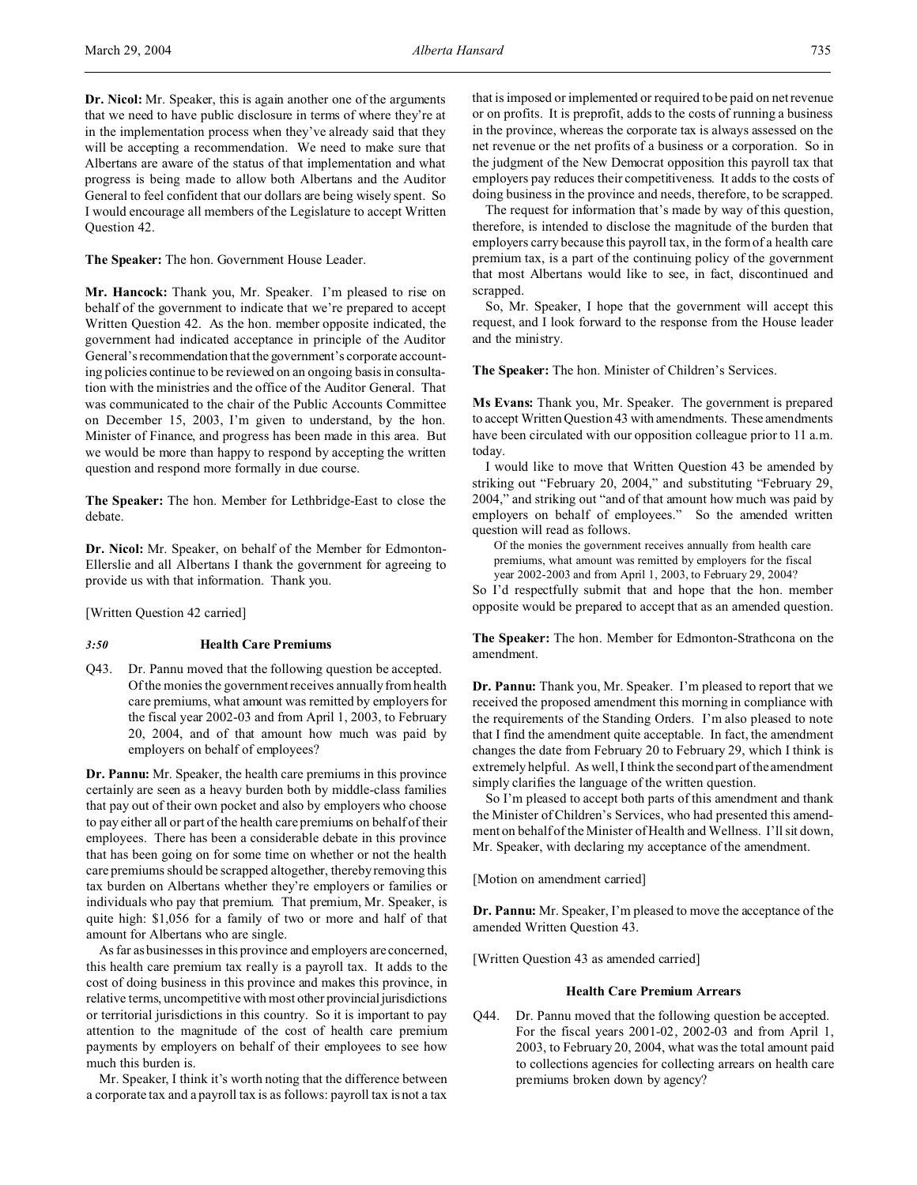**Dr. Nicol:** Mr. Speaker, this is again another one of the arguments that we need to have public disclosure in terms of where they're at in the implementation process when they've already said that they will be accepting a recommendation. We need to make sure that Albertans are aware of the status of that implementation and what progress is being made to allow both Albertans and the Auditor General to feel confident that our dollars are being wisely spent. So I would encourage all members of the Legislature to accept Written Question 42.

**The Speaker:** The hon. Government House Leader.

**Mr. Hancock:** Thank you, Mr. Speaker. I'm pleased to rise on behalf of the government to indicate that we're prepared to accept Written Question 42. As the hon. member opposite indicated, the government had indicated acceptance in principle of the Auditor General's recommendation that the government's corporate accounting policies continue to be reviewed on an ongoing basis in consultation with the ministries and the office of the Auditor General. That was communicated to the chair of the Public Accounts Committee on December 15, 2003, I'm given to understand, by the hon. Minister of Finance, and progress has been made in this area. But we would be more than happy to respond by accepting the written question and respond more formally in due course.

**The Speaker:** The hon. Member for Lethbridge-East to close the debate.

**Dr. Nicol:** Mr. Speaker, on behalf of the Member for Edmonton-Ellerslie and all Albertans I thank the government for agreeing to provide us with that information. Thank you.

[Written Question 42 carried]

### *3:50* **Health Care Premiums**

Q43. Dr. Pannu moved that the following question be accepted. Of the monies the government receives annually from health care premiums, what amount was remitted by employers for the fiscal year 2002-03 and from April 1, 2003, to February 20, 2004, and of that amount how much was paid by employers on behalf of employees?

**Dr. Pannu:** Mr. Speaker, the health care premiums in this province certainly are seen as a heavy burden both by middle-class families that pay out of their own pocket and also by employers who choose to pay either all or part of the health care premiums on behalf of their employees. There has been a considerable debate in this province that has been going on for some time on whether or not the health care premiums should be scrapped altogether, thereby removing this tax burden on Albertans whether they're employers or families or individuals who pay that premium. That premium, Mr. Speaker, is quite high: \$1,056 for a family of two or more and half of that amount for Albertans who are single.

As far as businesses in this province and employers are concerned, this health care premium tax really is a payroll tax. It adds to the cost of doing business in this province and makes this province, in relative terms, uncompetitive with most other provincial jurisdictions or territorial jurisdictions in this country. So it is important to pay attention to the magnitude of the cost of health care premium payments by employers on behalf of their employees to see how much this burden is.

Mr. Speaker, I think it's worth noting that the difference between a corporate tax and a payroll tax is as follows: payroll tax is not a tax that is imposed or implemented or required to be paid on net revenue or on profits. It is preprofit, adds to the costs of running a business in the province, whereas the corporate tax is always assessed on the net revenue or the net profits of a business or a corporation. So in the judgment of the New Democrat opposition this payroll tax that employers pay reduces their competitiveness. It adds to the costs of doing business in the province and needs, therefore, to be scrapped.

The request for information that's made by way of this question, therefore, is intended to disclose the magnitude of the burden that employers carry because this payroll tax, in the form of a health care premium tax, is a part of the continuing policy of the government that most Albertans would like to see, in fact, discontinued and scrapped.

So, Mr. Speaker, I hope that the government will accept this request, and I look forward to the response from the House leader and the ministry.

**The Speaker:** The hon. Minister of Children's Services.

**Ms Evans:** Thank you, Mr. Speaker. The government is prepared to accept Written Question 43 with amendments. These amendments have been circulated with our opposition colleague prior to 11 a.m. today.

I would like to move that Written Question 43 be amended by striking out "February 20, 2004," and substituting "February 29, 2004," and striking out "and of that amount how much was paid by employers on behalf of employees." So the amended written question will read as follows.

Of the monies the government receives annually from health care premiums, what amount was remitted by employers for the fiscal year 2002-2003 and from April 1, 2003, to February 29, 2004?

So I'd respectfully submit that and hope that the hon. member opposite would be prepared to accept that as an amended question.

**The Speaker:** The hon. Member for Edmonton-Strathcona on the amendment.

**Dr. Pannu:** Thank you, Mr. Speaker. I'm pleased to report that we received the proposed amendment this morning in compliance with the requirements of the Standing Orders. I'm also pleased to note that I find the amendment quite acceptable. In fact, the amendment changes the date from February 20 to February 29, which I think is extremely helpful. As well, I think the second part of the amendment simply clarifies the language of the written question.

So I'm pleased to accept both parts of this amendment and thank the Minister of Children's Services, who had presented this amendment on behalf of the Minister of Health and Wellness. I'll sit down, Mr. Speaker, with declaring my acceptance of the amendment.

[Motion on amendment carried]

**Dr. Pannu:** Mr. Speaker, I'm pleased to move the acceptance of the amended Written Question 43.

[Written Question 43 as amended carried]

## **Health Care Premium Arrears**

Q44. Dr. Pannu moved that the following question be accepted. For the fiscal years 2001-02, 2002-03 and from April 1, 2003, to February 20, 2004, what was the total amount paid to collections agencies for collecting arrears on health care premiums broken down by agency?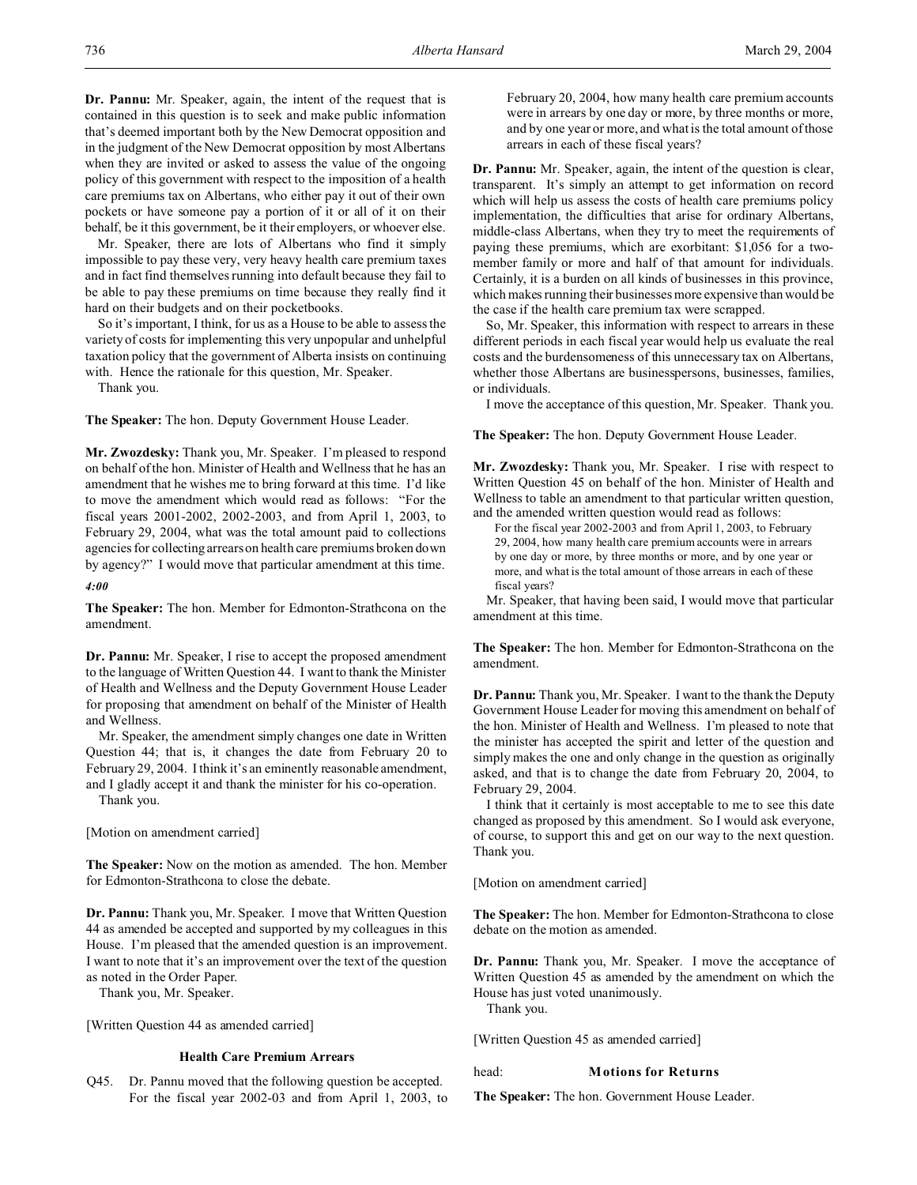**Dr. Pannu:** Mr. Speaker, again, the intent of the request that is contained in this question is to seek and make public information that's deemed important both by the New Democrat opposition and in the judgment of the New Democrat opposition by most Albertans when they are invited or asked to assess the value of the ongoing policy of this government with respect to the imposition of a health care premiums tax on Albertans, who either pay it out of their own pockets or have someone pay a portion of it or all of it on their behalf, be it this government, be it their employers, or whoever else.

Mr. Speaker, there are lots of Albertans who find it simply impossible to pay these very, very heavy health care premium taxes and in fact find themselves running into default because they fail to be able to pay these premiums on time because they really find it hard on their budgets and on their pocketbooks.

So it's important, I think, for us as a House to be able to assess the variety of costs for implementing this very unpopular and unhelpful taxation policy that the government of Alberta insists on continuing with. Hence the rationale for this question, Mr. Speaker.

Thank you.

**The Speaker:** The hon. Deputy Government House Leader.

**Mr. Zwozdesky:** Thank you, Mr. Speaker. I'm pleased to respond on behalf of the hon. Minister of Health and Wellness that he has an amendment that he wishes me to bring forward at this time. I'd like to move the amendment which would read as follows: "For the fiscal years 2001-2002, 2002-2003, and from April 1, 2003, to February 29, 2004, what was the total amount paid to collections agencies for collecting arrears on health care premiums broken down by agency?" I would move that particular amendment at this time.

*4:00*

**The Speaker:** The hon. Member for Edmonton-Strathcona on the amendment.

**Dr. Pannu:** Mr. Speaker, I rise to accept the proposed amendment to the language of Written Question 44. I want to thank the Minister of Health and Wellness and the Deputy Government House Leader for proposing that amendment on behalf of the Minister of Health and Wellness.

Mr. Speaker, the amendment simply changes one date in Written Question 44; that is, it changes the date from February 20 to February 29, 2004. I think it's an eminently reasonable amendment, and I gladly accept it and thank the minister for his co-operation. Thank you.

[Motion on amendment carried]

**The Speaker:** Now on the motion as amended. The hon. Member for Edmonton-Strathcona to close the debate.

**Dr. Pannu:** Thank you, Mr. Speaker. I move that Written Question 44 as amended be accepted and supported by my colleagues in this House. I'm pleased that the amended question is an improvement. I want to note that it's an improvement over the text of the question as noted in the Order Paper.

Thank you, Mr. Speaker.

[Written Question 44 as amended carried]

#### **Health Care Premium Arrears**

Q45. Dr. Pannu moved that the following question be accepted. For the fiscal year 2002-03 and from April 1, 2003, to February 20, 2004, how many health care premium accounts were in arrears by one day or more, by three months or more, and by one year or more, and what is the total amount of those arrears in each of these fiscal years?

**Dr. Pannu:** Mr. Speaker, again, the intent of the question is clear, transparent. It's simply an attempt to get information on record which will help us assess the costs of health care premiums policy implementation, the difficulties that arise for ordinary Albertans, middle-class Albertans, when they try to meet the requirements of paying these premiums, which are exorbitant: \$1,056 for a twomember family or more and half of that amount for individuals. Certainly, it is a burden on all kinds of businesses in this province, which makes running their businesses more expensive than would be the case if the health care premium tax were scrapped.

So, Mr. Speaker, this information with respect to arrears in these different periods in each fiscal year would help us evaluate the real costs and the burdensomeness of this unnecessary tax on Albertans, whether those Albertans are businesspersons, businesses, families, or individuals.

I move the acceptance of this question, Mr. Speaker. Thank you.

**The Speaker:** The hon. Deputy Government House Leader.

**Mr. Zwozdesky:** Thank you, Mr. Speaker. I rise with respect to Written Question 45 on behalf of the hon. Minister of Health and Wellness to table an amendment to that particular written question, and the amended written question would read as follows:

For the fiscal year 2002-2003 and from April 1, 2003, to February 29, 2004, how many health care premium accounts were in arrears by one day or more, by three months or more, and by one year or more, and what is the total amount of those arrears in each of these fiscal years?

Mr. Speaker, that having been said, I would move that particular amendment at this time.

**The Speaker:** The hon. Member for Edmonton-Strathcona on the amendment.

**Dr. Pannu:** Thank you, Mr. Speaker. I want to the thank the Deputy Government House Leader for moving this amendment on behalf of the hon. Minister of Health and Wellness. I'm pleased to note that the minister has accepted the spirit and letter of the question and simply makes the one and only change in the question as originally asked, and that is to change the date from February 20, 2004, to February 29, 2004.

I think that it certainly is most acceptable to me to see this date changed as proposed by this amendment. So I would ask everyone, of course, to support this and get on our way to the next question. Thank you.

[Motion on amendment carried]

**The Speaker:** The hon. Member for Edmonton-Strathcona to close debate on the motion as amended.

**Dr. Pannu:** Thank you, Mr. Speaker. I move the acceptance of Written Question 45 as amended by the amendment on which the House has just voted unanimously.

Thank you.

[Written Question 45 as amended carried]

#### head: **Motions for Returns**

**The Speaker:** The hon. Government House Leader.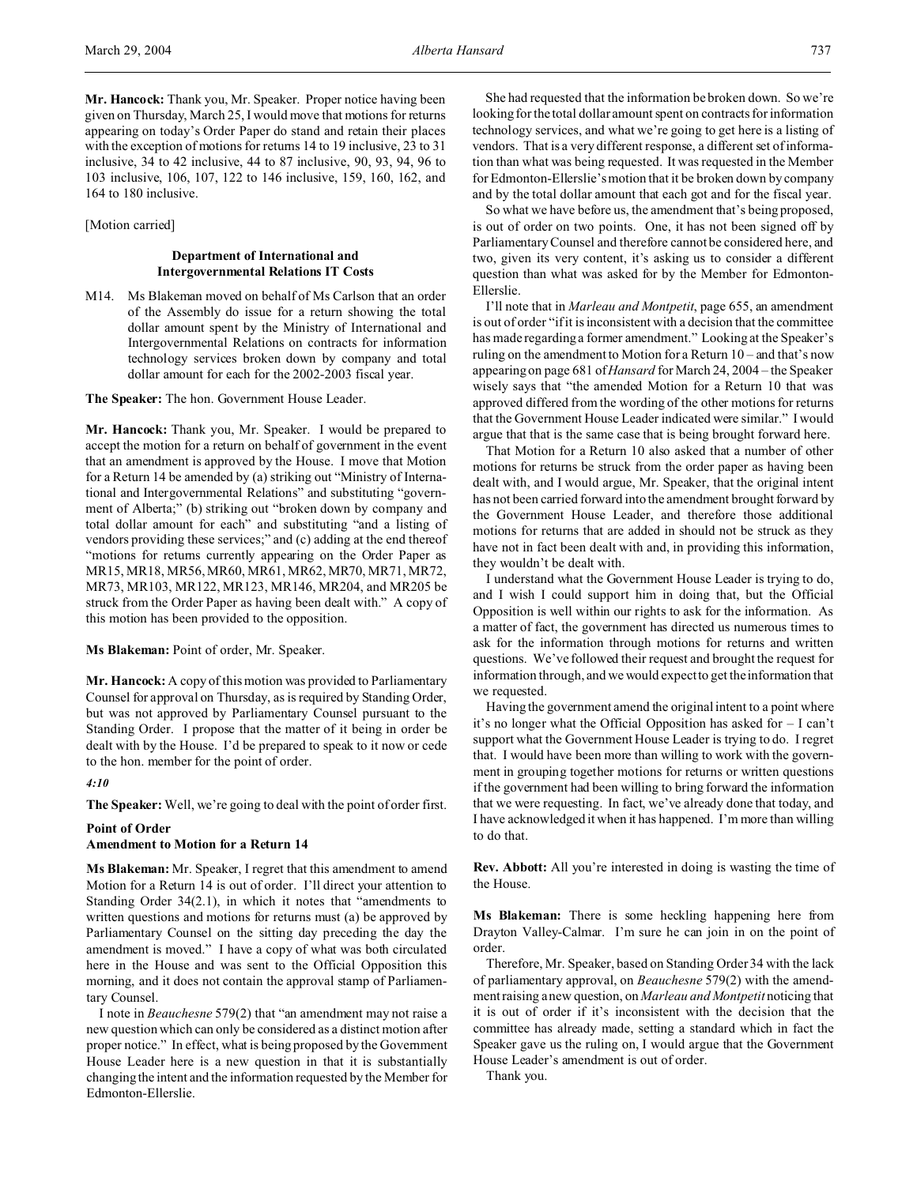**Mr. Hancock:** Thank you, Mr. Speaker. Proper notice having been given on Thursday, March 25, I would move that motions for returns appearing on today's Order Paper do stand and retain their places with the exception of motions for returns 14 to 19 inclusive, 23 to 31 inclusive, 34 to 42 inclusive, 44 to 87 inclusive, 90, 93, 94, 96 to 103 inclusive, 106, 107, 122 to 146 inclusive, 159, 160, 162, and 164 to 180 inclusive.

[Motion carried]

# **Department of International and Intergovernmental Relations IT Costs**

M14. Ms Blakeman moved on behalf of Ms Carlson that an order of the Assembly do issue for a return showing the total dollar amount spent by the Ministry of International and Intergovernmental Relations on contracts for information technology services broken down by company and total dollar amount for each for the 2002-2003 fiscal year.

**The Speaker:** The hon. Government House Leader.

**Mr. Hancock:** Thank you, Mr. Speaker. I would be prepared to accept the motion for a return on behalf of government in the event that an amendment is approved by the House. I move that Motion for a Return 14 be amended by (a) striking out "Ministry of International and Intergovernmental Relations" and substituting "government of Alberta;" (b) striking out "broken down by company and total dollar amount for each" and substituting "and a listing of vendors providing these services;" and (c) adding at the end thereof "motions for returns currently appearing on the Order Paper as MR15, MR18, MR56, MR60, MR61, MR62, MR70, MR71, MR72, MR73, MR103, MR122, MR123, MR146, MR204, and MR205 be struck from the Order Paper as having been dealt with." A copy of this motion has been provided to the opposition.

**Ms Blakeman:** Point of order, Mr. Speaker.

**Mr. Hancock:** A copy of this motion was provided to Parliamentary Counsel for approval on Thursday, as is required by Standing Order, but was not approved by Parliamentary Counsel pursuant to the Standing Order. I propose that the matter of it being in order be dealt with by the House. I'd be prepared to speak to it now or cede to the hon. member for the point of order.

*4:10*

**The Speaker:** Well, we're going to deal with the point of order first.

#### **Point of Order**

#### **Amendment to Motion for a Return 14**

**Ms Blakeman:** Mr. Speaker, I regret that this amendment to amend Motion for a Return 14 is out of order. I'll direct your attention to Standing Order 34(2.1), in which it notes that "amendments to written questions and motions for returns must (a) be approved by Parliamentary Counsel on the sitting day preceding the day the amendment is moved." I have a copy of what was both circulated here in the House and was sent to the Official Opposition this morning, and it does not contain the approval stamp of Parliamentary Counsel.

I note in *Beauchesne* 579(2) that "an amendment may not raise a new question which can only be considered as a distinct motion after proper notice." In effect, what is being proposed by the Government House Leader here is a new question in that it is substantially changing the intent and the information requested by the Member for Edmonton-Ellerslie.

She had requested that the information be broken down. So we're looking for the total dollar amount spent on contracts for information technology services, and what we're going to get here is a listing of vendors. That is a very different response, a different set of information than what was being requested. It was requested in the Member for Edmonton-Ellerslie's motion that it be broken down by company and by the total dollar amount that each got and for the fiscal year.

So what we have before us, the amendment that's being proposed, is out of order on two points. One, it has not been signed off by Parliamentary Counsel and therefore cannot be considered here, and two, given its very content, it's asking us to consider a different question than what was asked for by the Member for Edmonton-Ellerslie.

I'll note that in *Marleau and Montpetit*, page 655, an amendment is out of order "if it is inconsistent with a decision that the committee has made regarding a former amendment." Looking at the Speaker's ruling on the amendment to Motion for a Return 10 – and that's now appearing on page 681 of*Hansard* for March 24, 2004 – the Speaker wisely says that "the amended Motion for a Return 10 that was approved differed from the wording of the other motions for returns that the Government House Leader indicated were similar." I would argue that that is the same case that is being brought forward here.

That Motion for a Return 10 also asked that a number of other motions for returns be struck from the order paper as having been dealt with, and I would argue, Mr. Speaker, that the original intent has not been carried forward into the amendment brought forward by the Government House Leader, and therefore those additional motions for returns that are added in should not be struck as they have not in fact been dealt with and, in providing this information, they wouldn't be dealt with.

I understand what the Government House Leader is trying to do, and I wish I could support him in doing that, but the Official Opposition is well within our rights to ask for the information. As a matter of fact, the government has directed us numerous times to ask for the information through motions for returns and written questions. We've followed their request and brought the request for information through, and we would expect to get the information that we requested.

Having the government amend the original intent to a point where it's no longer what the Official Opposition has asked for – I can't support what the Government House Leader is trying to do. I regret that. I would have been more than willing to work with the government in grouping together motions for returns or written questions if the government had been willing to bring forward the information that we were requesting. In fact, we've already done that today, and I have acknowledged it when it has happened. I'm more than willing to do that.

**Rev. Abbott:** All you're interested in doing is wasting the time of the House.

**Ms Blakeman:** There is some heckling happening here from Drayton Valley-Calmar. I'm sure he can join in on the point of order.

Therefore, Mr. Speaker, based on Standing Order 34 with the lack of parliamentary approval, on *Beauchesne* 579(2) with the amendment raising a new question, on *Marleau and Montpetit* noticing that it is out of order if it's inconsistent with the decision that the committee has already made, setting a standard which in fact the Speaker gave us the ruling on, I would argue that the Government House Leader's amendment is out of order.

Thank you.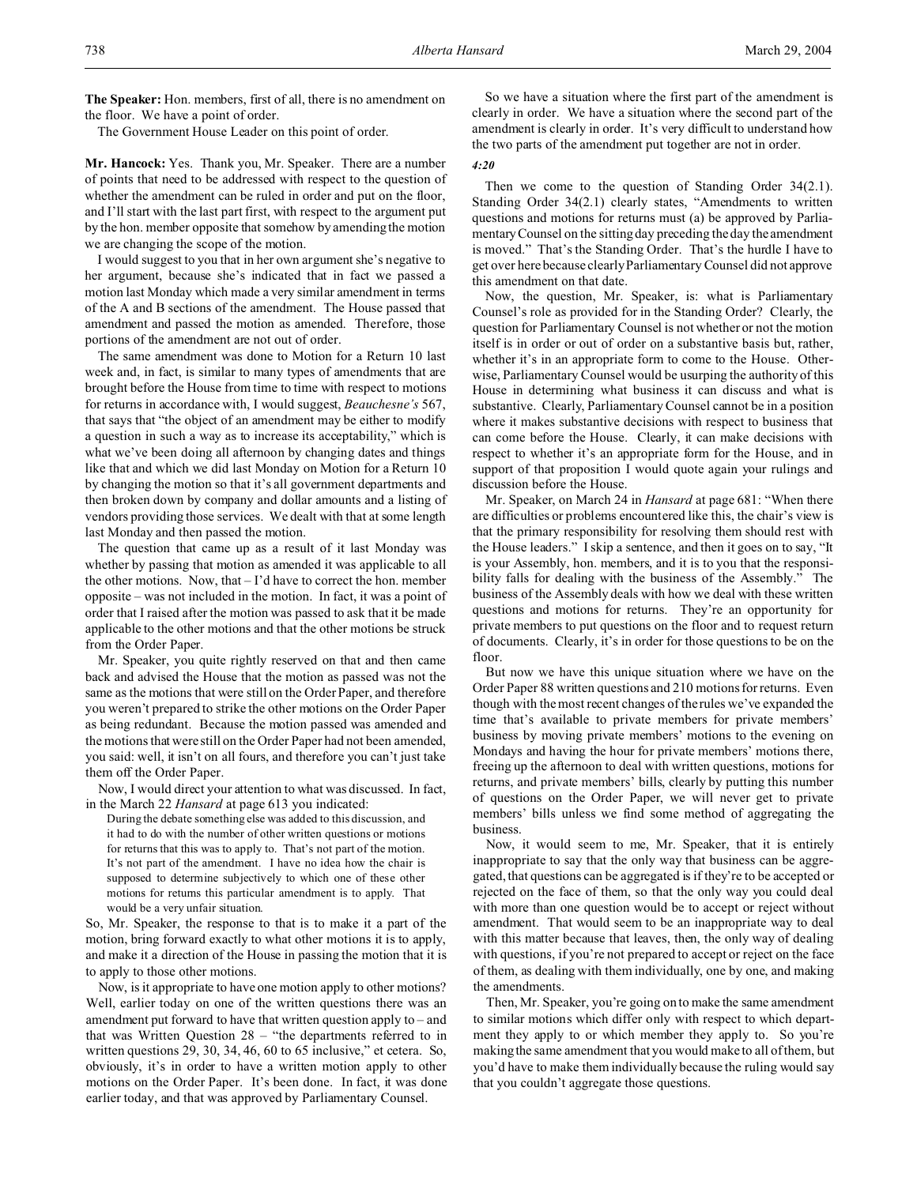**The Speaker:** Hon. members, first of all, there is no amendment on the floor. We have a point of order.

The Government House Leader on this point of order.

**Mr. Hancock:** Yes. Thank you, Mr. Speaker. There are a number of points that need to be addressed with respect to the question of whether the amendment can be ruled in order and put on the floor, and I'll start with the last part first, with respect to the argument put by the hon. member opposite that somehow by amending the motion we are changing the scope of the motion.

I would suggest to you that in her own argument she's negative to her argument, because she's indicated that in fact we passed a motion last Monday which made a very similar amendment in terms of the A and B sections of the amendment. The House passed that amendment and passed the motion as amended. Therefore, those portions of the amendment are not out of order.

The same amendment was done to Motion for a Return 10 last week and, in fact, is similar to many types of amendments that are brought before the House from time to time with respect to motions for returns in accordance with, I would suggest, *Beauchesne's* 567, that says that "the object of an amendment may be either to modify a question in such a way as to increase its acceptability," which is what we've been doing all afternoon by changing dates and things like that and which we did last Monday on Motion for a Return 10 by changing the motion so that it's all government departments and then broken down by company and dollar amounts and a listing of vendors providing those services. We dealt with that at some length last Monday and then passed the motion.

The question that came up as a result of it last Monday was whether by passing that motion as amended it was applicable to all the other motions. Now, that – I'd have to correct the hon. member opposite – was not included in the motion. In fact, it was a point of order that I raised after the motion was passed to ask that it be made applicable to the other motions and that the other motions be struck from the Order Paper.

Mr. Speaker, you quite rightly reserved on that and then came back and advised the House that the motion as passed was not the same as the motions that were still on the Order Paper, and therefore you weren't prepared to strike the other motions on the Order Paper as being redundant. Because the motion passed was amended and the motions that were still on the Order Paper had not been amended, you said: well, it isn't on all fours, and therefore you can't just take them off the Order Paper.

Now, I would direct your attention to what was discussed. In fact, in the March 22 *Hansard* at page 613 you indicated:

During the debate something else was added to this discussion, and it had to do with the number of other written questions or motions for returns that this was to apply to. That's not part of the motion. It's not part of the amendment. I have no idea how the chair is supposed to determine subjectively to which one of these other motions for returns this particular amendment is to apply. That would be a very unfair situation.

So, Mr. Speaker, the response to that is to make it a part of the motion, bring forward exactly to what other motions it is to apply, and make it a direction of the House in passing the motion that it is to apply to those other motions.

Now, is it appropriate to have one motion apply to other motions? Well, earlier today on one of the written questions there was an amendment put forward to have that written question apply to – and that was Written Question 28 – "the departments referred to in written questions 29, 30, 34, 46, 60 to 65 inclusive," et cetera. So, obviously, it's in order to have a written motion apply to other motions on the Order Paper. It's been done. In fact, it was done earlier today, and that was approved by Parliamentary Counsel.

So we have a situation where the first part of the amendment is clearly in order. We have a situation where the second part of the amendment is clearly in order. It's very difficult to understand how the two parts of the amendment put together are not in order.

#### *4:20*

Then we come to the question of Standing Order 34(2.1). Standing Order 34(2.1) clearly states, "Amendments to written questions and motions for returns must (a) be approved by Parliamentary Counsel on the sitting day preceding the day the amendment is moved." That's the Standing Order. That's the hurdle I have to get over here because clearly Parliamentary Counsel did not approve this amendment on that date.

Now, the question, Mr. Speaker, is: what is Parliamentary Counsel's role as provided for in the Standing Order? Clearly, the question for Parliamentary Counsel is not whether or not the motion itself is in order or out of order on a substantive basis but, rather, whether it's in an appropriate form to come to the House. Otherwise, Parliamentary Counsel would be usurping the authority of this House in determining what business it can discuss and what is substantive. Clearly, Parliamentary Counsel cannot be in a position where it makes substantive decisions with respect to business that can come before the House. Clearly, it can make decisions with respect to whether it's an appropriate form for the House, and in support of that proposition I would quote again your rulings and discussion before the House.

Mr. Speaker, on March 24 in *Hansard* at page 681: "When there are difficulties or problems encountered like this, the chair's view is that the primary responsibility for resolving them should rest with the House leaders." I skip a sentence, and then it goes on to say, "It is your Assembly, hon. members, and it is to you that the responsibility falls for dealing with the business of the Assembly." The business of the Assembly deals with how we deal with these written questions and motions for returns. They're an opportunity for private members to put questions on the floor and to request return of documents. Clearly, it's in order for those questions to be on the floor.

But now we have this unique situation where we have on the Order Paper 88 written questions and 210 motions for returns. Even though with the most recent changes of the rules we've expanded the time that's available to private members for private members' business by moving private members' motions to the evening on Mondays and having the hour for private members' motions there, freeing up the afternoon to deal with written questions, motions for returns, and private members' bills, clearly by putting this number of questions on the Order Paper, we will never get to private members' bills unless we find some method of aggregating the business.

Now, it would seem to me, Mr. Speaker, that it is entirely inappropriate to say that the only way that business can be aggregated, that questions can be aggregated is if they're to be accepted or rejected on the face of them, so that the only way you could deal with more than one question would be to accept or reject without amendment. That would seem to be an inappropriate way to deal with this matter because that leaves, then, the only way of dealing with questions, if you're not prepared to accept or reject on the face of them, as dealing with them individually, one by one, and making the amendments.

Then, Mr. Speaker, you're going on to make the same amendment to similar motions which differ only with respect to which department they apply to or which member they apply to. So you're making the same amendment that you would make to all of them, but you'd have to make them individually because the ruling would say that you couldn't aggregate those questions.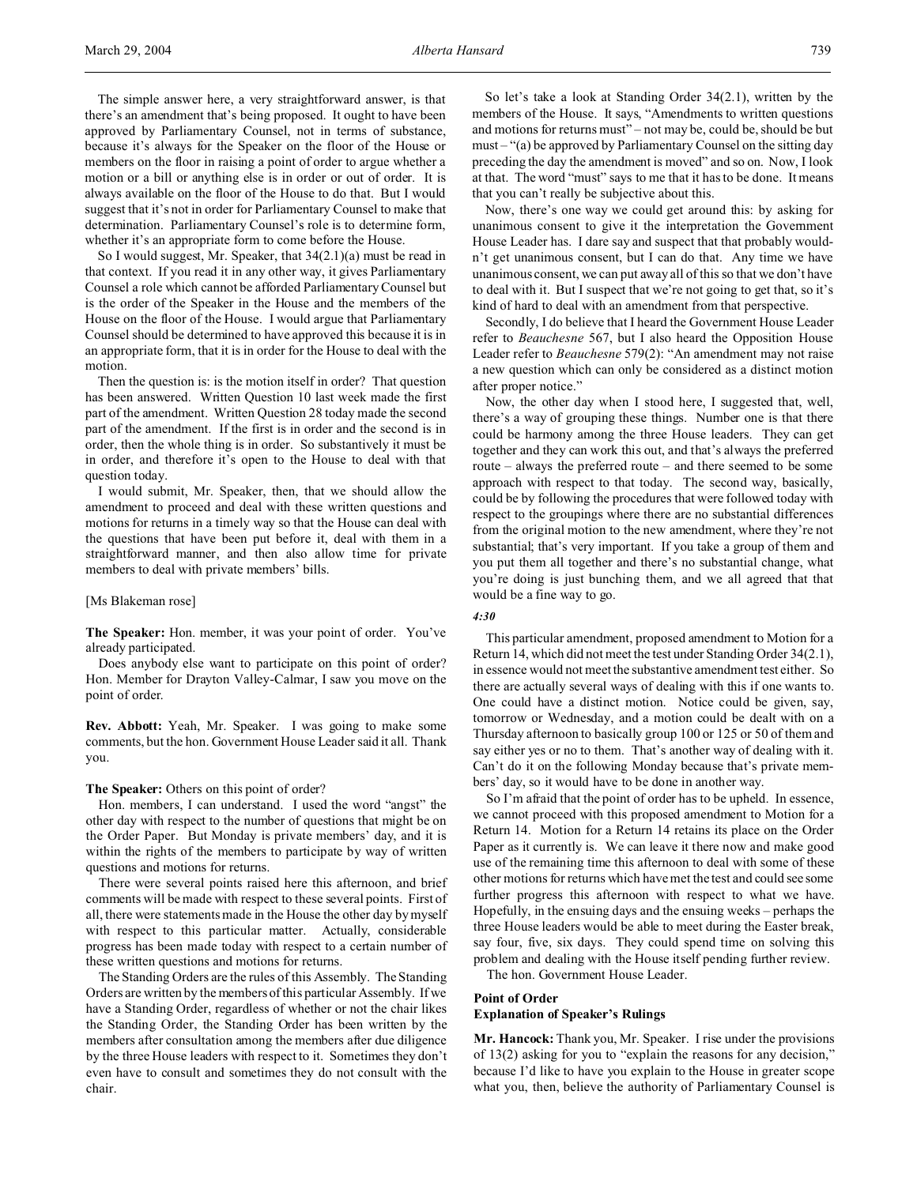The simple answer here, a very straightforward answer, is that there's an amendment that's being proposed. It ought to have been approved by Parliamentary Counsel, not in terms of substance, because it's always for the Speaker on the floor of the House or members on the floor in raising a point of order to argue whether a motion or a bill or anything else is in order or out of order. It is always available on the floor of the House to do that. But I would suggest that it's not in order for Parliamentary Counsel to make that determination. Parliamentary Counsel's role is to determine form, whether it's an appropriate form to come before the House.

So I would suggest, Mr. Speaker, that 34(2.1)(a) must be read in that context. If you read it in any other way, it gives Parliamentary Counsel a role which cannot be afforded Parliamentary Counsel but is the order of the Speaker in the House and the members of the House on the floor of the House. I would argue that Parliamentary Counsel should be determined to have approved this because it is in an appropriate form, that it is in order for the House to deal with the motion.

Then the question is: is the motion itself in order? That question has been answered. Written Question 10 last week made the first part of the amendment. Written Question 28 today made the second part of the amendment. If the first is in order and the second is in order, then the whole thing is in order. So substantively it must be in order, and therefore it's open to the House to deal with that question today.

I would submit, Mr. Speaker, then, that we should allow the amendment to proceed and deal with these written questions and motions for returns in a timely way so that the House can deal with the questions that have been put before it, deal with them in a straightforward manner, and then also allow time for private members to deal with private members' bills.

### [Ms Blakeman rose]

**The Speaker:** Hon. member, it was your point of order. You've already participated.

Does anybody else want to participate on this point of order? Hon. Member for Drayton Valley-Calmar, I saw you move on the point of order.

**Rev. Abbott:** Yeah, Mr. Speaker. I was going to make some comments, but the hon. Government House Leader said it all. Thank you.

#### **The Speaker:** Others on this point of order?

Hon. members, I can understand. I used the word "angst" the other day with respect to the number of questions that might be on the Order Paper. But Monday is private members' day, and it is within the rights of the members to participate by way of written questions and motions for returns.

There were several points raised here this afternoon, and brief comments will be made with respect to these several points. First of all, there were statements made in the House the other day by myself with respect to this particular matter. Actually, considerable progress has been made today with respect to a certain number of these written questions and motions for returns.

The Standing Orders are the rules of this Assembly. The Standing Orders are written by the members of this particular Assembly. If we have a Standing Order, regardless of whether or not the chair likes the Standing Order, the Standing Order has been written by the members after consultation among the members after due diligence by the three House leaders with respect to it. Sometimes they don't even have to consult and sometimes they do not consult with the chair.

So let's take a look at Standing Order 34(2.1), written by the members of the House. It says, "Amendments to written questions and motions for returns must" – not may be, could be, should be but must – "(a) be approved by Parliamentary Counsel on the sitting day preceding the day the amendment is moved" and so on. Now, I look at that. The word "must" says to me that it has to be done. It means that you can't really be subjective about this.

Now, there's one way we could get around this: by asking for unanimous consent to give it the interpretation the Government House Leader has. I dare say and suspect that that probably wouldn't get unanimous consent, but I can do that. Any time we have unanimous consent, we can put away all of this so that we don't have to deal with it. But I suspect that we're not going to get that, so it's kind of hard to deal with an amendment from that perspective.

Secondly, I do believe that I heard the Government House Leader refer to *Beauchesne* 567, but I also heard the Opposition House Leader refer to *Beauchesne* 579(2): "An amendment may not raise a new question which can only be considered as a distinct motion after proper notice."

Now, the other day when I stood here, I suggested that, well, there's a way of grouping these things. Number one is that there could be harmony among the three House leaders. They can get together and they can work this out, and that's always the preferred route – always the preferred route – and there seemed to be some approach with respect to that today. The second way, basically, could be by following the procedures that were followed today with respect to the groupings where there are no substantial differences from the original motion to the new amendment, where they're not substantial; that's very important. If you take a group of them and you put them all together and there's no substantial change, what you're doing is just bunching them, and we all agreed that that would be a fine way to go.

# *4:30*

This particular amendment, proposed amendment to Motion for a Return 14, which did not meet the test under Standing Order 34(2.1), in essence would not meet the substantive amendment test either. So there are actually several ways of dealing with this if one wants to. One could have a distinct motion. Notice could be given, say, tomorrow or Wednesday, and a motion could be dealt with on a Thursday afternoon to basically group 100 or 125 or 50 of them and say either yes or no to them. That's another way of dealing with it. Can't do it on the following Monday because that's private members' day, so it would have to be done in another way.

So I'm afraid that the point of order has to be upheld. In essence, we cannot proceed with this proposed amendment to Motion for a Return 14. Motion for a Return 14 retains its place on the Order Paper as it currently is. We can leave it there now and make good use of the remaining time this afternoon to deal with some of these other motions for returns which have met the test and could see some further progress this afternoon with respect to what we have. Hopefully, in the ensuing days and the ensuing weeks – perhaps the three House leaders would be able to meet during the Easter break, say four, five, six days. They could spend time on solving this problem and dealing with the House itself pending further review.

The hon. Government House Leader.

### **Point of Order**

## **Explanation of Speaker's Rulings**

**Mr. Hancock:** Thank you, Mr. Speaker. I rise under the provisions of 13(2) asking for you to "explain the reasons for any decision," because I'd like to have you explain to the House in greater scope what you, then, believe the authority of Parliamentary Counsel is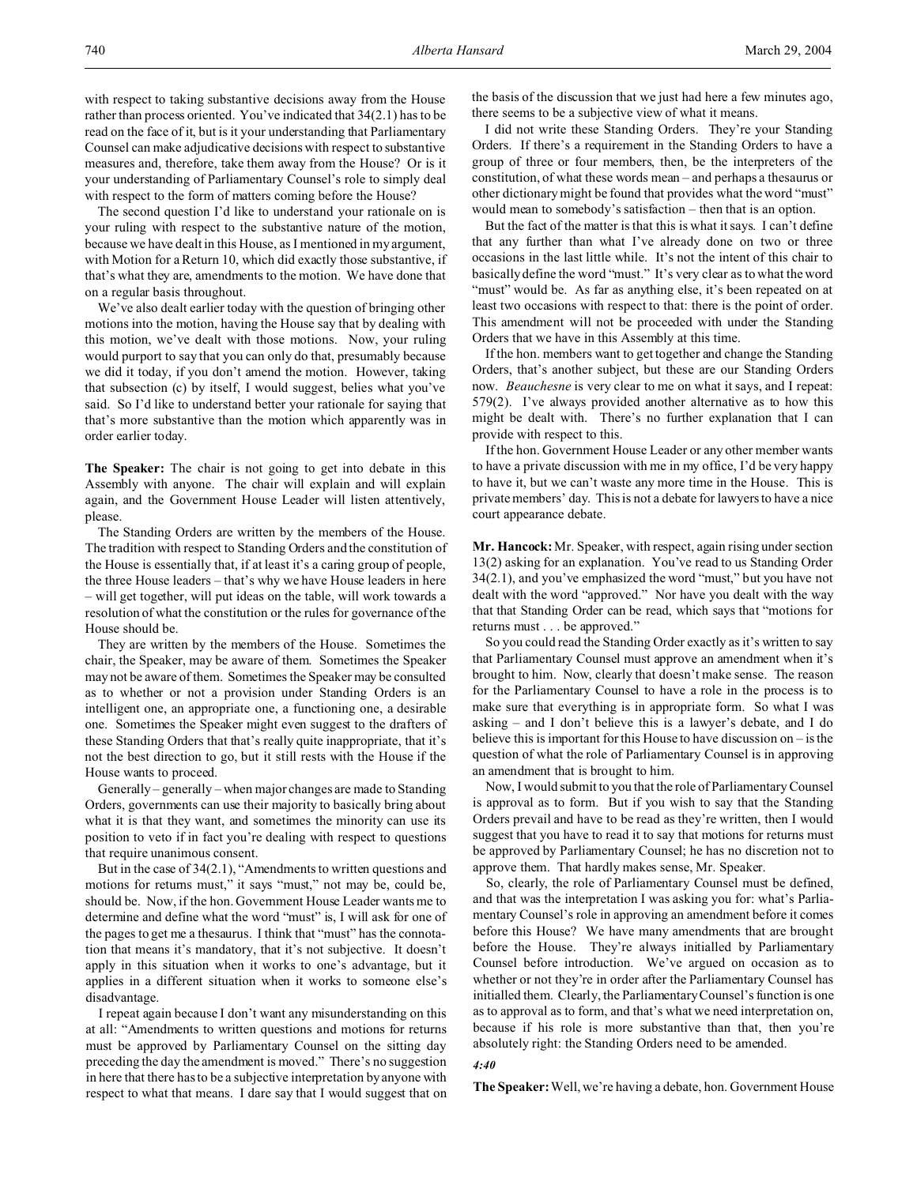with respect to taking substantive decisions away from the House rather than process oriented. You've indicated that 34(2.1) has to be read on the face of it, but is it your understanding that Parliamentary Counsel can make adjudicative decisions with respect to substantive measures and, therefore, take them away from the House? Or is it your understanding of Parliamentary Counsel's role to simply deal with respect to the form of matters coming before the House?

The second question I'd like to understand your rationale on is your ruling with respect to the substantive nature of the motion, because we have dealt in this House, as I mentioned in my argument, with Motion for a Return 10, which did exactly those substantive, if that's what they are, amendments to the motion. We have done that on a regular basis throughout.

We've also dealt earlier today with the question of bringing other motions into the motion, having the House say that by dealing with this motion, we've dealt with those motions. Now, your ruling would purport to say that you can only do that, presumably because we did it today, if you don't amend the motion. However, taking that subsection (c) by itself, I would suggest, belies what you've said. So I'd like to understand better your rationale for saying that that's more substantive than the motion which apparently was in order earlier today.

**The Speaker:** The chair is not going to get into debate in this Assembly with anyone. The chair will explain and will explain again, and the Government House Leader will listen attentively, please.

The Standing Orders are written by the members of the House. The tradition with respect to Standing Orders and the constitution of the House is essentially that, if at least it's a caring group of people, the three House leaders – that's why we have House leaders in here – will get together, will put ideas on the table, will work towards a resolution of what the constitution or the rules for governance of the House should be.

They are written by the members of the House. Sometimes the chair, the Speaker, may be aware of them. Sometimes the Speaker may not be aware of them. Sometimes the Speaker may be consulted as to whether or not a provision under Standing Orders is an intelligent one, an appropriate one, a functioning one, a desirable one. Sometimes the Speaker might even suggest to the drafters of these Standing Orders that that's really quite inappropriate, that it's not the best direction to go, but it still rests with the House if the House wants to proceed.

Generally – generally – when major changes are made to Standing Orders, governments can use their majority to basically bring about what it is that they want, and sometimes the minority can use its position to veto if in fact you're dealing with respect to questions that require unanimous consent.

But in the case of 34(2.1), "Amendments to written questions and motions for returns must," it says "must," not may be, could be, should be. Now, if the hon. Government House Leader wants me to determine and define what the word "must" is, I will ask for one of the pages to get me a thesaurus. I think that "must" has the connotation that means it's mandatory, that it's not subjective. It doesn't apply in this situation when it works to one's advantage, but it applies in a different situation when it works to someone else's disadvantage.

I repeat again because I don't want any misunderstanding on this at all: "Amendments to written questions and motions for returns must be approved by Parliamentary Counsel on the sitting day preceding the day the amendment is moved." There's no suggestion in here that there has to be a subjective interpretation by anyone with respect to what that means. I dare say that I would suggest that on the basis of the discussion that we just had here a few minutes ago, there seems to be a subjective view of what it means.

I did not write these Standing Orders. They're your Standing Orders. If there's a requirement in the Standing Orders to have a group of three or four members, then, be the interpreters of the constitution, of what these words mean – and perhaps a thesaurus or other dictionary might be found that provides what the word "must" would mean to somebody's satisfaction – then that is an option.

But the fact of the matter is that this is what it says. I can't define that any further than what I've already done on two or three occasions in the last little while. It's not the intent of this chair to basically define the word "must." It's very clear as to what the word "must" would be. As far as anything else, it's been repeated on at least two occasions with respect to that: there is the point of order. This amendment will not be proceeded with under the Standing Orders that we have in this Assembly at this time.

If the hon. members want to get together and change the Standing Orders, that's another subject, but these are our Standing Orders now. *Beauchesne* is very clear to me on what it says, and I repeat: 579(2). I've always provided another alternative as to how this might be dealt with. There's no further explanation that I can provide with respect to this.

If the hon. Government House Leader or any other member wants to have a private discussion with me in my office, I'd be very happy to have it, but we can't waste any more time in the House. This is private members' day. This is not a debate for lawyers to have a nice court appearance debate.

**Mr. Hancock:** Mr. Speaker, with respect, again rising under section 13(2) asking for an explanation. You've read to us Standing Order 34(2.1), and you've emphasized the word "must," but you have not dealt with the word "approved." Nor have you dealt with the way that that Standing Order can be read, which says that "motions for returns must . . . be approved."

So you could read the Standing Order exactly as it's written to say that Parliamentary Counsel must approve an amendment when it's brought to him. Now, clearly that doesn't make sense. The reason for the Parliamentary Counsel to have a role in the process is to make sure that everything is in appropriate form. So what I was asking – and I don't believe this is a lawyer's debate, and I do believe this is important for this House to have discussion on – is the question of what the role of Parliamentary Counsel is in approving an amendment that is brought to him.

Now, I would submit to you that the role of Parliamentary Counsel is approval as to form. But if you wish to say that the Standing Orders prevail and have to be read as they're written, then I would suggest that you have to read it to say that motions for returns must be approved by Parliamentary Counsel; he has no discretion not to approve them. That hardly makes sense, Mr. Speaker.

So, clearly, the role of Parliamentary Counsel must be defined, and that was the interpretation I was asking you for: what's Parliamentary Counsel's role in approving an amendment before it comes before this House? We have many amendments that are brought before the House. They're always initialled by Parliamentary Counsel before introduction. We've argued on occasion as to whether or not they're in order after the Parliamentary Counsel has initialled them. Clearly, the Parliamentary Counsel's function is one as to approval as to form, and that's what we need interpretation on, because if his role is more substantive than that, then you're absolutely right: the Standing Orders need to be amended.

### *4:40*

**The Speaker:**Well, we're having a debate, hon. Government House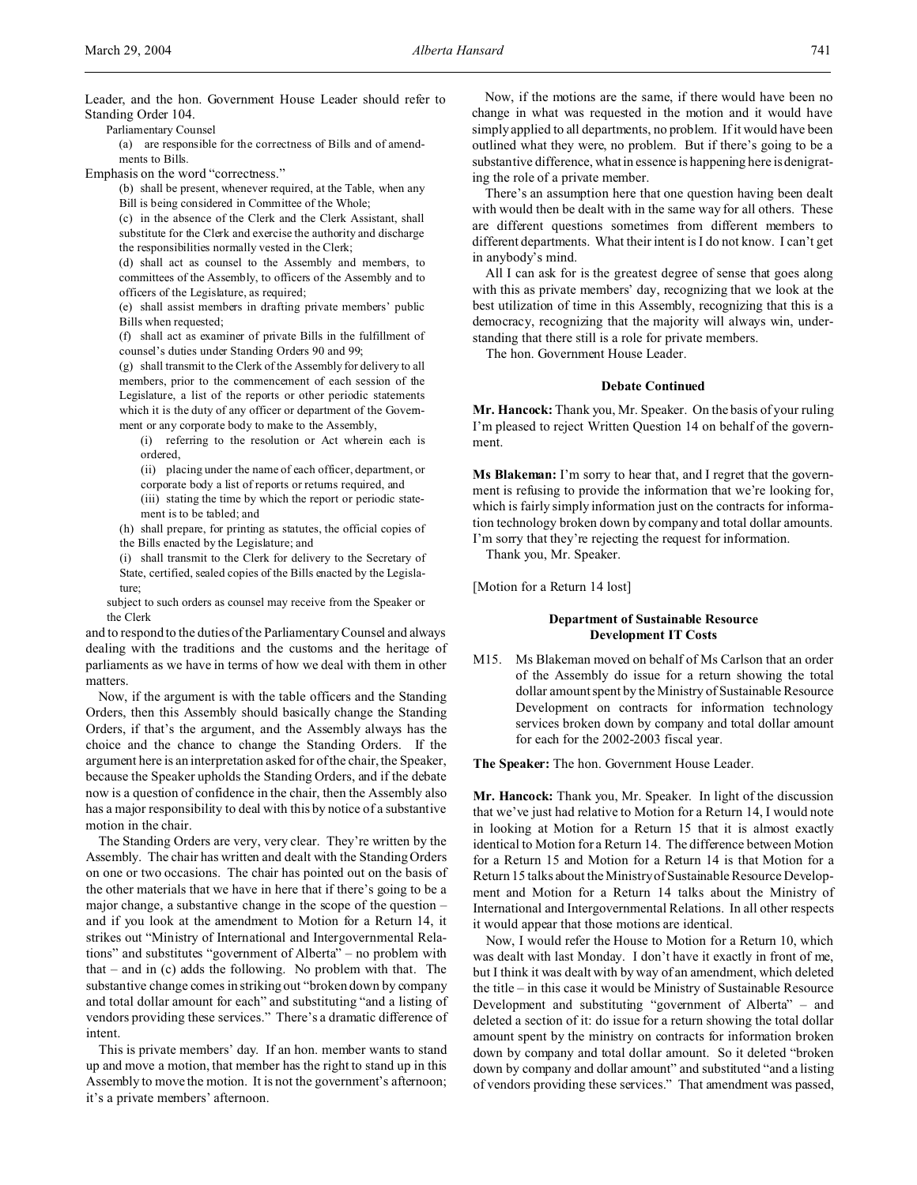Leader, and the hon. Government House Leader should refer to Standing Order 104.

Parliamentary Counsel

(a) are responsible for the correctness of Bills and of amendments to Bills.

Emphasis on the word "correctness."

(b) shall be present, whenever required, at the Table, when any Bill is being considered in Committee of the Whole;

(c) in the absence of the Clerk and the Clerk Assistant, shall substitute for the Clerk and exercise the authority and discharge the responsibilities normally vested in the Clerk;

(d) shall act as counsel to the Assembly and members, to committees of the Assembly, to officers of the Assembly and to officers of the Legislature, as required;

(e) shall assist members in drafting private members' public Bills when requested;

(f) shall act as examiner of private Bills in the fulfillment of counsel's duties under Standing Orders 90 and 99;

(g) shall transmit to the Clerk of the Assembly for delivery to all members, prior to the commencement of each session of the Legislature, a list of the reports or other periodic statements which it is the duty of any officer or department of the Government or any corporate body to make to the Assembly,

(i) referring to the resolution or Act wherein each is ordered,

(ii) placing under the name of each officer, department, or corporate body a list of reports or returns required, and

(iii) stating the time by which the report or periodic statement is to be tabled; and

(h) shall prepare, for printing as statutes, the official copies of the Bills enacted by the Legislature; and

(i) shall transmit to the Clerk for delivery to the Secretary of State, certified, sealed copies of the Bills enacted by the Legislature;

subject to such orders as counsel may receive from the Speaker or the Clerk

and to respond to the duties of the Parliamentary Counsel and always dealing with the traditions and the customs and the heritage of parliaments as we have in terms of how we deal with them in other matters.

Now, if the argument is with the table officers and the Standing Orders, then this Assembly should basically change the Standing Orders, if that's the argument, and the Assembly always has the choice and the chance to change the Standing Orders. If the argument here is an interpretation asked for of the chair, the Speaker, because the Speaker upholds the Standing Orders, and if the debate now is a question of confidence in the chair, then the Assembly also has a major responsibility to deal with this by notice of a substantive motion in the chair.

The Standing Orders are very, very clear. They're written by the Assembly. The chair has written and dealt with the Standing Orders on one or two occasions. The chair has pointed out on the basis of the other materials that we have in here that if there's going to be a major change, a substantive change in the scope of the question – and if you look at the amendment to Motion for a Return 14, it strikes out "Ministry of International and Intergovernmental Relations" and substitutes "government of Alberta" – no problem with that – and in (c) adds the following. No problem with that. The substantive change comes in striking out "broken down by company and total dollar amount for each" and substituting "and a listing of vendors providing these services." There's a dramatic difference of intent.

This is private members' day. If an hon. member wants to stand up and move a motion, that member has the right to stand up in this Assembly to move the motion. It is not the government's afternoon; it's a private members' afternoon.

Now, if the motions are the same, if there would have been no change in what was requested in the motion and it would have simply applied to all departments, no problem. If it would have been outlined what they were, no problem. But if there's going to be a substantive difference, what in essence is happening here is denigrating the role of a private member.

There's an assumption here that one question having been dealt with would then be dealt with in the same way for all others. These are different questions sometimes from different members to different departments. What their intent is I do not know. I can't get in anybody's mind.

All I can ask for is the greatest degree of sense that goes along with this as private members' day, recognizing that we look at the best utilization of time in this Assembly, recognizing that this is a democracy, recognizing that the majority will always win, understanding that there still is a role for private members.

The hon. Government House Leader.

#### **Debate Continued**

**Mr. Hancock:** Thank you, Mr. Speaker. On the basis of your ruling I'm pleased to reject Written Question 14 on behalf of the government.

**Ms Blakeman:** I'm sorry to hear that, and I regret that the government is refusing to provide the information that we're looking for, which is fairly simply information just on the contracts for information technology broken down by company and total dollar amounts. I'm sorry that they're rejecting the request for information.

Thank you, Mr. Speaker.

[Motion for a Return 14 lost]

## **Department of Sustainable Resource Development IT Costs**

M15. Ms Blakeman moved on behalf of Ms Carlson that an order of the Assembly do issue for a return showing the total dollar amount spent by the Ministry of Sustainable Resource Development on contracts for information technology services broken down by company and total dollar amount for each for the 2002-2003 fiscal year.

**The Speaker:** The hon. Government House Leader.

**Mr. Hancock:** Thank you, Mr. Speaker. In light of the discussion that we've just had relative to Motion for a Return 14, I would note in looking at Motion for a Return 15 that it is almost exactly identical to Motion for a Return 14. The difference between Motion for a Return 15 and Motion for a Return 14 is that Motion for a Return 15 talks about the Ministry of Sustainable Resource Development and Motion for a Return 14 talks about the Ministry of International and Intergovernmental Relations. In all other respects it would appear that those motions are identical.

Now, I would refer the House to Motion for a Return 10, which was dealt with last Monday. I don't have it exactly in front of me, but I think it was dealt with by way of an amendment, which deleted the title – in this case it would be Ministry of Sustainable Resource Development and substituting "government of Alberta" – and deleted a section of it: do issue for a return showing the total dollar amount spent by the ministry on contracts for information broken down by company and total dollar amount. So it deleted "broken down by company and dollar amount" and substituted "and a listing of vendors providing these services." That amendment was passed,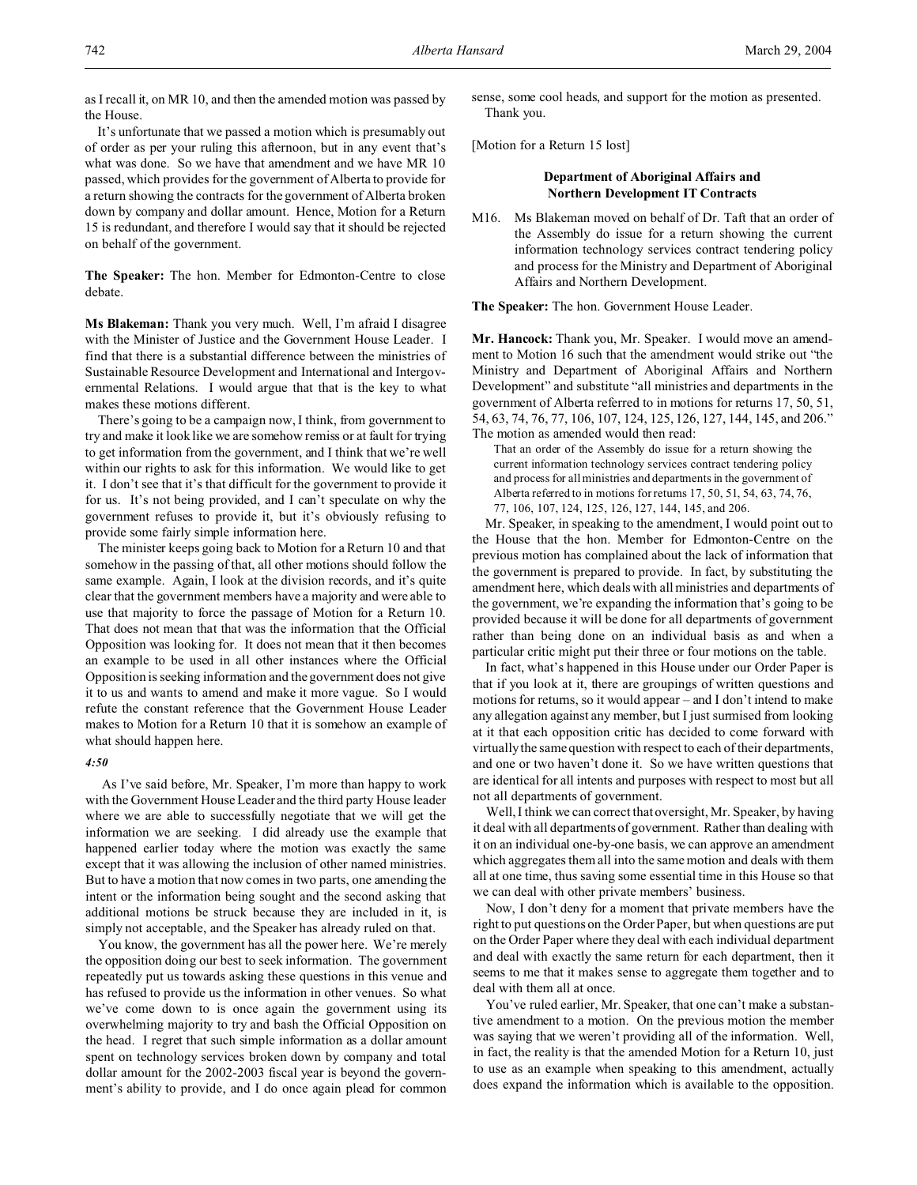as I recall it, on MR 10, and then the amended motion was passed by the House.

It's unfortunate that we passed a motion which is presumably out of order as per your ruling this afternoon, but in any event that's what was done. So we have that amendment and we have MR 10 passed, which provides for the government of Alberta to provide for a return showing the contracts for the government of Alberta broken down by company and dollar amount. Hence, Motion for a Return 15 is redundant, and therefore I would say that it should be rejected on behalf of the government.

**The Speaker:** The hon. Member for Edmonton-Centre to close debate.

**Ms Blakeman:** Thank you very much. Well, I'm afraid I disagree with the Minister of Justice and the Government House Leader. I find that there is a substantial difference between the ministries of Sustainable Resource Development and International and Intergovernmental Relations. I would argue that that is the key to what makes these motions different.

There's going to be a campaign now, I think, from government to try and make it look like we are somehow remiss or at fault for trying to get information from the government, and I think that we're well within our rights to ask for this information. We would like to get it. I don't see that it's that difficult for the government to provide it for us. It's not being provided, and I can't speculate on why the government refuses to provide it, but it's obviously refusing to provide some fairly simple information here.

The minister keeps going back to Motion for a Return 10 and that somehow in the passing of that, all other motions should follow the same example. Again, I look at the division records, and it's quite clear that the government members have a majority and were able to use that majority to force the passage of Motion for a Return 10. That does not mean that that was the information that the Official Opposition was looking for. It does not mean that it then becomes an example to be used in all other instances where the Official Opposition is seeking information and the government does not give it to us and wants to amend and make it more vague. So I would refute the constant reference that the Government House Leader makes to Motion for a Return 10 that it is somehow an example of what should happen here.

# *4:50*

 As I've said before, Mr. Speaker, I'm more than happy to work with the Government House Leader and the third party House leader where we are able to successfully negotiate that we will get the information we are seeking. I did already use the example that happened earlier today where the motion was exactly the same except that it was allowing the inclusion of other named ministries. But to have a motion that now comes in two parts, one amending the intent or the information being sought and the second asking that additional motions be struck because they are included in it, is simply not acceptable, and the Speaker has already ruled on that.

You know, the government has all the power here. We're merely the opposition doing our best to seek information. The government repeatedly put us towards asking these questions in this venue and has refused to provide us the information in other venues. So what we've come down to is once again the government using its overwhelming majority to try and bash the Official Opposition on the head. I regret that such simple information as a dollar amount spent on technology services broken down by company and total dollar amount for the 2002-2003 fiscal year is beyond the government's ability to provide, and I do once again plead for common

sense, some cool heads, and support for the motion as presented. Thank you.

[Motion for a Return 15 lost]

## **Department of Aboriginal Affairs and Northern Development IT Contracts**

M16. Ms Blakeman moved on behalf of Dr. Taft that an order of the Assembly do issue for a return showing the current information technology services contract tendering policy and process for the Ministry and Department of Aboriginal Affairs and Northern Development.

**The Speaker:** The hon. Government House Leader.

**Mr. Hancock:** Thank you, Mr. Speaker. I would move an amendment to Motion 16 such that the amendment would strike out "the Ministry and Department of Aboriginal Affairs and Northern Development" and substitute "all ministries and departments in the government of Alberta referred to in motions for returns 17, 50, 51, 54, 63, 74, 76, 77, 106, 107, 124, 125, 126, 127, 144, 145, and 206." The motion as amended would then read:

That an order of the Assembly do issue for a return showing the current information technology services contract tendering policy and process for all ministries and departments in the government of Alberta referred to in motions for returns 17, 50, 51, 54, 63, 74, 76, 77, 106, 107, 124, 125, 126, 127, 144, 145, and 206.

Mr. Speaker, in speaking to the amendment, I would point out to the House that the hon. Member for Edmonton-Centre on the previous motion has complained about the lack of information that the government is prepared to provide. In fact, by substituting the amendment here, which deals with all ministries and departments of the government, we're expanding the information that's going to be provided because it will be done for all departments of government rather than being done on an individual basis as and when a particular critic might put their three or four motions on the table.

In fact, what's happened in this House under our Order Paper is that if you look at it, there are groupings of written questions and motions for returns, so it would appear – and I don't intend to make any allegation against any member, but I just surmised from looking at it that each opposition critic has decided to come forward with virtually the same question with respect to each of their departments, and one or two haven't done it. So we have written questions that are identical for all intents and purposes with respect to most but all not all departments of government.

Well, I think we can correct that oversight, Mr. Speaker, by having it deal with all departments of government. Rather than dealing with it on an individual one-by-one basis, we can approve an amendment which aggregates them all into the same motion and deals with them all at one time, thus saving some essential time in this House so that we can deal with other private members' business.

Now, I don't deny for a moment that private members have the right to put questions on the Order Paper, but when questions are put on the Order Paper where they deal with each individual department and deal with exactly the same return for each department, then it seems to me that it makes sense to aggregate them together and to deal with them all at once.

You've ruled earlier, Mr. Speaker, that one can't make a substantive amendment to a motion. On the previous motion the member was saying that we weren't providing all of the information. Well, in fact, the reality is that the amended Motion for a Return 10, just to use as an example when speaking to this amendment, actually does expand the information which is available to the opposition.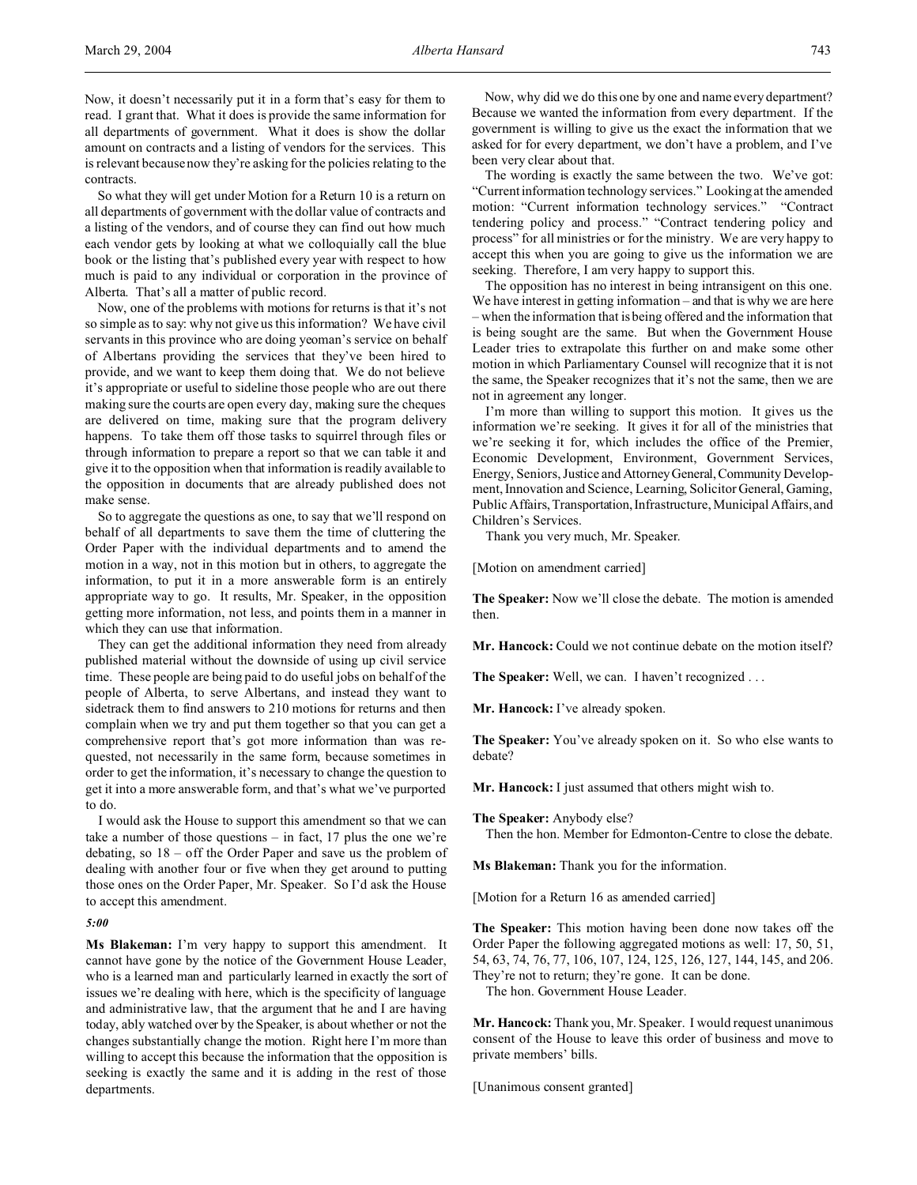Now, it doesn't necessarily put it in a form that's easy for them to read. I grant that. What it does is provide the same information for all departments of government. What it does is show the dollar amount on contracts and a listing of vendors for the services. This is relevant because now they're asking for the policies relating to the contracts.

So what they will get under Motion for a Return 10 is a return on all departments of government with the dollar value of contracts and a listing of the vendors, and of course they can find out how much each vendor gets by looking at what we colloquially call the blue book or the listing that's published every year with respect to how much is paid to any individual or corporation in the province of Alberta. That's all a matter of public record.

Now, one of the problems with motions for returns is that it's not so simple as to say: why not give us this information? We have civil servants in this province who are doing yeoman's service on behalf of Albertans providing the services that they've been hired to provide, and we want to keep them doing that. We do not believe it's appropriate or useful to sideline those people who are out there making sure the courts are open every day, making sure the cheques are delivered on time, making sure that the program delivery happens. To take them off those tasks to squirrel through files or through information to prepare a report so that we can table it and give it to the opposition when that information is readily available to the opposition in documents that are already published does not make sense.

So to aggregate the questions as one, to say that we'll respond on behalf of all departments to save them the time of cluttering the Order Paper with the individual departments and to amend the motion in a way, not in this motion but in others, to aggregate the information, to put it in a more answerable form is an entirely appropriate way to go. It results, Mr. Speaker, in the opposition getting more information, not less, and points them in a manner in which they can use that information.

They can get the additional information they need from already published material without the downside of using up civil service time. These people are being paid to do useful jobs on behalf of the people of Alberta, to serve Albertans, and instead they want to sidetrack them to find answers to 210 motions for returns and then complain when we try and put them together so that you can get a comprehensive report that's got more information than was requested, not necessarily in the same form, because sometimes in order to get the information, it's necessary to change the question to get it into a more answerable form, and that's what we've purported to do.

I would ask the House to support this amendment so that we can take a number of those questions  $-$  in fact, 17 plus the one we're debating, so 18 – off the Order Paper and save us the problem of dealing with another four or five when they get around to putting those ones on the Order Paper, Mr. Speaker. So I'd ask the House to accept this amendment.

#### *5:00*

**Ms Blakeman:** I'm very happy to support this amendment. It cannot have gone by the notice of the Government House Leader, who is a learned man and particularly learned in exactly the sort of issues we're dealing with here, which is the specificity of language and administrative law, that the argument that he and I are having today, ably watched over by the Speaker, is about whether or not the changes substantially change the motion. Right here I'm more than willing to accept this because the information that the opposition is seeking is exactly the same and it is adding in the rest of those departments.

Now, why did we do this one by one and name every department? Because we wanted the information from every department. If the government is willing to give us the exact the information that we asked for for every department, we don't have a problem, and I've been very clear about that.

The wording is exactly the same between the two. We've got: "Current information technology services." Looking at the amended motion: "Current information technology services." "Contract tendering policy and process." "Contract tendering policy and process" for all ministries or for the ministry. We are very happy to accept this when you are going to give us the information we are seeking. Therefore, I am very happy to support this.

The opposition has no interest in being intransigent on this one. We have interest in getting information – and that is why we are here – when the information that is being offered and the information that is being sought are the same. But when the Government House Leader tries to extrapolate this further on and make some other motion in which Parliamentary Counsel will recognize that it is not the same, the Speaker recognizes that it's not the same, then we are not in agreement any longer.

I'm more than willing to support this motion. It gives us the information we're seeking. It gives it for all of the ministries that we're seeking it for, which includes the office of the Premier, Economic Development, Environment, Government Services, Energy, Seniors, Justice and AttorneyGeneral,Community Development, Innovation and Science, Learning, Solicitor General, Gaming, Public Affairs, Transportation, Infrastructure, Municipal Affairs, and Children's Services.

Thank you very much, Mr. Speaker.

[Motion on amendment carried]

**The Speaker:** Now we'll close the debate. The motion is amended then.

**Mr. Hancock:** Could we not continue debate on the motion itself?

**The Speaker:** Well, we can. I haven't recognized . . .

**Mr. Hancock:** I've already spoken.

**The Speaker:** You've already spoken on it. So who else wants to debate?

**Mr. Hancock:** I just assumed that others might wish to.

**The Speaker:** Anybody else?

Then the hon. Member for Edmonton-Centre to close the debate.

**Ms Blakeman:** Thank you for the information.

[Motion for a Return 16 as amended carried]

**The Speaker:** This motion having been done now takes off the Order Paper the following aggregated motions as well: 17, 50, 51, 54, 63, 74, 76, 77, 106, 107, 124, 125, 126, 127, 144, 145, and 206. They're not to return; they're gone. It can be done.

The hon. Government House Leader.

**Mr. Hancock:** Thank you, Mr. Speaker. I would request unanimous consent of the House to leave this order of business and move to private members' bills.

[Unanimous consent granted]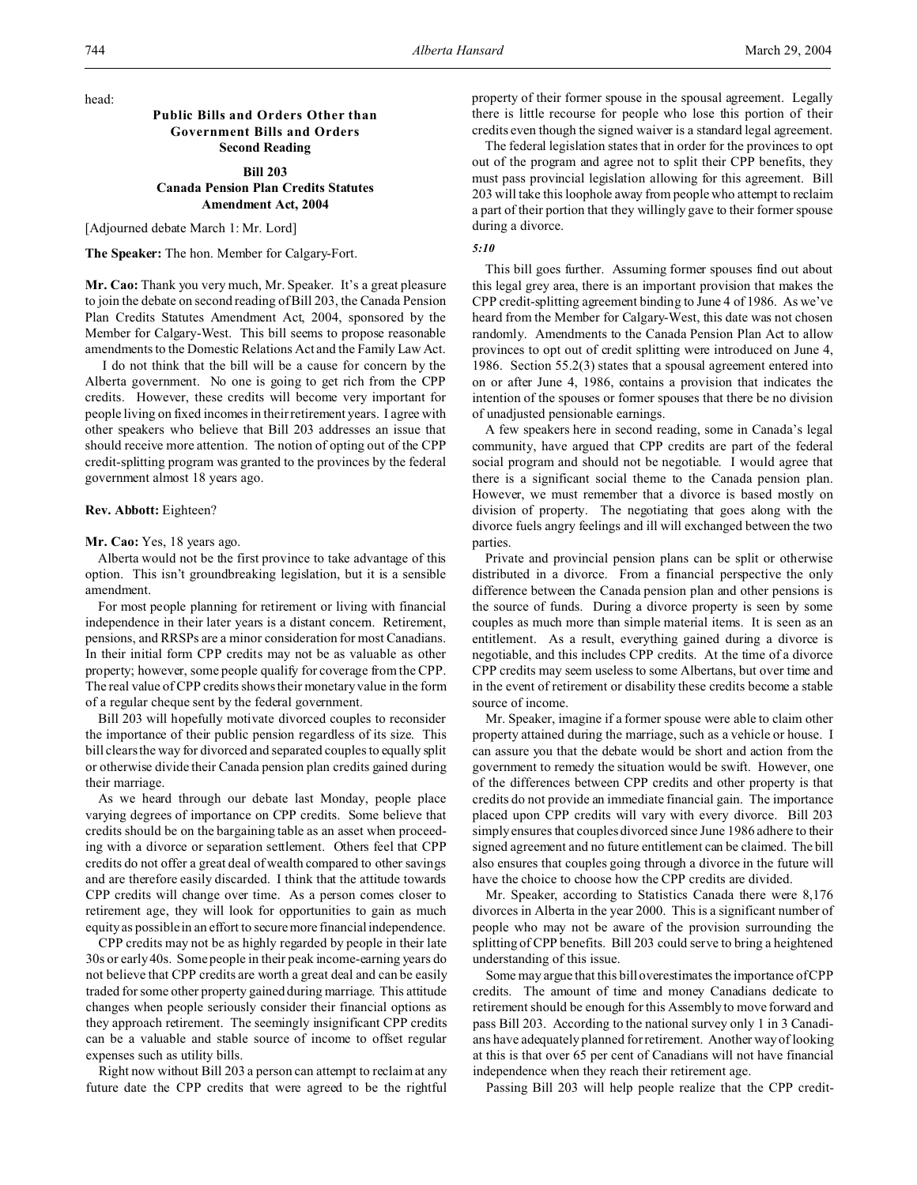head:

# **Public Bills and Orders Other than Government Bills and Orders Second Reading**

# **Bill 203 Canada Pension Plan Credits Statutes Amendment Act, 2004**

[Adjourned debate March 1: Mr. Lord]

**The Speaker:** The hon. Member for Calgary-Fort.

**Mr. Cao:** Thank you very much, Mr. Speaker. It's a great pleasure to join the debate on second reading of Bill 203, the Canada Pension Plan Credits Statutes Amendment Act, 2004, sponsored by the Member for Calgary-West. This bill seems to propose reasonable amendments to the Domestic Relations Act and the Family Law Act.

 I do not think that the bill will be a cause for concern by the Alberta government. No one is going to get rich from the CPP credits. However, these credits will become very important for people living on fixed incomes in their retirement years. I agree with other speakers who believe that Bill 203 addresses an issue that should receive more attention. The notion of opting out of the CPP credit-splitting program was granted to the provinces by the federal government almost 18 years ago.

### **Rev. Abbott:** Eighteen?

#### **Mr. Cao:** Yes, 18 years ago.

Alberta would not be the first province to take advantage of this option. This isn't groundbreaking legislation, but it is a sensible amendment.

For most people planning for retirement or living with financial independence in their later years is a distant concern. Retirement, pensions, and RRSPs are a minor consideration for most Canadians. In their initial form CPP credits may not be as valuable as other property; however, some people qualify for coverage from the CPP. The real value of CPP credits shows their monetary value in the form of a regular cheque sent by the federal government.

Bill 203 will hopefully motivate divorced couples to reconsider the importance of their public pension regardless of its size. This bill clears the way for divorced and separated couples to equally split or otherwise divide their Canada pension plan credits gained during their marriage.

As we heard through our debate last Monday, people place varying degrees of importance on CPP credits. Some believe that credits should be on the bargaining table as an asset when proceeding with a divorce or separation settlement. Others feel that CPP credits do not offer a great deal of wealth compared to other savings and are therefore easily discarded. I think that the attitude towards CPP credits will change over time. As a person comes closer to retirement age, they will look for opportunities to gain as much equity as possible in an effort to secure more financial independence.

CPP credits may not be as highly regarded by people in their late 30s or early 40s. Some people in their peak income-earning years do not believe that CPP credits are worth a great deal and can be easily traded for some other property gained during marriage. This attitude changes when people seriously consider their financial options as they approach retirement. The seemingly insignificant CPP credits can be a valuable and stable source of income to offset regular expenses such as utility bills.

Right now without Bill 203 a person can attempt to reclaim at any future date the CPP credits that were agreed to be the rightful property of their former spouse in the spousal agreement. Legally there is little recourse for people who lose this portion of their credits even though the signed waiver is a standard legal agreement.

The federal legislation states that in order for the provinces to opt out of the program and agree not to split their CPP benefits, they must pass provincial legislation allowing for this agreement. Bill 203 will take this loophole away from people who attempt to reclaim a part of their portion that they willingly gave to their former spouse during a divorce.

# *5:10*

This bill goes further. Assuming former spouses find out about this legal grey area, there is an important provision that makes the CPP credit-splitting agreement binding to June 4 of 1986. As we've heard from the Member for Calgary-West, this date was not chosen randomly. Amendments to the Canada Pension Plan Act to allow provinces to opt out of credit splitting were introduced on June 4, 1986. Section 55.2(3) states that a spousal agreement entered into on or after June 4, 1986, contains a provision that indicates the intention of the spouses or former spouses that there be no division of unadjusted pensionable earnings.

A few speakers here in second reading, some in Canada's legal community, have argued that CPP credits are part of the federal social program and should not be negotiable. I would agree that there is a significant social theme to the Canada pension plan. However, we must remember that a divorce is based mostly on division of property. The negotiating that goes along with the divorce fuels angry feelings and ill will exchanged between the two parties.

Private and provincial pension plans can be split or otherwise distributed in a divorce. From a financial perspective the only difference between the Canada pension plan and other pensions is the source of funds. During a divorce property is seen by some couples as much more than simple material items. It is seen as an entitlement. As a result, everything gained during a divorce is negotiable, and this includes CPP credits. At the time of a divorce CPP credits may seem useless to some Albertans, but over time and in the event of retirement or disability these credits become a stable source of income.

Mr. Speaker, imagine if a former spouse were able to claim other property attained during the marriage, such as a vehicle or house. I can assure you that the debate would be short and action from the government to remedy the situation would be swift. However, one of the differences between CPP credits and other property is that credits do not provide an immediate financial gain. The importance placed upon CPP credits will vary with every divorce. Bill 203 simply ensures that couples divorced since June 1986 adhere to their signed agreement and no future entitlement can be claimed. The bill also ensures that couples going through a divorce in the future will have the choice to choose how the CPP credits are divided.

Mr. Speaker, according to Statistics Canada there were 8,176 divorces in Alberta in the year 2000. This is a significant number of people who may not be aware of the provision surrounding the splitting of CPP benefits. Bill 203 could serve to bring a heightened understanding of this issue.

Some may argue that this bill overestimates the importance of CPP credits. The amount of time and money Canadians dedicate to retirement should be enough for this Assembly to move forward and pass Bill 203. According to the national survey only 1 in 3 Canadians have adequately planned for retirement. Another way of looking at this is that over 65 per cent of Canadians will not have financial independence when they reach their retirement age.

Passing Bill 203 will help people realize that the CPP credit-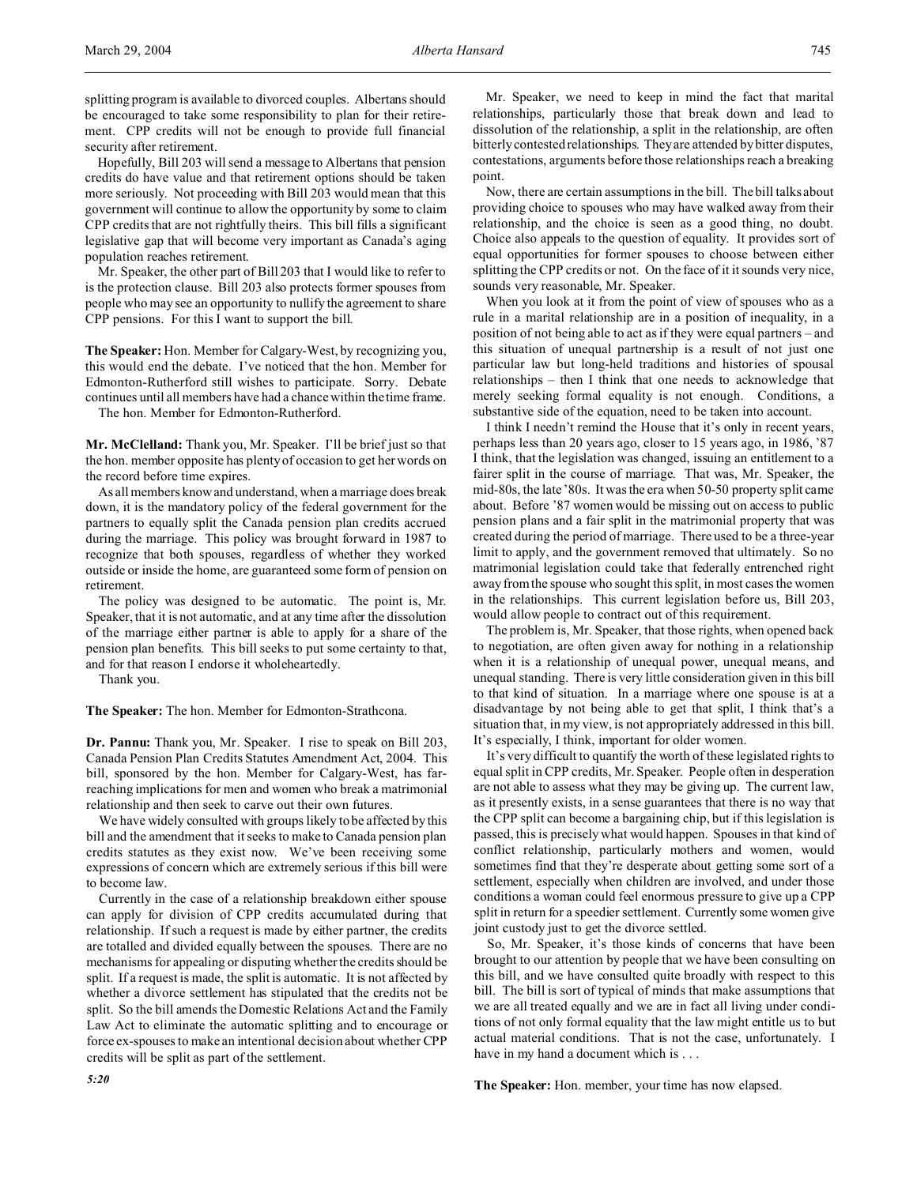splitting program is available to divorced couples. Albertans should be encouraged to take some responsibility to plan for their retirement. CPP credits will not be enough to provide full financial security after retirement.

Hopefully, Bill 203 will send a message to Albertans that pension credits do have value and that retirement options should be taken more seriously. Not proceeding with Bill 203 would mean that this government will continue to allow the opportunity by some to claim CPP credits that are not rightfully theirs. This bill fills a significant legislative gap that will become very important as Canada's aging population reaches retirement.

Mr. Speaker, the other part of Bill 203 that I would like to refer to is the protection clause. Bill 203 also protects former spouses from people who may see an opportunity to nullify the agreement to share CPP pensions. For this I want to support the bill.

**The Speaker:** Hon. Member for Calgary-West, by recognizing you, this would end the debate. I've noticed that the hon. Member for Edmonton-Rutherford still wishes to participate. Sorry. Debate continues until all members have had a chance within the time frame.

The hon. Member for Edmonton-Rutherford.

**Mr. McClelland:** Thank you, Mr. Speaker. I'll be brief just so that the hon. member opposite has plenty of occasion to get her words on the record before time expires.

As all members know and understand, when a marriage does break down, it is the mandatory policy of the federal government for the partners to equally split the Canada pension plan credits accrued during the marriage. This policy was brought forward in 1987 to recognize that both spouses, regardless of whether they worked outside or inside the home, are guaranteed some form of pension on retirement.

The policy was designed to be automatic. The point is, Mr. Speaker, that it is not automatic, and at any time after the dissolution of the marriage either partner is able to apply for a share of the pension plan benefits. This bill seeks to put some certainty to that, and for that reason I endorse it wholeheartedly.

Thank you.

**The Speaker:** The hon. Member for Edmonton-Strathcona.

**Dr. Pannu:** Thank you, Mr. Speaker. I rise to speak on Bill 203, Canada Pension Plan Credits Statutes Amendment Act, 2004. This bill, sponsored by the hon. Member for Calgary-West, has farreaching implications for men and women who break a matrimonial relationship and then seek to carve out their own futures.

We have widely consulted with groups likely to be affected by this bill and the amendment that it seeks to make to Canada pension plan credits statutes as they exist now. We've been receiving some expressions of concern which are extremely serious if this bill were to become law.

Currently in the case of a relationship breakdown either spouse can apply for division of CPP credits accumulated during that relationship. If such a request is made by either partner, the credits are totalled and divided equally between the spouses. There are no mechanisms for appealing or disputing whether the credits should be split. If a request is made, the split is automatic. It is not affected by whether a divorce settlement has stipulated that the credits not be split. So the bill amends the Domestic Relations Act and the Family Law Act to eliminate the automatic splitting and to encourage or force ex-spouses to make an intentional decision about whether CPP credits will be split as part of the settlement.

Mr. Speaker, we need to keep in mind the fact that marital relationships, particularly those that break down and lead to dissolution of the relationship, a split in the relationship, are often bitterly contested relationships. They are attended by bitter disputes, contestations, arguments before those relationships reach a breaking point.

Now, there are certain assumptions in the bill. The bill talks about providing choice to spouses who may have walked away from their relationship, and the choice is seen as a good thing, no doubt. Choice also appeals to the question of equality. It provides sort of equal opportunities for former spouses to choose between either splitting the CPP credits or not. On the face of it it sounds very nice, sounds very reasonable, Mr. Speaker.

When you look at it from the point of view of spouses who as a rule in a marital relationship are in a position of inequality, in a position of not being able to act as if they were equal partners – and this situation of unequal partnership is a result of not just one particular law but long-held traditions and histories of spousal relationships – then I think that one needs to acknowledge that merely seeking formal equality is not enough. Conditions, a substantive side of the equation, need to be taken into account.

I think I needn't remind the House that it's only in recent years, perhaps less than 20 years ago, closer to 15 years ago, in 1986, '87 I think, that the legislation was changed, issuing an entitlement to a fairer split in the course of marriage. That was, Mr. Speaker, the mid-80s, the late '80s. It was the era when 50-50 property split came about. Before '87 women would be missing out on access to public pension plans and a fair split in the matrimonial property that was created during the period of marriage. There used to be a three-year limit to apply, and the government removed that ultimately. So no matrimonial legislation could take that federally entrenched right away from the spouse who sought this split, in most cases the women in the relationships. This current legislation before us, Bill 203, would allow people to contract out of this requirement.

The problem is, Mr. Speaker, that those rights, when opened back to negotiation, are often given away for nothing in a relationship when it is a relationship of unequal power, unequal means, and unequal standing. There is very little consideration given in this bill to that kind of situation. In a marriage where one spouse is at a disadvantage by not being able to get that split, I think that's a situation that, in my view, is not appropriately addressed in this bill. It's especially, I think, important for older women.

It's very difficult to quantify the worth of these legislated rights to equal split in CPP credits, Mr. Speaker. People often in desperation are not able to assess what they may be giving up. The current law, as it presently exists, in a sense guarantees that there is no way that the CPP split can become a bargaining chip, but if this legislation is passed, this is precisely what would happen. Spouses in that kind of conflict relationship, particularly mothers and women, would sometimes find that they're desperate about getting some sort of a settlement, especially when children are involved, and under those conditions a woman could feel enormous pressure to give up a CPP split in return for a speedier settlement. Currently some women give joint custody just to get the divorce settled.

So, Mr. Speaker, it's those kinds of concerns that have been brought to our attention by people that we have been consulting on this bill, and we have consulted quite broadly with respect to this bill. The bill is sort of typical of minds that make assumptions that we are all treated equally and we are in fact all living under conditions of not only formal equality that the law might entitle us to but actual material conditions. That is not the case, unfortunately. I have in my hand a document which is . . .

**The Speaker:** Hon. member, your time has now elapsed.